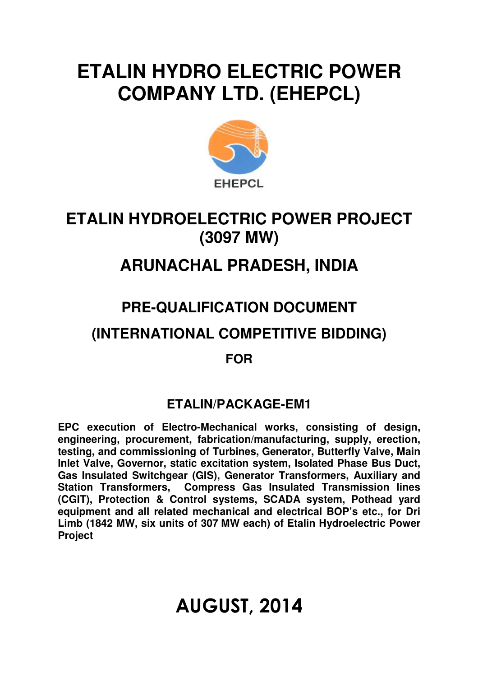# **ETALIN HYDRO ELECTRIC POWER COMPANY LTD. (EHEPCL)**



## **ETALIN HYDROELECTRIC POWER PROJECT (3097 MW)**

# **ARUNACHAL PRADESH, INDIA**

### **PRE-QUALIFICATION DOCUMENT**

### **(INTERNATIONAL COMPETITIVE BIDDING)**

### **FOR**

### **ETALIN/PACKAGE-EM1**

**EPC execution of Electro-Mechanical works, consisting of design, engineering, procurement, fabrication/manufacturing, supply, erection, testing, and commissioning of Turbines, Generator, Butterfly Valve, Main Inlet Valve, Governor, static excitation system, Isolated Phase Bus Duct, Gas Insulated Switchgear (GIS), Generator Transformers, Auxiliary and Station Transformers, Compress Gas Insulated Transmission lines (CGIT), Protection & Control systems, SCADA system, Pothead yard equipment and all related mechanical and electrical BOP's etc., for Dri Limb (1842 MW, six units of 307 MW each) of Etalin Hydroelectric Power Project** 

# AUGUST, 2014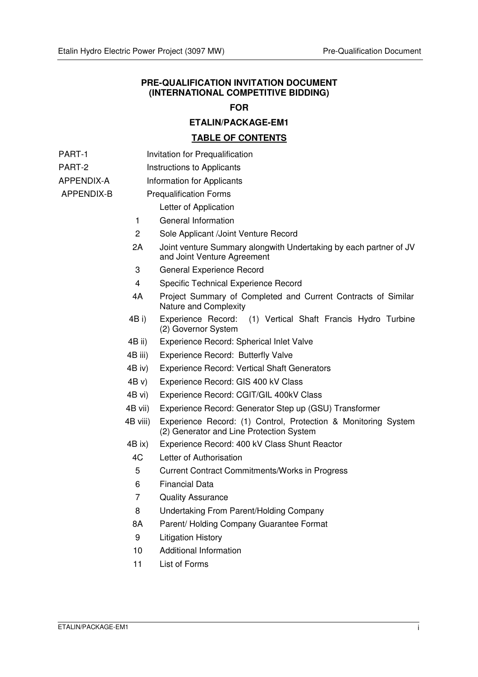#### **PRE-QUALIFICATION INVITATION DOCUMENT (INTERNATIONAL COMPETITIVE BIDDING)**

#### **FOR**

#### **ETALIN/PACKAGE-EM1**

#### **TABLE OF CONTENTS**

- PART-1 **Invitation for Prequalification**
- PART-2 **Instructions to Applicants**
- APPENDIX-A Information for Applicants

#### APPENDIX-B Prequalification Forms

- Letter of Application
- 1 General Information
- 2 Sole Applicant /Joint Venture Record
- 2A Joint venture Summary alongwith Undertaking by each partner of JV and Joint Venture Agreement
- 3 General Experience Record
- 4 Specific Technical Experience Record
- 4A Project Summary of Completed and Current Contracts of Similar Nature and Complexity
- 4B i) Experience Record: (1) Vertical Shaft Francis Hydro Turbine (2) Governor System
- 4B ii) Experience Record: Spherical Inlet Valve
- 4B iii) Experience Record: Butterfly Valve
- 4B iv) Experience Record: Vertical Shaft Generators
- 4B v) Experience Record: GIS 400 kV Class
- 4B vi) Experience Record: CGIT/GIL 400kV Class
- 4B vii) Experience Record: Generator Step up (GSU) Transformer
- 4B viii) Experience Record: (1) Control, Protection & Monitoring System (2) Generator and Line Protection System
- 4B ix) Experience Record: 400 kV Class Shunt Reactor
- 4C Letter of Authorisation
- 5 Current Contract Commitments/Works in Progress
- 6 Financial Data
- 7 Quality Assurance
- 8 Undertaking From Parent/Holding Company
- 8A Parent/ Holding Company Guarantee Format
- 9 Litigation History
- 10 Additional Information
- 11 List of Forms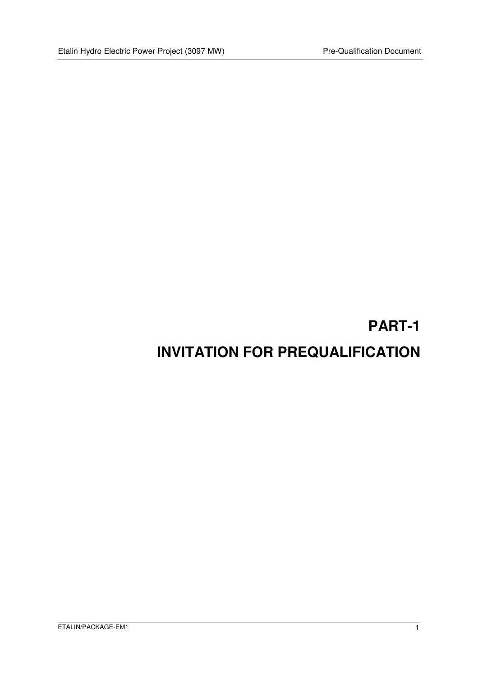### **PART-1**

### **INVITATION FOR PREQUALIFICATION**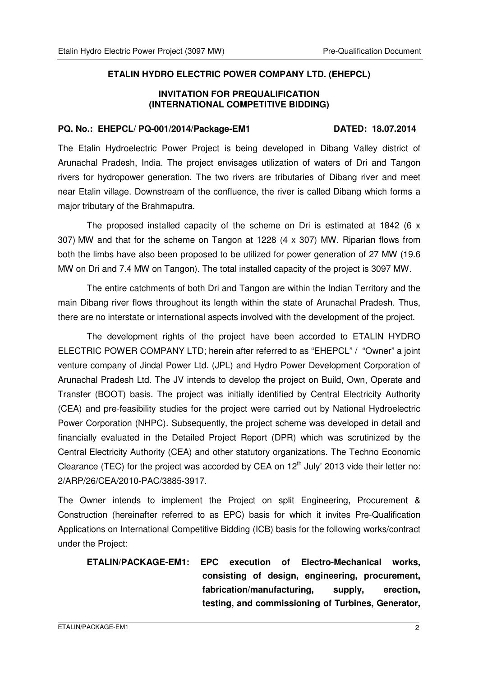#### **ETALIN HYDRO ELECTRIC POWER COMPANY LTD. (EHEPCL)**

#### **INVITATION FOR PREQUALIFICATION (INTERNATIONAL COMPETITIVE BIDDING)**

#### **PQ. No.: EHEPCL/ PQ-001/2014/Package-EM1 DATED: 18.07.2014**

The Etalin Hydroelectric Power Project is being developed in Dibang Valley district of Arunachal Pradesh, India. The project envisages utilization of waters of Dri and Tangon rivers for hydropower generation. The two rivers are tributaries of Dibang river and meet near Etalin village. Downstream of the confluence, the river is called Dibang which forms a major tributary of the Brahmaputra.

The proposed installed capacity of the scheme on Dri is estimated at 1842 (6  $\times$ 307) MW and that for the scheme on Tangon at 1228 (4 x 307) MW. Riparian flows from both the limbs have also been proposed to be utilized for power generation of 27 MW (19.6 MW on Dri and 7.4 MW on Tangon). The total installed capacity of the project is 3097 MW.

The entire catchments of both Dri and Tangon are within the Indian Territory and the main Dibang river flows throughout its length within the state of Arunachal Pradesh. Thus, there are no interstate or international aspects involved with the development of the project.

The development rights of the project have been accorded to ETALIN HYDRO ELECTRIC POWER COMPANY LTD; herein after referred to as "EHEPCL" / "Owner" a joint venture company of Jindal Power Ltd. (JPL) and Hydro Power Development Corporation of Arunachal Pradesh Ltd. The JV intends to develop the project on Build, Own, Operate and Transfer (BOOT) basis. The project was initially identified by Central Electricity Authority (CEA) and pre-feasibility studies for the project were carried out by National Hydroelectric Power Corporation (NHPC). Subsequently, the project scheme was developed in detail and financially evaluated in the Detailed Project Report (DPR) which was scrutinized by the Central Electricity Authority (CEA) and other statutory organizations. The Techno Economic Clearance (TEC) for the project was accorded by CEA on  $12<sup>th</sup>$  July' 2013 vide their letter no: 2/ARP/26/CEA/2010-PAC/3885-3917.

The Owner intends to implement the Project on split Engineering, Procurement & Construction (hereinafter referred to as EPC) basis for which it invites Pre-Qualification Applications on International Competitive Bidding (ICB) basis for the following works/contract under the Project:

**ETALIN/PACKAGE-EM1: EPC execution of Electro-Mechanical works, consisting of design, engineering, procurement, fabrication/manufacturing, supply, erection, testing, and commissioning of Turbines, Generator,**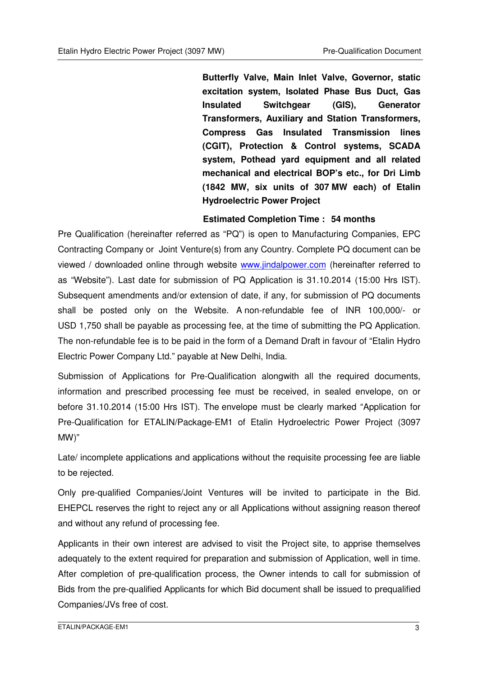**Butterfly Valve, Main Inlet Valve, Governor, static excitation system, Isolated Phase Bus Duct, Gas Insulated Switchgear (GIS), Generator Transformers, Auxiliary and Station Transformers, Compress Gas Insulated Transmission lines (CGIT), Protection & Control systems, SCADA system, Pothead yard equipment and all related mechanical and electrical BOP's etc., for Dri Limb (1842 MW, six units of 307 MW each) of Etalin Hydroelectric Power Project**

#### **Estimated Completion Time : 54 months**

Pre Qualification (hereinafter referred as "PQ") is open to Manufacturing Companies, EPC Contracting Company or Joint Venture(s) from any Country. Complete PQ document can be viewed / downloaded online through website www.jindalpower.com (hereinafter referred to as "Website"). Last date for submission of PQ Application is 31.10.2014 (15:00 Hrs IST). Subsequent amendments and/or extension of date, if any, for submission of PQ documents shall be posted only on the Website. A non-refundable fee of INR 100,000/- or USD 1,750 shall be payable as processing fee, at the time of submitting the PQ Application. The non-refundable fee is to be paid in the form of a Demand Draft in favour of "Etalin Hydro Electric Power Company Ltd." payable at New Delhi, India.

Submission of Applications for Pre-Qualification alongwith all the required documents, information and prescribed processing fee must be received, in sealed envelope, on or before 31.10.2014 (15:00 Hrs IST). The envelope must be clearly marked "Application for Pre-Qualification for ETALIN/Package-EM1 of Etalin Hydroelectric Power Project (3097 MW)"

Late/ incomplete applications and applications without the requisite processing fee are liable to be rejected.

Only pre-qualified Companies/Joint Ventures will be invited to participate in the Bid. EHEPCL reserves the right to reject any or all Applications without assigning reason thereof and without any refund of processing fee.

Applicants in their own interest are advised to visit the Project site, to apprise themselves adequately to the extent required for preparation and submission of Application, well in time. After completion of pre-qualification process, the Owner intends to call for submission of Bids from the pre-qualified Applicants for which Bid document shall be issued to prequalified Companies/JVs free of cost.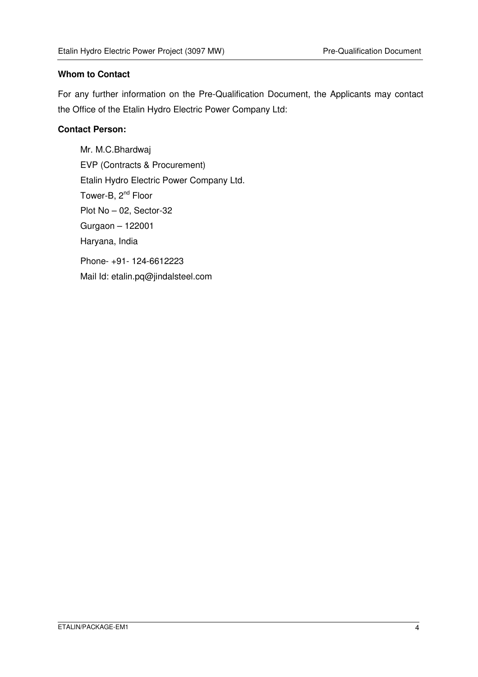#### **Whom to Contact**

For any further information on the Pre-Qualification Document, the Applicants may contact the Office of the Etalin Hydro Electric Power Company Ltd:

#### **Contact Person:**

Mr. M.C.Bhardwaj EVP (Contracts & Procurement) Etalin Hydro Electric Power Company Ltd. Tower-B, 2<sup>nd</sup> Floor Plot No – 02, Sector-32 Gurgaon – 122001 Haryana, India Phone- +91- 124-6612223 Mail Id: etalin.pq@jindalsteel.com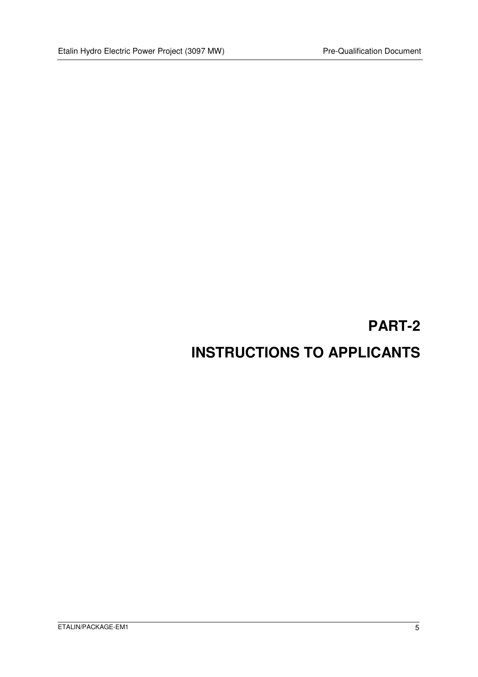# **PART-2 INSTRUCTIONS TO APPLICANTS**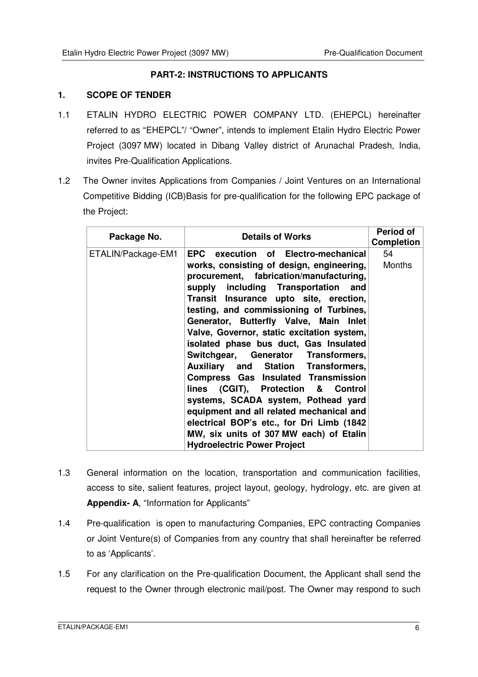#### **PART-2: INSTRUCTIONS TO APPLICANTS**

#### **1. SCOPE OF TENDER**

- 1.1 ETALIN HYDRO ELECTRIC POWER COMPANY LTD. (EHEPCL) hereinafter referred to as "EHEPCL"/ "Owner", intends to implement Etalin Hydro Electric Power Project (3097 MW) located in Dibang Valley district of Arunachal Pradesh, India, invites Pre-Qualification Applications.
- 1.2 The Owner invites Applications from Companies / Joint Ventures on an International Competitive Bidding (ICB)Basis for pre-qualification for the following EPC package of the Project:

| Package No.        | <b>Details of Works</b>                                                                                                                                                                                                                                                                                                                                                                   | <b>Period of</b><br><b>Completion</b> |
|--------------------|-------------------------------------------------------------------------------------------------------------------------------------------------------------------------------------------------------------------------------------------------------------------------------------------------------------------------------------------------------------------------------------------|---------------------------------------|
| ETALIN/Package-EM1 | EPC execution of Electro-mechanical                                                                                                                                                                                                                                                                                                                                                       | 54                                    |
|                    | works, consisting of design, engineering,<br>procurement, fabrication/manufacturing,<br>supply including Transportation and<br>Transit Insurance upto site, erection,<br>testing, and commissioning of Turbines,<br>Generator, Butterfly Valve, Main Inlet<br>Valve, Governor, static excitation system,<br>isolated phase bus duct, Gas Insulated<br>Switchgear, Generator Transformers, | Months                                |
|                    | <b>Auxiliary and Station Transformers,</b><br><b>Compress Gas Insulated Transmission</b><br>lines (CGIT), Protection & Control<br>systems, SCADA system, Pothead yard<br>equipment and all related mechanical and<br>electrical BOP's etc., for Dri Limb (1842)<br>MW, six units of 307 MW each) of Etalin<br><b>Hydroelectric Power Project</b>                                          |                                       |

- 1.3 General information on the location, transportation and communication facilities, access to site, salient features, project layout, geology, hydrology, etc. are given at **Appendix- A**, "Information for Applicants"
- 1.4 Pre-qualification is open to manufacturing Companies, EPC contracting Companies or Joint Venture(s) of Companies from any country that shall hereinafter be referred to as 'Applicants'.
- 1.5 For any clarification on the Pre-qualification Document, the Applicant shall send the request to the Owner through electronic mail/post. The Owner may respond to such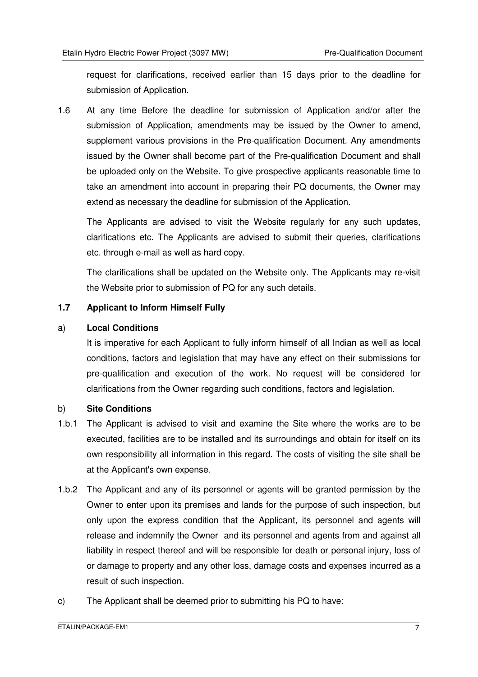request for clarifications, received earlier than 15 days prior to the deadline for submission of Application.

1.6 At any time Before the deadline for submission of Application and/or after the submission of Application, amendments may be issued by the Owner to amend, supplement various provisions in the Pre-qualification Document. Any amendments issued by the Owner shall become part of the Pre-qualification Document and shall be uploaded only on the Website. To give prospective applicants reasonable time to take an amendment into account in preparing their PQ documents, the Owner may extend as necessary the deadline for submission of the Application.

The Applicants are advised to visit the Website regularly for any such updates, clarifications etc. The Applicants are advised to submit their queries, clarifications etc. through e-mail as well as hard copy.

The clarifications shall be updated on the Website only. The Applicants may re-visit the Website prior to submission of PQ for any such details.

#### **1.7 Applicant to Inform Himself Fully**

#### a) **Local Conditions**

It is imperative for each Applicant to fully inform himself of all Indian as well as local conditions, factors and legislation that may have any effect on their submissions for pre-qualification and execution of the work. No request will be considered for clarifications from the Owner regarding such conditions, factors and legislation.

#### b) **Site Conditions**

- 1.b.1 The Applicant is advised to visit and examine the Site where the works are to be executed, facilities are to be installed and its surroundings and obtain for itself on its own responsibility all information in this regard. The costs of visiting the site shall be at the Applicant's own expense.
- 1.b.2 The Applicant and any of its personnel or agents will be granted permission by the Owner to enter upon its premises and lands for the purpose of such inspection, but only upon the express condition that the Applicant, its personnel and agents will release and indemnify the Owner and its personnel and agents from and against all liability in respect thereof and will be responsible for death or personal injury, loss of or damage to property and any other loss, damage costs and expenses incurred as a result of such inspection.
- c) The Applicant shall be deemed prior to submitting his PQ to have: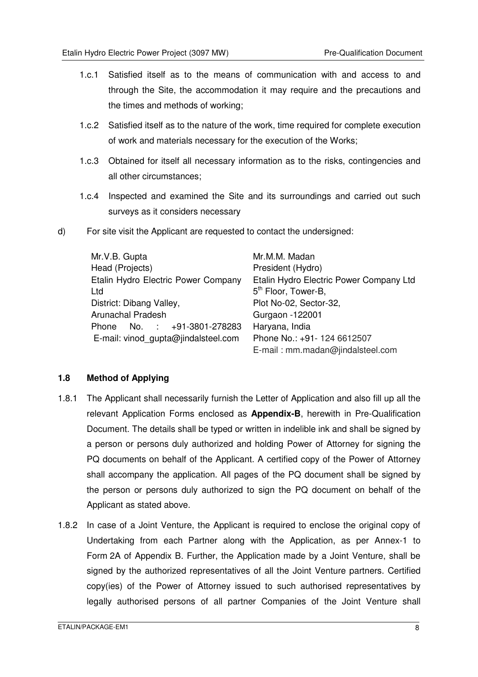- 1.c.1 Satisfied itself as to the means of communication with and access to and through the Site, the accommodation it may require and the precautions and the times and methods of working;
- 1.c.2 Satisfied itself as to the nature of the work, time required for complete execution of work and materials necessary for the execution of the Works;
- 1.c.3 Obtained for itself all necessary information as to the risks, contingencies and all other circumstances;
- 1.c.4 Inspected and examined the Site and its surroundings and carried out such surveys as it considers necessary
- d) For site visit the Applicant are requested to contact the undersigned:

| Mr.V.B. Gupta                       | Mr.M.M. Madan                           |
|-------------------------------------|-----------------------------------------|
| Head (Projects)                     | President (Hydro)                       |
| Etalin Hydro Electric Power Company | Etalin Hydro Electric Power Company Ltd |
| Ltd                                 | 5 <sup>th</sup> Floor, Tower-B,         |
| District: Dibang Valley,            | Plot No-02, Sector-32,                  |
| <b>Arunachal Pradesh</b>            | Gurgaon -122001                         |
| Phone No. : +91-3801-278283         | Haryana, India                          |
| E-mail: vinod_gupta@jindalsteel.com | Phone No.: +91- 124 6612507             |
|                                     | E-mail: mm.madan@jindalsteel.com        |

#### **1.8 Method of Applying**

- 1.8.1 The Applicant shall necessarily furnish the Letter of Application and also fill up all the relevant Application Forms enclosed as **Appendix-B**, herewith in Pre-Qualification Document. The details shall be typed or written in indelible ink and shall be signed by a person or persons duly authorized and holding Power of Attorney for signing the PQ documents on behalf of the Applicant. A certified copy of the Power of Attorney shall accompany the application. All pages of the PQ document shall be signed by the person or persons duly authorized to sign the PQ document on behalf of the Applicant as stated above.
- 1.8.2 In case of a Joint Venture, the Applicant is required to enclose the original copy of Undertaking from each Partner along with the Application, as per Annex-1 to Form 2A of Appendix B. Further, the Application made by a Joint Venture, shall be signed by the authorized representatives of all the Joint Venture partners. Certified copy(ies) of the Power of Attorney issued to such authorised representatives by legally authorised persons of all partner Companies of the Joint Venture shall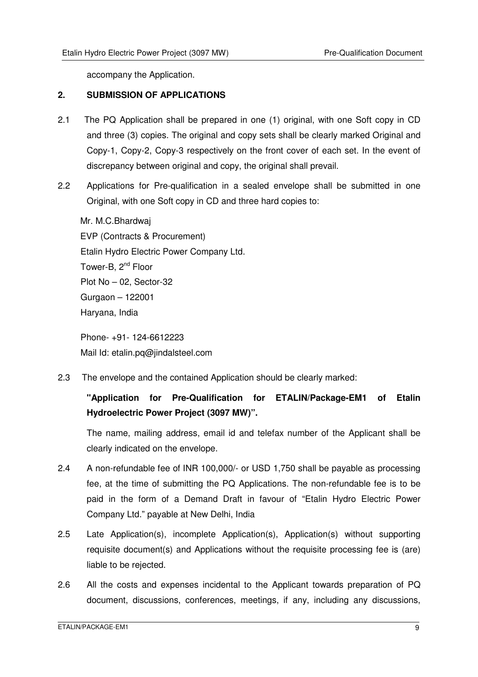accompany the Application.

#### **2. SUBMISSION OF APPLICATIONS**

- 2.1 The PQ Application shall be prepared in one (1) original, with one Soft copy in CD and three (3) copies. The original and copy sets shall be clearly marked Original and Copy-1, Copy-2, Copy-3 respectively on the front cover of each set. In the event of discrepancy between original and copy, the original shall prevail.
- 2.2 Applications for Pre-qualification in a sealed envelope shall be submitted in one Original, with one Soft copy in CD and three hard copies to:

Mr. M.C.Bhardwaj EVP (Contracts & Procurement) Etalin Hydro Electric Power Company Ltd. Tower-B, 2<sup>nd</sup> Floor Plot No – 02, Sector-32 Gurgaon – 122001 Haryana, India

 Phone- +91- 124-6612223 Mail Id: etalin.pq@jindalsteel.com

2.3 The envelope and the contained Application should be clearly marked:

### **"Application for Pre-Qualification for ETALIN/Package-EM1 of Etalin Hydroelectric Power Project (3097 MW)".**

The name, mailing address, email id and telefax number of the Applicant shall be clearly indicated on the envelope.

- 2.4 A non-refundable fee of INR 100,000/- or USD 1,750 shall be payable as processing fee, at the time of submitting the PQ Applications. The non-refundable fee is to be paid in the form of a Demand Draft in favour of "Etalin Hydro Electric Power Company Ltd." payable at New Delhi, India
- 2.5 Late Application(s), incomplete Application(s), Application(s) without supporting requisite document(s) and Applications without the requisite processing fee is (are) liable to be rejected.
- 2.6 All the costs and expenses incidental to the Applicant towards preparation of PQ document, discussions, conferences, meetings, if any, including any discussions,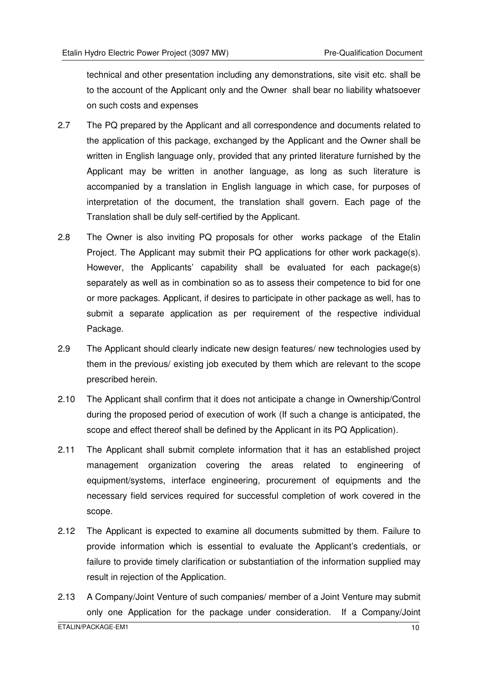technical and other presentation including any demonstrations, site visit etc. shall be to the account of the Applicant only and the Owner shall bear no liability whatsoever on such costs and expenses

- 2.7 The PQ prepared by the Applicant and all correspondence and documents related to the application of this package, exchanged by the Applicant and the Owner shall be written in English language only, provided that any printed literature furnished by the Applicant may be written in another language, as long as such literature is accompanied by a translation in English language in which case, for purposes of interpretation of the document, the translation shall govern. Each page of the Translation shall be duly self-certified by the Applicant.
- 2.8 The Owner is also inviting PQ proposals for other works package of the Etalin Project. The Applicant may submit their PQ applications for other work package(s). However, the Applicants' capability shall be evaluated for each package(s) separately as well as in combination so as to assess their competence to bid for one or more packages. Applicant, if desires to participate in other package as well, has to submit a separate application as per requirement of the respective individual Package.
- 2.9 The Applicant should clearly indicate new design features/ new technologies used by them in the previous/ existing job executed by them which are relevant to the scope prescribed herein.
- 2.10 The Applicant shall confirm that it does not anticipate a change in Ownership/Control during the proposed period of execution of work (If such a change is anticipated, the scope and effect thereof shall be defined by the Applicant in its PQ Application).
- 2.11 The Applicant shall submit complete information that it has an established project management organization covering the areas related to engineering of equipment/systems, interface engineering, procurement of equipments and the necessary field services required for successful completion of work covered in the scope.
- 2.12 The Applicant is expected to examine all documents submitted by them. Failure to provide information which is essential to evaluate the Applicant's credentials, or failure to provide timely clarification or substantiation of the information supplied may result in rejection of the Application.
- 2.13 A Company/Joint Venture of such companies/ member of a Joint Venture may submit only one Application for the package under consideration. If a Company/Joint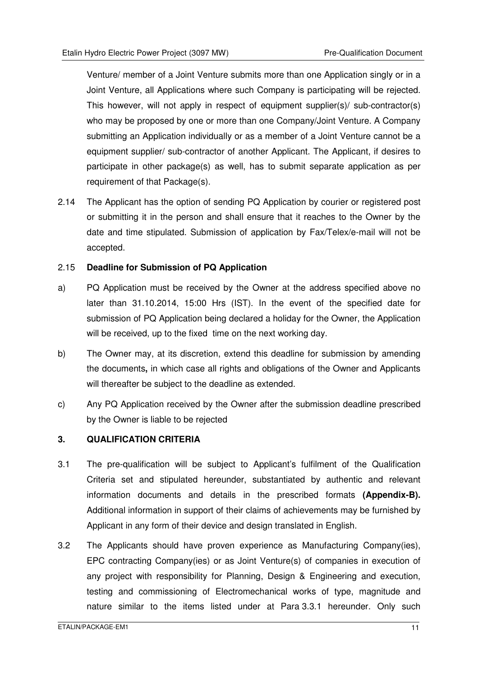Venture/ member of a Joint Venture submits more than one Application singly or in a Joint Venture, all Applications where such Company is participating will be rejected. This however, will not apply in respect of equipment supplier(s)/ sub-contractor(s) who may be proposed by one or more than one Company/Joint Venture. A Company submitting an Application individually or as a member of a Joint Venture cannot be a equipment supplier/ sub-contractor of another Applicant. The Applicant, if desires to participate in other package(s) as well, has to submit separate application as per requirement of that Package(s).

2.14 The Applicant has the option of sending PQ Application by courier or registered post or submitting it in the person and shall ensure that it reaches to the Owner by the date and time stipulated. Submission of application by Fax/Telex/e-mail will not be accepted.

#### 2.15 **Deadline for Submission of PQ Application**

- a) PQ Application must be received by the Owner at the address specified above no later than 31.10.2014, 15:00 Hrs (IST). In the event of the specified date for submission of PQ Application being declared a holiday for the Owner, the Application will be received, up to the fixed time on the next working day.
- b) The Owner may, at its discretion, extend this deadline for submission by amending the documents**,** in which case all rights and obligations of the Owner and Applicants will thereafter be subject to the deadline as extended.
- c) Any PQ Application received by the Owner after the submission deadline prescribed by the Owner is liable to be rejected

#### **3. QUALIFICATION CRITERIA**

- 3.1 The pre-qualification will be subject to Applicant's fulfilment of the Qualification Criteria set and stipulated hereunder, substantiated by authentic and relevant information documents and details in the prescribed formats **(Appendix-B).** Additional information in support of their claims of achievements may be furnished by Applicant in any form of their device and design translated in English.
- 3.2 The Applicants should have proven experience as Manufacturing Company(ies), EPC contracting Company(ies) or as Joint Venture(s) of companies in execution of any project with responsibility for Planning, Design & Engineering and execution, testing and commissioning of Electromechanical works of type, magnitude and nature similar to the items listed under at Para 3.3.1 hereunder. Only such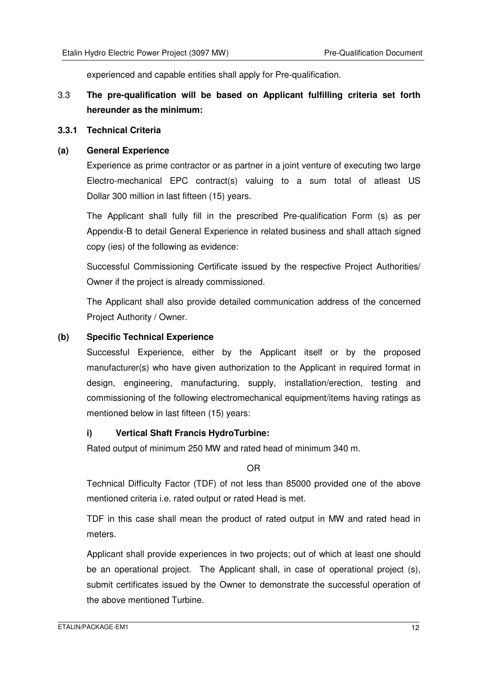experienced and capable entities shall apply for Pre-qualification.

#### 3.3 **The pre-qualification will be based on Applicant fulfilling criteria set forth hereunder as the minimum:**

#### **3.3.1 Technical Criteria**

#### **(a) General Experience**

Experience as prime contractor or as partner in a joint venture of executing two large Electro-mechanical EPC contract(s) valuing to a sum total of atleast US Dollar 300 million in last fifteen (15) years.

The Applicant shall fully fill in the prescribed Pre-qualification Form (s) as per Appendix-B to detail General Experience in related business and shall attach signed copy (ies) of the following as evidence:

Successful Commissioning Certificate issued by the respective Project Authorities/ Owner if the project is already commissioned.

The Applicant shall also provide detailed communication address of the concerned Project Authority / Owner.

#### **(b) Specific Technical Experience**

Successful Experience, either by the Applicant itself or by the proposed manufacturer(s) who have given authorization to the Applicant in required format in design, engineering, manufacturing, supply, installation/erection, testing and commissioning of the following electromechanical equipment/items having ratings as mentioned below in last fifteen (15) years:

#### **i) Vertical Shaft Francis HydroTurbine:**

Rated output of minimum 250 MW and rated head of minimum 340 m.

OR

Technical Difficulty Factor (TDF) of not less than 85000 provided one of the above mentioned criteria i.e. rated output or rated Head is met.

TDF in this case shall mean the product of rated output in MW and rated head in meters.

Applicant shall provide experiences in two projects; out of which at least one should be an operational project. The Applicant shall, in case of operational project (s), submit certificates issued by the Owner to demonstrate the successful operation of the above mentioned Turbine.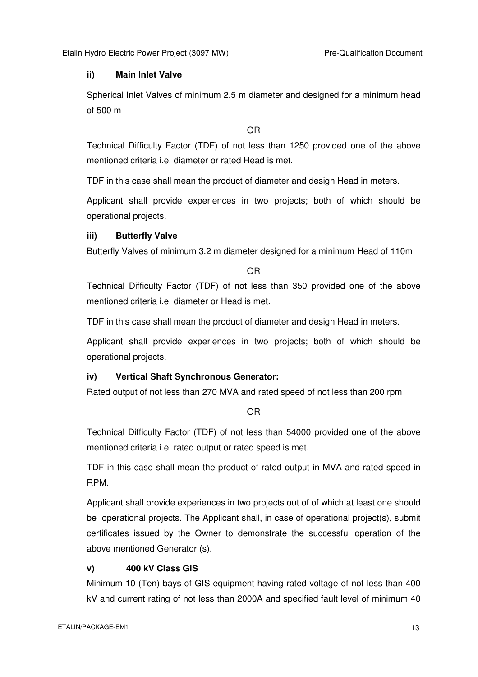#### **ii) Main Inlet Valve**

Spherical Inlet Valves of minimum 2.5 m diameter and designed for a minimum head of 500 m

OR

Technical Difficulty Factor (TDF) of not less than 1250 provided one of the above mentioned criteria i.e. diameter or rated Head is met.

TDF in this case shall mean the product of diameter and design Head in meters.

Applicant shall provide experiences in two projects; both of which should be operational projects.

#### **iii) Butterfly Valve**

Butterfly Valves of minimum 3.2 m diameter designed for a minimum Head of 110m

OR

Technical Difficulty Factor (TDF) of not less than 350 provided one of the above mentioned criteria i.e. diameter or Head is met.

TDF in this case shall mean the product of diameter and design Head in meters.

Applicant shall provide experiences in two projects; both of which should be operational projects.

#### **iv) Vertical Shaft Synchronous Generator:**

Rated output of not less than 270 MVA and rated speed of not less than 200 rpm

#### OR

Technical Difficulty Factor (TDF) of not less than 54000 provided one of the above mentioned criteria i.e. rated output or rated speed is met.

TDF in this case shall mean the product of rated output in MVA and rated speed in RPM.

Applicant shall provide experiences in two projects out of of which at least one should be operational projects. The Applicant shall, in case of operational project(s), submit certificates issued by the Owner to demonstrate the successful operation of the above mentioned Generator (s).

#### **v) 400 kV Class GIS**

Minimum 10 (Ten) bays of GIS equipment having rated voltage of not less than 400 kV and current rating of not less than 2000A and specified fault level of minimum 40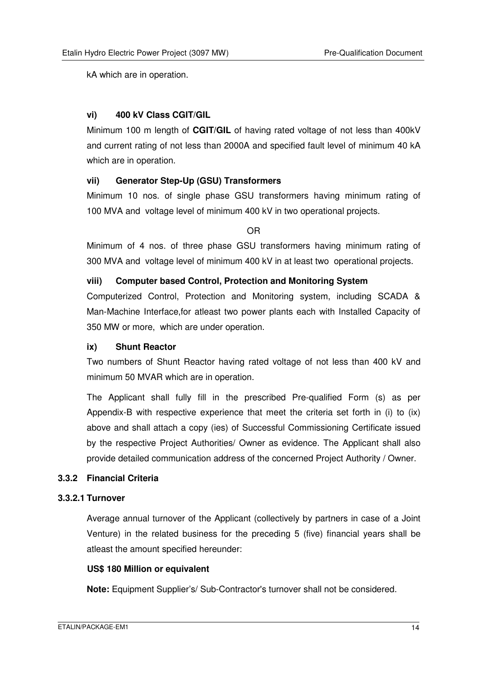kA which are in operation.

#### **vi) 400 kV Class CGIT/GIL**

Minimum 100 m length of **CGIT/GIL** of having rated voltage of not less than 400kV and current rating of not less than 2000A and specified fault level of minimum 40 kA which are in operation.

#### **vii) Generator Step-Up (GSU) Transformers**

Minimum 10 nos. of single phase GSU transformers having minimum rating of 100 MVA and voltage level of minimum 400 kV in two operational projects.

OR

Minimum of 4 nos. of three phase GSU transformers having minimum rating of 300 MVA and voltage level of minimum 400 kV in at least two operational projects.

#### **viii) Computer based Control, Protection and Monitoring System**

Computerized Control, Protection and Monitoring system, including SCADA & Man-Machine Interface,for atleast two power plants each with Installed Capacity of 350 MW or more, which are under operation.

#### **ix) Shunt Reactor**

Two numbers of Shunt Reactor having rated voltage of not less than 400 kV and minimum 50 MVAR which are in operation.

The Applicant shall fully fill in the prescribed Pre-qualified Form (s) as per Appendix-B with respective experience that meet the criteria set forth in (i) to (ix) above and shall attach a copy (ies) of Successful Commissioning Certificate issued by the respective Project Authorities/ Owner as evidence. The Applicant shall also provide detailed communication address of the concerned Project Authority / Owner.

#### **3.3.2 Financial Criteria**

#### **3.3.2.1 Turnover**

Average annual turnover of the Applicant (collectively by partners in case of a Joint Venture) in the related business for the preceding 5 (five) financial years shall be atleast the amount specified hereunder:

#### **US\$ 180 Million or equivalent**

**Note:** Equipment Supplier's/ Sub-Contractor's turnover shall not be considered.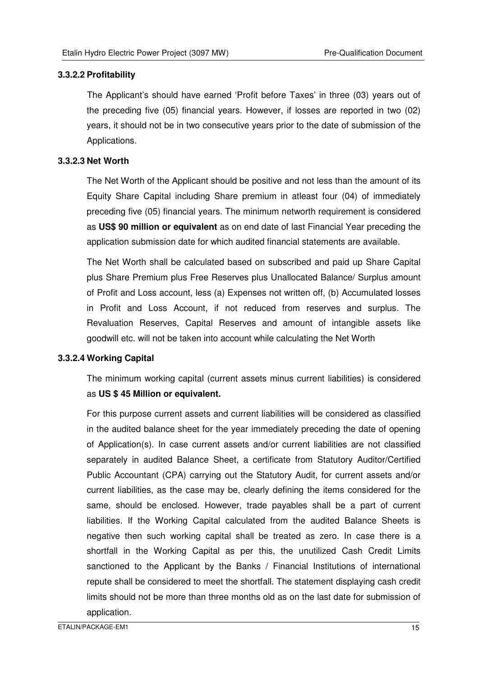#### **3.3.2.2 Profitability**

The Applicant's should have earned 'Profit before Taxes' in three (03) years out of the preceding five (05) financial years. However, if losses are reported in two (02) years, it should not be in two consecutive years prior to the date of submission of the Applications.

#### **3.3.2.3 Net Worth**

The Net Worth of the Applicant should be positive and not less than the amount of its Equity Share Capital including Share premium in atleast four (04) of immediately preceding five (05) financial years. The minimum networth requirement is considered as **US\$ 90 million or equivalent** as on end date of last Financial Year preceding the application submission date for which audited financial statements are available.

The Net Worth shall be calculated based on subscribed and paid up Share Capital plus Share Premium plus Free Reserves plus Unallocated Balance/ Surplus amount of Profit and Loss account, less (a) Expenses not written off, (b) Accumulated losses in Profit and Loss Account, if not reduced from reserves and surplus. The Revaluation Reserves, Capital Reserves and amount of intangible assets like goodwill etc. will not be taken into account while calculating the Net Worth

#### **3.3.2.4 Working Capital**

The minimum working capital (current assets minus current liabilities) is considered as **US \$ 45 Million or equivalent.**

For this purpose current assets and current liabilities will be considered as classified in the audited balance sheet for the year immediately preceding the date of opening of Application(s). In case current assets and/or current liabilities are not classified separately in audited Balance Sheet, a certificate from Statutory Auditor/Certified Public Accountant (CPA) carrying out the Statutory Audit, for current assets and/or current liabilities, as the case may be, clearly defining the items considered for the same, should be enclosed. However, trade payables shall be a part of current liabilities. If the Working Capital calculated from the audited Balance Sheets is negative then such working capital shall be treated as zero. In case there is a shortfall in the Working Capital as per this, the unutilized Cash Credit Limits sanctioned to the Applicant by the Banks / Financial Institutions of international repute shall be considered to meet the shortfall. The statement displaying cash credit limits should not be more than three months old as on the last date for submission of application.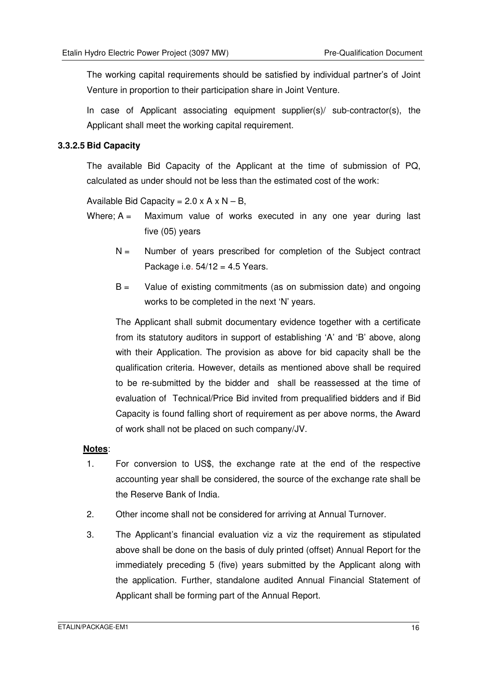The working capital requirements should be satisfied by individual partner's of Joint Venture in proportion to their participation share in Joint Venture.

In case of Applicant associating equipment supplier(s)/ sub-contractor(s), the Applicant shall meet the working capital requirement.

#### **3.3.2.5 Bid Capacity**

The available Bid Capacity of the Applicant at the time of submission of PQ, calculated as under should not be less than the estimated cost of the work:

Available Bid Capacity =  $2.0 \times A \times N - B$ ,

- Where;  $A =$  Maximum value of works executed in any one year during last five (05) years
	- $N =$  Number of years prescribed for completion of the Subject contract Package i.e.  $54/12 = 4.5$  Years.
	- $B =$  Value of existing commitments (as on submission date) and ongoing works to be completed in the next 'N' years.

The Applicant shall submit documentary evidence together with a certificate from its statutory auditors in support of establishing 'A' and 'B' above, along with their Application. The provision as above for bid capacity shall be the qualification criteria. However, details as mentioned above shall be required to be re-submitted by the bidder and shall be reassessed at the time of evaluation of Technical/Price Bid invited from prequalified bidders and if Bid Capacity is found falling short of requirement as per above norms, the Award of work shall not be placed on such company/JV.

#### **Notes**:

- 1. For conversion to US\$, the exchange rate at the end of the respective accounting year shall be considered, the source of the exchange rate shall be the Reserve Bank of India.
- 2. Other income shall not be considered for arriving at Annual Turnover.
- 3. The Applicant's financial evaluation viz a viz the requirement as stipulated above shall be done on the basis of duly printed (offset) Annual Report for the immediately preceding 5 (five) years submitted by the Applicant along with the application. Further, standalone audited Annual Financial Statement of Applicant shall be forming part of the Annual Report.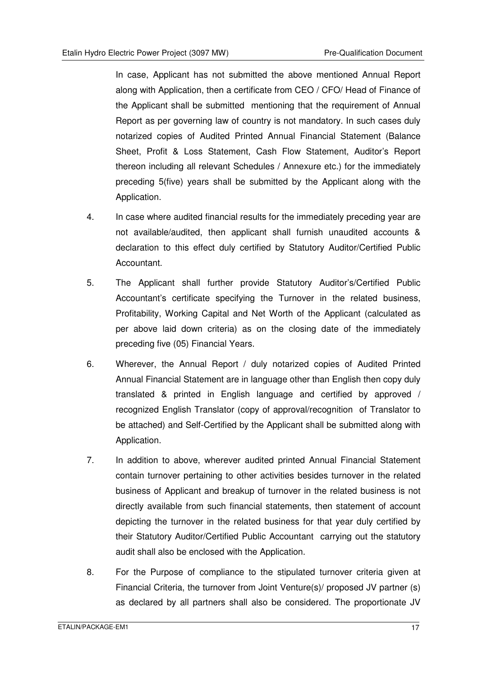In case, Applicant has not submitted the above mentioned Annual Report along with Application, then a certificate from CEO / CFO/ Head of Finance of the Applicant shall be submitted mentioning that the requirement of Annual Report as per governing law of country is not mandatory. In such cases duly notarized copies of Audited Printed Annual Financial Statement (Balance Sheet, Profit & Loss Statement, Cash Flow Statement, Auditor's Report thereon including all relevant Schedules / Annexure etc.) for the immediately preceding 5(five) years shall be submitted by the Applicant along with the Application.

- 4. In case where audited financial results for the immediately preceding year are not available/audited, then applicant shall furnish unaudited accounts & declaration to this effect duly certified by Statutory Auditor/Certified Public Accountant.
- 5. The Applicant shall further provide Statutory Auditor's/Certified Public Accountant's certificate specifying the Turnover in the related business, Profitability, Working Capital and Net Worth of the Applicant (calculated as per above laid down criteria) as on the closing date of the immediately preceding five (05) Financial Years.
- 6. Wherever, the Annual Report / duly notarized copies of Audited Printed Annual Financial Statement are in language other than English then copy duly translated & printed in English language and certified by approved / recognized English Translator (copy of approval/recognition of Translator to be attached) and Self-Certified by the Applicant shall be submitted along with Application.
- 7. In addition to above, wherever audited printed Annual Financial Statement contain turnover pertaining to other activities besides turnover in the related business of Applicant and breakup of turnover in the related business is not directly available from such financial statements, then statement of account depicting the turnover in the related business for that year duly certified by their Statutory Auditor/Certified Public Accountant carrying out the statutory audit shall also be enclosed with the Application.
- 8. For the Purpose of compliance to the stipulated turnover criteria given at Financial Criteria, the turnover from Joint Venture(s)/ proposed JV partner (s) as declared by all partners shall also be considered. The proportionate JV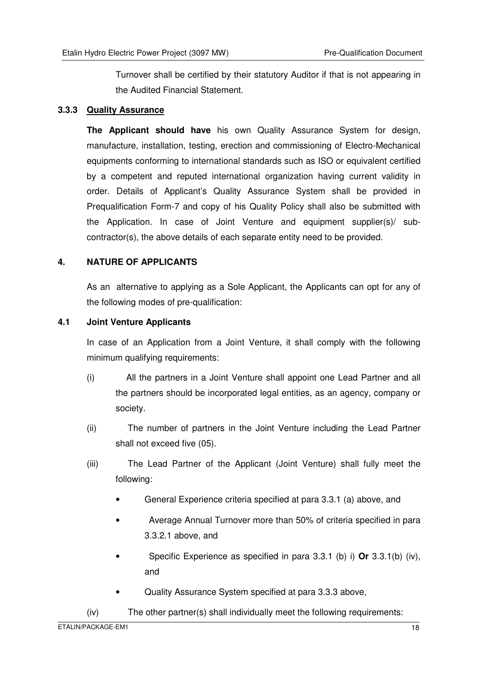Turnover shall be certified by their statutory Auditor if that is not appearing in the Audited Financial Statement.

#### **3.3.3 Quality Assurance**

**The Applicant should have** his own Quality Assurance System for design, manufacture, installation, testing, erection and commissioning of Electro-Mechanical equipments conforming to international standards such as ISO or equivalent certified by a competent and reputed international organization having current validity in order. Details of Applicant's Quality Assurance System shall be provided in Prequalification Form-7 and copy of his Quality Policy shall also be submitted with the Application. In case of Joint Venture and equipment supplier(s)/ subcontractor(s), the above details of each separate entity need to be provided.

#### **4. NATURE OF APPLICANTS**

As an alternative to applying as a Sole Applicant, the Applicants can opt for any of the following modes of pre-qualification:

#### **4.1 Joint Venture Applicants**

In case of an Application from a Joint Venture, it shall comply with the following minimum qualifying requirements:

- (i) All the partners in a Joint Venture shall appoint one Lead Partner and all the partners should be incorporated legal entities, as an agency, company or society.
- (ii) The number of partners in the Joint Venture including the Lead Partner shall not exceed five (05).
- (iii) The Lead Partner of the Applicant (Joint Venture) shall fully meet the following:
	- General Experience criteria specified at para 3.3.1 (a) above, and
	- Average Annual Turnover more than 50% of criteria specified in para 3.3.2.1 above, and
	- Specific Experience as specified in para 3.3.1 (b) i) **Or** 3.3.1(b) (iv), and
	- Quality Assurance System specified at para 3.3.3 above,
- (iv) The other partner(s) shall individually meet the following requirements: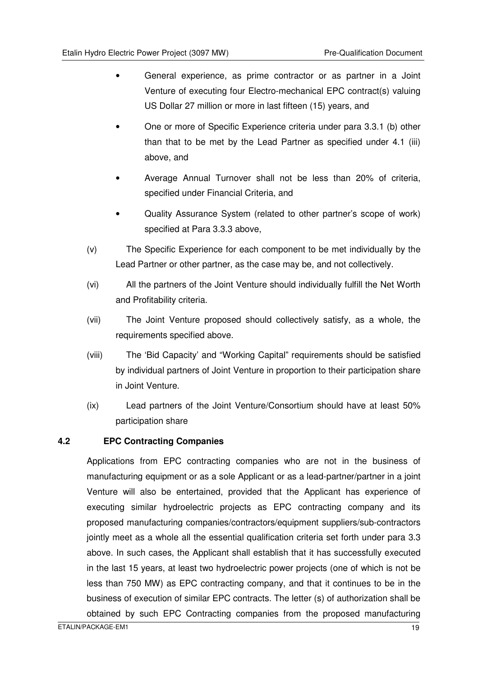- General experience, as prime contractor or as partner in a Joint Venture of executing four Electro-mechanical EPC contract(s) valuing US Dollar 27 million or more in last fifteen (15) years, and
- One or more of Specific Experience criteria under para 3.3.1 (b) other than that to be met by the Lead Partner as specified under 4.1 (iii) above, and
- Average Annual Turnover shall not be less than 20% of criteria, specified under Financial Criteria, and
- Quality Assurance System (related to other partner's scope of work) specified at Para 3.3.3 above,
- (v) The Specific Experience for each component to be met individually by the Lead Partner or other partner, as the case may be, and not collectively.
- (vi) All the partners of the Joint Venture should individually fulfill the Net Worth and Profitability criteria.
- (vii) The Joint Venture proposed should collectively satisfy, as a whole, the requirements specified above.
- (viii) The 'Bid Capacity' and "Working Capital" requirements should be satisfied by individual partners of Joint Venture in proportion to their participation share in Joint Venture.
- (ix) Lead partners of the Joint Venture/Consortium should have at least 50% participation share

#### **4.2 EPC Contracting Companies**

Applications from EPC contracting companies who are not in the business of manufacturing equipment or as a sole Applicant or as a lead-partner/partner in a joint Venture will also be entertained, provided that the Applicant has experience of executing similar hydroelectric projects as EPC contracting company and its proposed manufacturing companies/contractors/equipment suppliers/sub-contractors jointly meet as a whole all the essential qualification criteria set forth under para 3.3 above. In such cases, the Applicant shall establish that it has successfully executed in the last 15 years, at least two hydroelectric power projects (one of which is not be less than 750 MW) as EPC contracting company, and that it continues to be in the business of execution of similar EPC contracts. The letter (s) of authorization shall be obtained by such EPC Contracting companies from the proposed manufacturing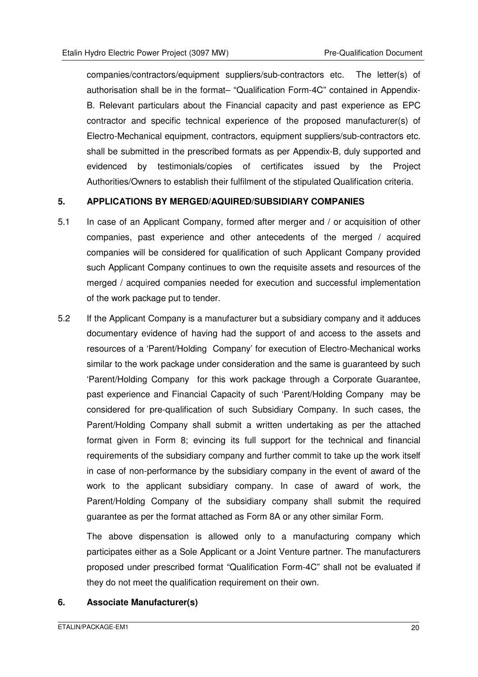companies/contractors/equipment suppliers/sub-contractors etc. The letter(s) of authorisation shall be in the format– "Qualification Form-4C" contained in Appendix-B. Relevant particulars about the Financial capacity and past experience as EPC contractor and specific technical experience of the proposed manufacturer(s) of Electro-Mechanical equipment, contractors, equipment suppliers/sub-contractors etc. shall be submitted in the prescribed formats as per Appendix-B, duly supported and evidenced by testimonials/copies of certificates issued by the Project Authorities/Owners to establish their fulfilment of the stipulated Qualification criteria.

#### **5. APPLICATIONS BY MERGED/AQUIRED/SUBSIDIARY COMPANIES**

- 5.1 In case of an Applicant Company, formed after merger and / or acquisition of other companies, past experience and other antecedents of the merged / acquired companies will be considered for qualification of such Applicant Company provided such Applicant Company continues to own the requisite assets and resources of the merged / acquired companies needed for execution and successful implementation of the work package put to tender.
- 5.2 If the Applicant Company is a manufacturer but a subsidiary company and it adduces documentary evidence of having had the support of and access to the assets and resources of a 'Parent/Holding Company' for execution of Electro-Mechanical works similar to the work package under consideration and the same is guaranteed by such 'Parent/Holding Company for this work package through a Corporate Guarantee, past experience and Financial Capacity of such 'Parent/Holding Company may be considered for pre-qualification of such Subsidiary Company. In such cases, the Parent/Holding Company shall submit a written undertaking as per the attached format given in Form 8; evincing its full support for the technical and financial requirements of the subsidiary company and further commit to take up the work itself in case of non-performance by the subsidiary company in the event of award of the work to the applicant subsidiary company. In case of award of work, the Parent/Holding Company of the subsidiary company shall submit the required guarantee as per the format attached as Form 8A or any other similar Form.

The above dispensation is allowed only to a manufacturing company which participates either as a Sole Applicant or a Joint Venture partner. The manufacturers proposed under prescribed format "Qualification Form-4C" shall not be evaluated if they do not meet the qualification requirement on their own.

#### **6. Associate Manufacturer(s)**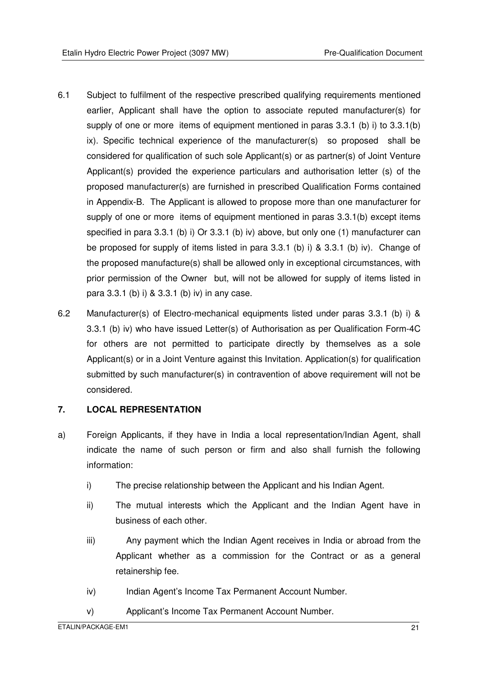- 6.1 Subject to fulfilment of the respective prescribed qualifying requirements mentioned earlier, Applicant shall have the option to associate reputed manufacturer(s) for supply of one or more items of equipment mentioned in paras 3.3.1 (b) i) to 3.3.1(b) ix). Specific technical experience of the manufacturer(s) so proposed shall be considered for qualification of such sole Applicant(s) or as partner(s) of Joint Venture Applicant(s) provided the experience particulars and authorisation letter (s) of the proposed manufacturer(s) are furnished in prescribed Qualification Forms contained in Appendix-B. The Applicant is allowed to propose more than one manufacturer for supply of one or more items of equipment mentioned in paras 3.3.1(b) except items specified in para 3.3.1 (b) i) Or 3.3.1 (b) iv) above, but only one (1) manufacturer can be proposed for supply of items listed in para 3.3.1 (b) i) & 3.3.1 (b) iv). Change of the proposed manufacture(s) shall be allowed only in exceptional circumstances, with prior permission of the Owner but, will not be allowed for supply of items listed in para 3.3.1 (b) i) & 3.3.1 (b) iv) in any case.
- 6.2 Manufacturer(s) of Electro-mechanical equipments listed under paras 3.3.1 (b) i) & 3.3.1 (b) iv) who have issued Letter(s) of Authorisation as per Qualification Form-4C for others are not permitted to participate directly by themselves as a sole Applicant(s) or in a Joint Venture against this Invitation. Application(s) for qualification submitted by such manufacturer(s) in contravention of above requirement will not be considered.

#### **7. LOCAL REPRESENTATION**

- a) Foreign Applicants, if they have in India a local representation/Indian Agent, shall indicate the name of such person or firm and also shall furnish the following information:
	- i) The precise relationship between the Applicant and his Indian Agent.
	- ii) The mutual interests which the Applicant and the Indian Agent have in business of each other.
	- iii) Any payment which the Indian Agent receives in India or abroad from the Applicant whether as a commission for the Contract or as a general retainership fee.
	- iv) Indian Agent's Income Tax Permanent Account Number.
	- v) Applicant's Income Tax Permanent Account Number.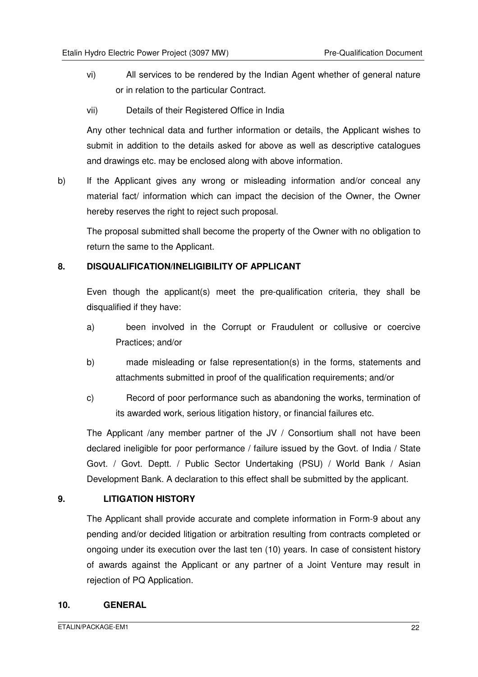- vi) All services to be rendered by the Indian Agent whether of general nature or in relation to the particular Contract.
- vii) Details of their Registered Office in India

Any other technical data and further information or details, the Applicant wishes to submit in addition to the details asked for above as well as descriptive catalogues and drawings etc. may be enclosed along with above information.

b) If the Applicant gives any wrong or misleading information and/or conceal any material fact/ information which can impact the decision of the Owner, the Owner hereby reserves the right to reject such proposal.

The proposal submitted shall become the property of the Owner with no obligation to return the same to the Applicant.

#### **8. DISQUALIFICATION/INELIGIBILITY OF APPLICANT**

Even though the applicant(s) meet the pre-qualification criteria, they shall be disqualified if they have:

- a) been involved in the Corrupt or Fraudulent or collusive or coercive Practices; and/or
- b) made misleading or false representation(s) in the forms, statements and attachments submitted in proof of the qualification requirements; and/or
- c) Record of poor performance such as abandoning the works, termination of its awarded work, serious litigation history, or financial failures etc.

The Applicant /any member partner of the JV / Consortium shall not have been declared ineligible for poor performance / failure issued by the Govt. of India / State Govt. / Govt. Deptt. / Public Sector Undertaking (PSU) / World Bank / Asian Development Bank. A declaration to this effect shall be submitted by the applicant.

#### **9. LITIGATION HISTORY**

 The Applicant shall provide accurate and complete information in Form-9 about any pending and/or decided litigation or arbitration resulting from contracts completed or ongoing under its execution over the last ten (10) years. In case of consistent history of awards against the Applicant or any partner of a Joint Venture may result in rejection of PQ Application.

#### **10. GENERAL**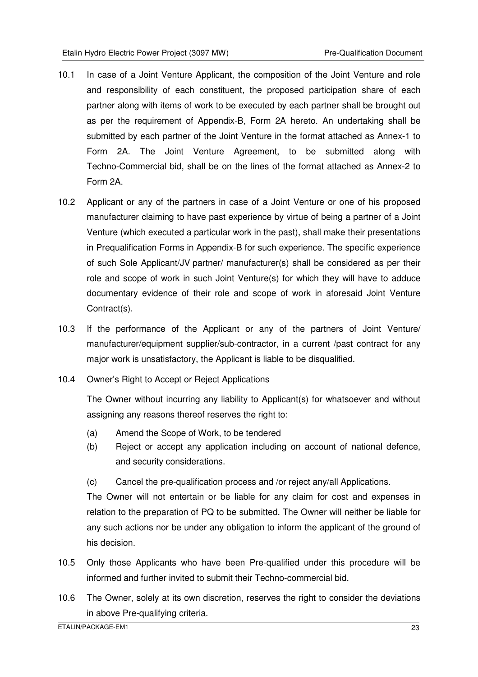- 10.1 In case of a Joint Venture Applicant, the composition of the Joint Venture and role and responsibility of each constituent, the proposed participation share of each partner along with items of work to be executed by each partner shall be brought out as per the requirement of Appendix-B, Form 2A hereto. An undertaking shall be submitted by each partner of the Joint Venture in the format attached as Annex-1 to Form 2A. The Joint Venture Agreement, to be submitted along with Techno-Commercial bid, shall be on the lines of the format attached as Annex-2 to Form 2A.
- 10.2 Applicant or any of the partners in case of a Joint Venture or one of his proposed manufacturer claiming to have past experience by virtue of being a partner of a Joint Venture (which executed a particular work in the past), shall make their presentations in Prequalification Forms in Appendix-B for such experience. The specific experience of such Sole Applicant/JV partner/ manufacturer(s) shall be considered as per their role and scope of work in such Joint Venture(s) for which they will have to adduce documentary evidence of their role and scope of work in aforesaid Joint Venture Contract(s).
- 10.3 If the performance of the Applicant or any of the partners of Joint Venture/ manufacturer/equipment supplier/sub-contractor, in a current /past contract for any major work is unsatisfactory, the Applicant is liable to be disqualified.
- 10.4 Owner's Right to Accept or Reject Applications

The Owner without incurring any liability to Applicant(s) for whatsoever and without assigning any reasons thereof reserves the right to:

- (a) Amend the Scope of Work, to be tendered
- (b) Reject or accept any application including on account of national defence, and security considerations.
- (c) Cancel the pre-qualification process and /or reject any/all Applications.

 The Owner will not entertain or be liable for any claim for cost and expenses in relation to the preparation of PQ to be submitted. The Owner will neither be liable for any such actions nor be under any obligation to inform the applicant of the ground of his decision.

- 10.5 Only those Applicants who have been Pre-qualified under this procedure will be informed and further invited to submit their Techno-commercial bid.
- 10.6 The Owner, solely at its own discretion, reserves the right to consider the deviations in above Pre-qualifying criteria.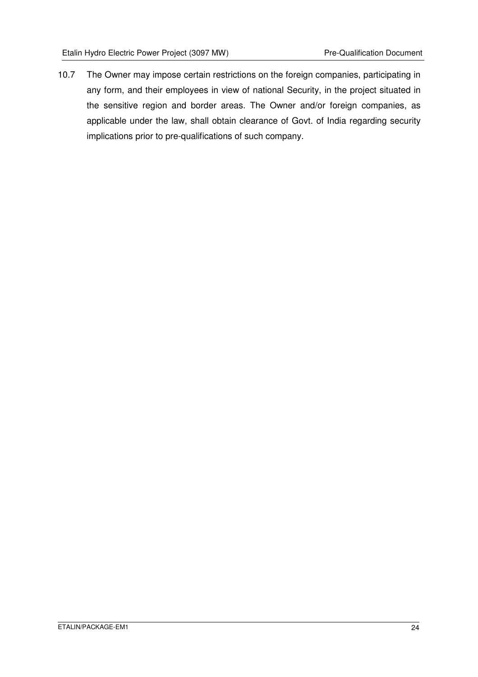10.7 The Owner may impose certain restrictions on the foreign companies, participating in any form, and their employees in view of national Security, in the project situated in the sensitive region and border areas. The Owner and/or foreign companies, as applicable under the law, shall obtain clearance of Govt. of India regarding security implications prior to pre-qualifications of such company.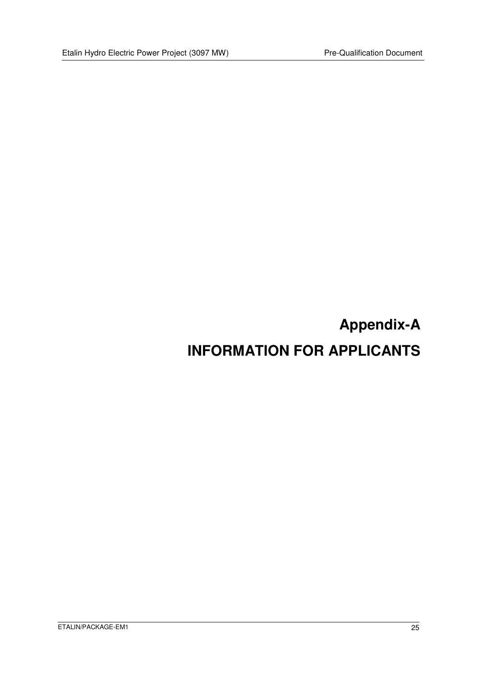# **Appendix-A INFORMATION FOR APPLICANTS**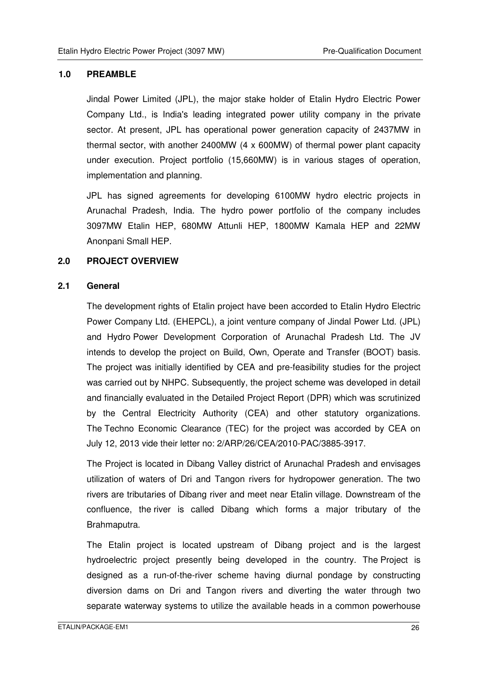#### **1.0 PREAMBLE**

 Jindal Power Limited (JPL), the major stake holder of Etalin Hydro Electric Power Company Ltd., is India's leading integrated power utility company in the private sector. At present, JPL has operational power generation capacity of 2437MW in thermal sector, with another 2400MW (4 x 600MW) of thermal power plant capacity under execution. Project portfolio (15,660MW) is in various stages of operation, implementation and planning.

JPL has signed agreements for developing 6100MW hydro electric projects in Arunachal Pradesh, India. The hydro power portfolio of the company includes 3097MW Etalin HEP, 680MW Attunli HEP, 1800MW Kamala HEP and 22MW Anonpani Small HEP.

#### **2.0 PROJECT OVERVIEW**

#### **2.1 General**

The development rights of Etalin project have been accorded to Etalin Hydro Electric Power Company Ltd. (EHEPCL), a joint venture company of Jindal Power Ltd. (JPL) and Hydro Power Development Corporation of Arunachal Pradesh Ltd. The JV intends to develop the project on Build, Own, Operate and Transfer (BOOT) basis. The project was initially identified by CEA and pre-feasibility studies for the project was carried out by NHPC. Subsequently, the project scheme was developed in detail and financially evaluated in the Detailed Project Report (DPR) which was scrutinized by the Central Electricity Authority (CEA) and other statutory organizations. The Techno Economic Clearance (TEC) for the project was accorded by CEA on July 12, 2013 vide their letter no: 2/ARP/26/CEA/2010-PAC/3885-3917.

The Project is located in Dibang Valley district of Arunachal Pradesh and envisages utilization of waters of Dri and Tangon rivers for hydropower generation. The two rivers are tributaries of Dibang river and meet near Etalin village. Downstream of the confluence, the river is called Dibang which forms a major tributary of the Brahmaputra.

The Etalin project is located upstream of Dibang project and is the largest hydroelectric project presently being developed in the country. The Project is designed as a run-of-the-river scheme having diurnal pondage by constructing diversion dams on Dri and Tangon rivers and diverting the water through two separate waterway systems to utilize the available heads in a common powerhouse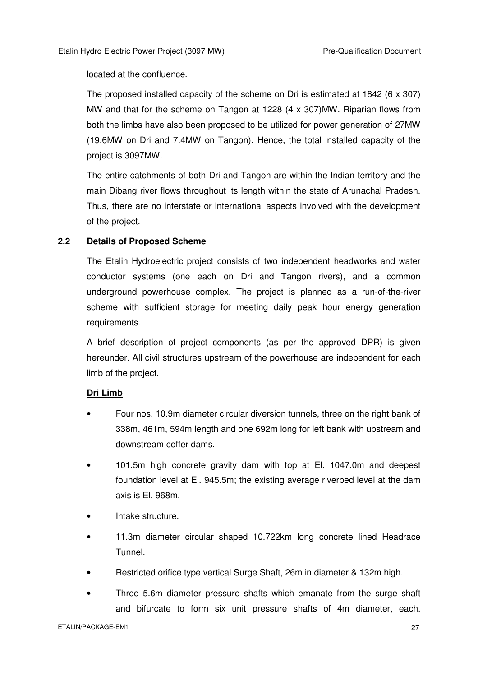located at the confluence.

The proposed installed capacity of the scheme on Dri is estimated at 1842 (6 x 307) MW and that for the scheme on Tangon at 1228 (4 x 307)MW. Riparian flows from both the limbs have also been proposed to be utilized for power generation of 27MW (19.6MW on Dri and 7.4MW on Tangon). Hence, the total installed capacity of the project is 3097MW.

The entire catchments of both Dri and Tangon are within the Indian territory and the main Dibang river flows throughout its length within the state of Arunachal Pradesh. Thus, there are no interstate or international aspects involved with the development of the project.

#### **2.2 Details of Proposed Scheme**

The Etalin Hydroelectric project consists of two independent headworks and water conductor systems (one each on Dri and Tangon rivers), and a common underground powerhouse complex. The project is planned as a run-of-the-river scheme with sufficient storage for meeting daily peak hour energy generation requirements.

A brief description of project components (as per the approved DPR) is given hereunder. All civil structures upstream of the powerhouse are independent for each limb of the project.

#### **Dri Limb**

- Four nos. 10.9m diameter circular diversion tunnels, three on the right bank of 338m, 461m, 594m length and one 692m long for left bank with upstream and downstream coffer dams.
- 101.5m high concrete gravity dam with top at El. 1047.0m and deepest foundation level at El. 945.5m; the existing average riverbed level at the dam axis is El. 968m.
- Intake structure.
- 11.3m diameter circular shaped 10.722km long concrete lined Headrace Tunnel.
- Restricted orifice type vertical Surge Shaft, 26m in diameter & 132m high.
- Three 5.6m diameter pressure shafts which emanate from the surge shaft and bifurcate to form six unit pressure shafts of 4m diameter, each.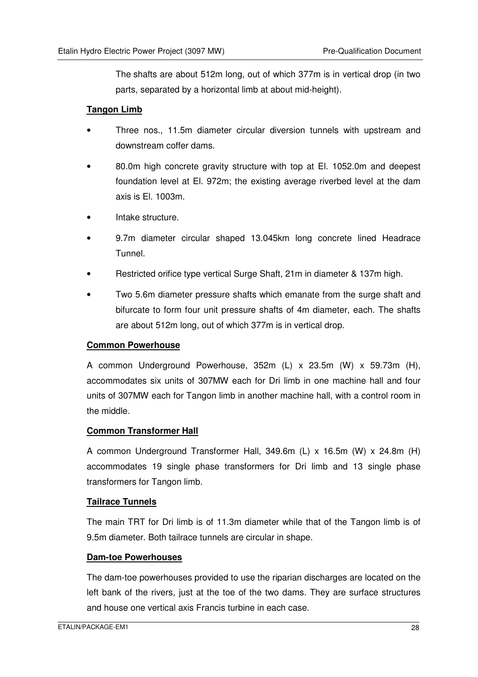The shafts are about 512m long, out of which 377m is in vertical drop (in two parts, separated by a horizontal limb at about mid-height).

#### **Tangon Limb**

- Three nos., 11.5m diameter circular diversion tunnels with upstream and downstream coffer dams.
- 80.0m high concrete gravity structure with top at El. 1052.0m and deepest foundation level at El. 972m; the existing average riverbed level at the dam axis is El. 1003m.
- Intake structure.
- 9.7m diameter circular shaped 13.045km long concrete lined Headrace Tunnel.
- Restricted orifice type vertical Surge Shaft, 21m in diameter & 137m high.
- Two 5.6m diameter pressure shafts which emanate from the surge shaft and bifurcate to form four unit pressure shafts of 4m diameter, each. The shafts are about 512m long, out of which 377m is in vertical drop.

#### **Common Powerhouse**

A common Underground Powerhouse, 352m (L) x 23.5m (W) x 59.73m (H), accommodates six units of 307MW each for Dri limb in one machine hall and four units of 307MW each for Tangon limb in another machine hall, with a control room in the middle.

#### **Common Transformer Hall**

A common Underground Transformer Hall, 349.6m (L) x 16.5m (W) x 24.8m (H) accommodates 19 single phase transformers for Dri limb and 13 single phase transformers for Tangon limb.

#### **Tailrace Tunnels**

The main TRT for Dri limb is of 11.3m diameter while that of the Tangon limb is of 9.5m diameter. Both tailrace tunnels are circular in shape.

#### **Dam-toe Powerhouses**

The dam-toe powerhouses provided to use the riparian discharges are located on the left bank of the rivers, just at the toe of the two dams. They are surface structures and house one vertical axis Francis turbine in each case.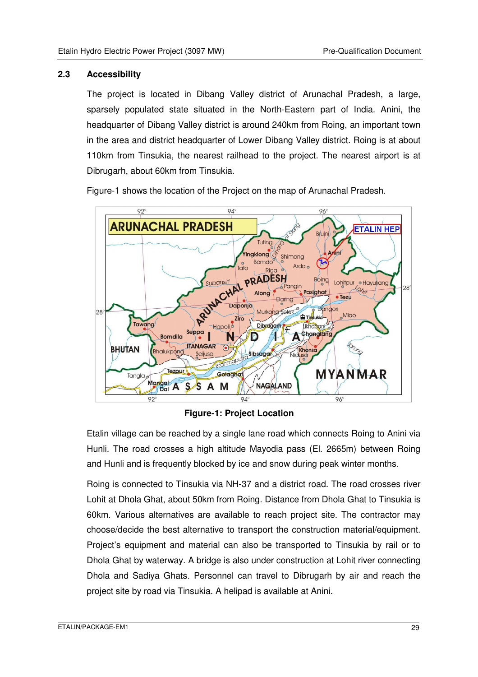#### **2.3 Accessibility**

The project is located in Dibang Valley district of Arunachal Pradesh, a large, sparsely populated state situated in the North-Eastern part of India. Anini, the headquarter of Dibang Valley district is around 240km from Roing, an important town in the area and district headquarter of Lower Dibang Valley district. Roing is at about 110km from Tinsukia, the nearest railhead to the project. The nearest airport is at Dibrugarh, about 60km from Tinsukia.

Figure-1 shows the location of the Project on the map of Arunachal Pradesh.



**Figure-1: Project Location** 

Etalin village can be reached by a single lane road which connects Roing to Anini via Hunli. The road crosses a high altitude Mayodia pass (El. 2665m) between Roing and Hunli and is frequently blocked by ice and snow during peak winter months.

Roing is connected to Tinsukia via NH-37 and a district road. The road crosses river Lohit at Dhola Ghat, about 50km from Roing. Distance from Dhola Ghat to Tinsukia is 60km. Various alternatives are available to reach project site. The contractor may choose/decide the best alternative to transport the construction material/equipment. Project's equipment and material can also be transported to Tinsukia by rail or to Dhola Ghat by waterway. A bridge is also under construction at Lohit river connecting Dhola and Sadiya Ghats. Personnel can travel to Dibrugarh by air and reach the project site by road via Tinsukia. A helipad is available at Anini.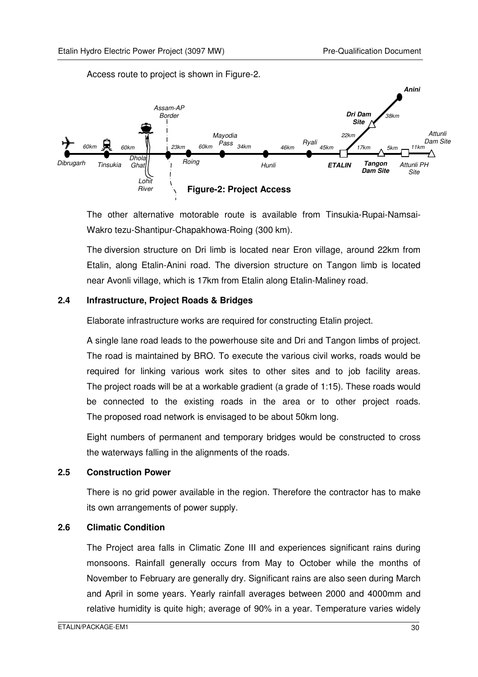Access route to project is shown in Figure-2.



The other alternative motorable route is available from Tinsukia-Rupai-Namsai-Wakro tezu-Shantipur-Chapakhowa-Roing (300 km).

The diversion structure on Dri limb is located near Eron village, around 22km from Etalin, along Etalin-Anini road. The diversion structure on Tangon limb is located near Avonli village, which is 17km from Etalin along Etalin-Maliney road.

#### **2.4 Infrastructure, Project Roads & Bridges**

Elaborate infrastructure works are required for constructing Etalin project.

A single lane road leads to the powerhouse site and Dri and Tangon limbs of project. The road is maintained by BRO. To execute the various civil works, roads would be required for linking various work sites to other sites and to job facility areas. The project roads will be at a workable gradient (a grade of 1:15). These roads would be connected to the existing roads in the area or to other project roads. The proposed road network is envisaged to be about 50km long.

Eight numbers of permanent and temporary bridges would be constructed to cross the waterways falling in the alignments of the roads.

#### **2.5 Construction Power**

There is no grid power available in the region. Therefore the contractor has to make its own arrangements of power supply.

#### **2.6 Climatic Condition**

The Project area falls in Climatic Zone III and experiences significant rains during monsoons. Rainfall generally occurs from May to October while the months of November to February are generally dry. Significant rains are also seen during March and April in some years. Yearly rainfall averages between 2000 and 4000mm and relative humidity is quite high; average of 90% in a year. Temperature varies widely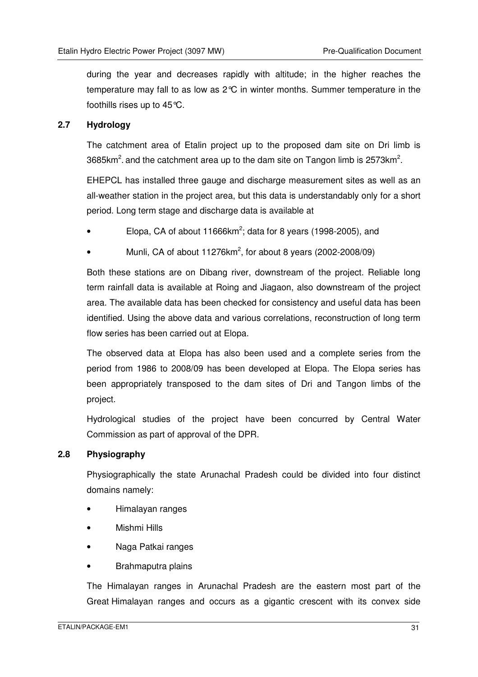during the year and decreases rapidly with altitude; in the higher reaches the temperature may fall to as low as 2°C in winter months. Summer temperature in the foothills rises up to 45°C.

#### **2.7 Hydrology**

The catchment area of Etalin project up to the proposed dam site on Dri limb is 3685km<sup>2</sup>. and the catchment area up to the dam site on Tangon limb is 2573km<sup>2</sup>.

EHEPCL has installed three gauge and discharge measurement sites as well as an all-weather station in the project area, but this data is understandably only for a short period. Long term stage and discharge data is available at

- Elopa, CA of about 11666 $km^2$ ; data for 8 years (1998-2005), and
- Munli, CA of about 11276 $km^2$ , for about 8 years (2002-2008/09)

Both these stations are on Dibang river, downstream of the project. Reliable long term rainfall data is available at Roing and Jiagaon, also downstream of the project area. The available data has been checked for consistency and useful data has been identified. Using the above data and various correlations, reconstruction of long term flow series has been carried out at Elopa.

The observed data at Elopa has also been used and a complete series from the period from 1986 to 2008/09 has been developed at Elopa. The Elopa series has been appropriately transposed to the dam sites of Dri and Tangon limbs of the project.

Hydrological studies of the project have been concurred by Central Water Commission as part of approval of the DPR.

#### **2.8 Physiography**

Physiographically the state Arunachal Pradesh could be divided into four distinct domains namely:

- Himalayan ranges
- Mishmi Hills
- Naga Patkai ranges
- Brahmaputra plains

The Himalayan ranges in Arunachal Pradesh are the eastern most part of the Great Himalayan ranges and occurs as a gigantic crescent with its convex side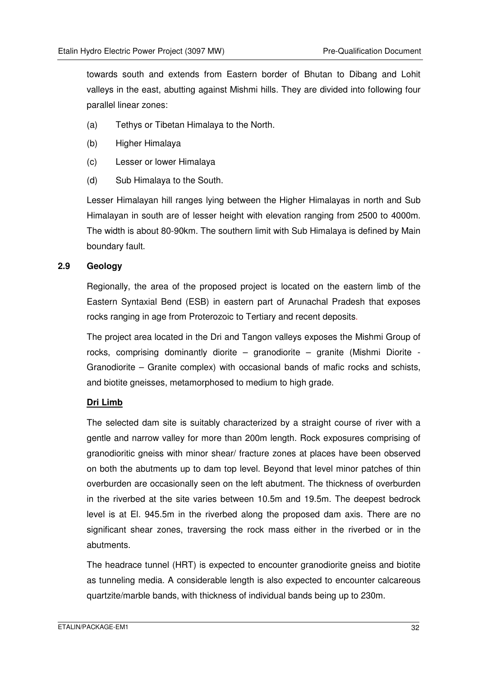towards south and extends from Eastern border of Bhutan to Dibang and Lohit valleys in the east, abutting against Mishmi hills. They are divided into following four parallel linear zones:

- (a) Tethys or Tibetan Himalaya to the North.
- (b) Higher Himalaya
- (c) Lesser or lower Himalaya
- (d) Sub Himalaya to the South.

Lesser Himalayan hill ranges lying between the Higher Himalayas in north and Sub Himalayan in south are of lesser height with elevation ranging from 2500 to 4000m. The width is about 80-90km. The southern limit with Sub Himalaya is defined by Main boundary fault.

#### **2.9 Geology**

Regionally, the area of the proposed project is located on the eastern limb of the Eastern Syntaxial Bend (ESB) in eastern part of Arunachal Pradesh that exposes rocks ranging in age from Proterozoic to Tertiary and recent deposits.

The project area located in the Dri and Tangon valleys exposes the Mishmi Group of rocks, comprising dominantly diorite – granodiorite – granite (Mishmi Diorite - Granodiorite – Granite complex) with occasional bands of mafic rocks and schists, and biotite gneisses, metamorphosed to medium to high grade.

#### **Dri Limb**

The selected dam site is suitably characterized by a straight course of river with a gentle and narrow valley for more than 200m length. Rock exposures comprising of granodioritic gneiss with minor shear/ fracture zones at places have been observed on both the abutments up to dam top level. Beyond that level minor patches of thin overburden are occasionally seen on the left abutment. The thickness of overburden in the riverbed at the site varies between 10.5m and 19.5m. The deepest bedrock level is at El. 945.5m in the riverbed along the proposed dam axis. There are no significant shear zones, traversing the rock mass either in the riverbed or in the abutments.

The headrace tunnel (HRT) is expected to encounter granodiorite gneiss and biotite as tunneling media. A considerable length is also expected to encounter calcareous quartzite/marble bands, with thickness of individual bands being up to 230m.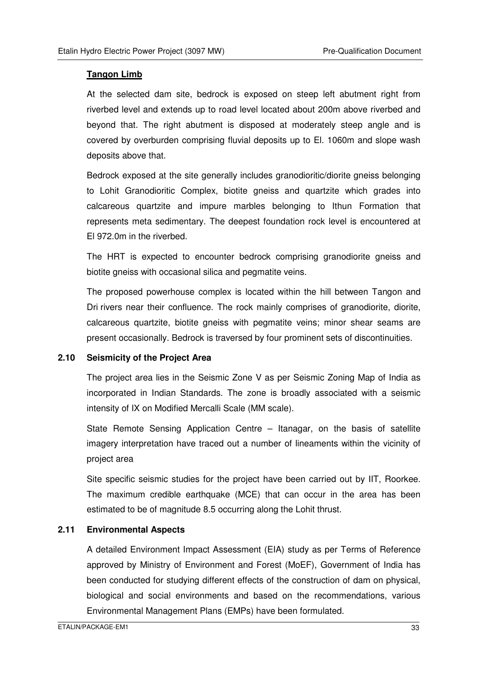#### **Tangon Limb**

At the selected dam site, bedrock is exposed on steep left abutment right from riverbed level and extends up to road level located about 200m above riverbed and beyond that. The right abutment is disposed at moderately steep angle and is covered by overburden comprising fluvial deposits up to El. 1060m and slope wash deposits above that.

Bedrock exposed at the site generally includes granodioritic/diorite gneiss belonging to Lohit Granodioritic Complex, biotite gneiss and quartzite which grades into calcareous quartzite and impure marbles belonging to Ithun Formation that represents meta sedimentary. The deepest foundation rock level is encountered at El 972.0m in the riverbed.

The HRT is expected to encounter bedrock comprising granodiorite gneiss and biotite gneiss with occasional silica and pegmatite veins.

The proposed powerhouse complex is located within the hill between Tangon and Dri rivers near their confluence. The rock mainly comprises of granodiorite, diorite, calcareous quartzite, biotite gneiss with pegmatite veins; minor shear seams are present occasionally. Bedrock is traversed by four prominent sets of discontinuities.

#### **2.10 Seismicity of the Project Area**

The project area lies in the Seismic Zone V as per Seismic Zoning Map of India as incorporated in Indian Standards. The zone is broadly associated with a seismic intensity of IX on Modified Mercalli Scale (MM scale).

State Remote Sensing Application Centre – Itanagar, on the basis of satellite imagery interpretation have traced out a number of lineaments within the vicinity of project area

Site specific seismic studies for the project have been carried out by IIT, Roorkee. The maximum credible earthquake (MCE) that can occur in the area has been estimated to be of magnitude 8.5 occurring along the Lohit thrust.

#### **2.11 Environmental Aspects**

A detailed Environment Impact Assessment (EIA) study as per Terms of Reference approved by Ministry of Environment and Forest (MoEF), Government of India has been conducted for studying different effects of the construction of dam on physical, biological and social environments and based on the recommendations, various Environmental Management Plans (EMPs) have been formulated.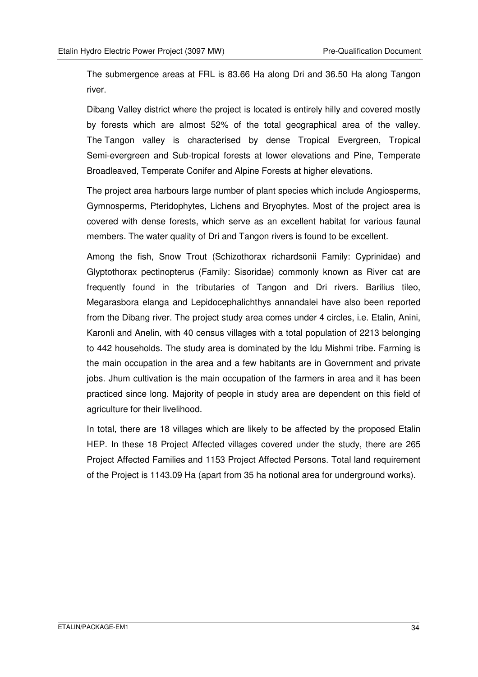The submergence areas at FRL is 83.66 Ha along Dri and 36.50 Ha along Tangon river.

Dibang Valley district where the project is located is entirely hilly and covered mostly by forests which are almost 52% of the total geographical area of the valley. The Tangon valley is characterised by dense Tropical Evergreen, Tropical Semi-evergreen and Sub-tropical forests at lower elevations and Pine, Temperate Broadleaved, Temperate Conifer and Alpine Forests at higher elevations.

The project area harbours large number of plant species which include Angiosperms, Gymnosperms, Pteridophytes, Lichens and Bryophytes. Most of the project area is covered with dense forests, which serve as an excellent habitat for various faunal members. The water quality of Dri and Tangon rivers is found to be excellent.

Among the fish, Snow Trout (Schizothorax richardsonii Family: Cyprinidae) and Glyptothorax pectinopterus (Family: Sisoridae) commonly known as River cat are frequently found in the tributaries of Tangon and Dri rivers. Barilius tileo, Megarasbora elanga and Lepidocephalichthys annandalei have also been reported from the Dibang river. The project study area comes under 4 circles, i.e. Etalin, Anini, Karonli and Anelin, with 40 census villages with a total population of 2213 belonging to 442 households. The study area is dominated by the Idu Mishmi tribe. Farming is the main occupation in the area and a few habitants are in Government and private jobs. Jhum cultivation is the main occupation of the farmers in area and it has been practiced since long. Majority of people in study area are dependent on this field of agriculture for their livelihood.

In total, there are 18 villages which are likely to be affected by the proposed Etalin HEP. In these 18 Project Affected villages covered under the study, there are 265 Project Affected Families and 1153 Project Affected Persons. Total land requirement of the Project is 1143.09 Ha (apart from 35 ha notional area for underground works).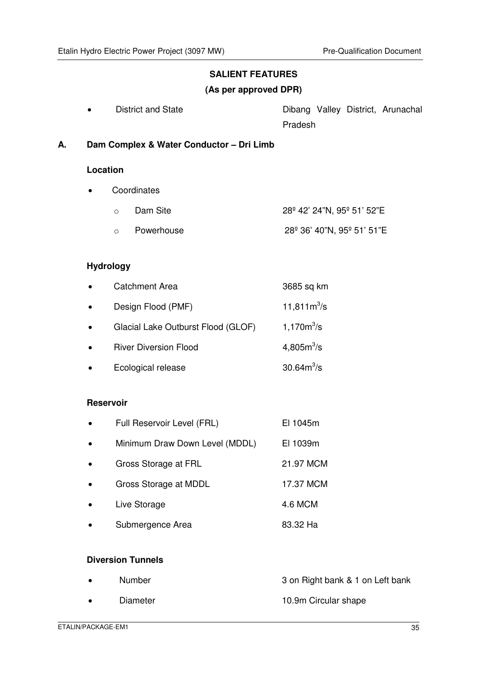# **SALIENT FEATURES**

#### **(As per approved DPR)**

| District and State |         |  | Dibang Valley District, Arunachal |
|--------------------|---------|--|-----------------------------------|
|                    | Pradesh |  |                                   |

**A. Dam Complex & Water Conductor – Dri Limb** 

#### **Location**

• Coordinates

| $\cap$ | Dam Site     | 28º 42' 24"N, 95º 51' 52"E |
|--------|--------------|----------------------------|
|        | ○ Powerhouse | 28° 36' 40"N, 95° 51' 51"E |

# **Hydrology**

|           | <b>Catchment Area</b>              | 3685 sq km             |
|-----------|------------------------------------|------------------------|
| $\bullet$ | Design Flood (PMF)                 | 11,811 $m^3$ /s        |
|           | Glacial Lake Outburst Flood (GLOF) | $1,170m^3/s$           |
|           | <b>River Diversion Flood</b>       | 4,805m <sup>3</sup> /s |
|           | Ecological release                 | $30.64m^{3}/s$         |

#### **Reservoir**

| $\bullet$ | Full Reservoir Level (FRL)     | EI 1045m  |
|-----------|--------------------------------|-----------|
| $\bullet$ | Minimum Draw Down Level (MDDL) | EI 1039m  |
| $\bullet$ | Gross Storage at FRL           | 21.97 MCM |
| $\bullet$ | Gross Storage at MDDL          | 17.37 MCM |
| $\bullet$ | Live Storage                   | 4.6 MCM   |
|           | Submergence Area               | 83.32 Ha  |

# **Diversion Tunnels**

| $\bullet$ | Number   | 3 on Right bank & 1 on Left bank |
|-----------|----------|----------------------------------|
| $\bullet$ | Diameter | 10.9m Circular shape             |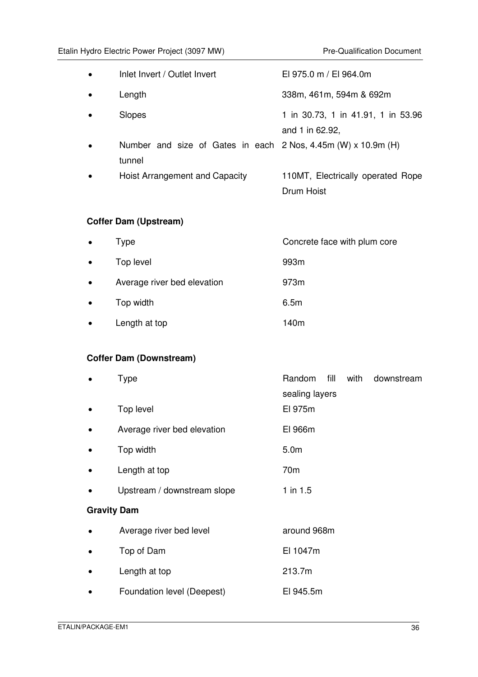| $\bullet$ | Inlet Invert / Outlet Invert                                              | El 975.0 m / El 964.0m                                |
|-----------|---------------------------------------------------------------------------|-------------------------------------------------------|
|           | Length                                                                    | 338m, 461m, 594m & 692m                               |
| $\bullet$ | Slopes                                                                    | 1 in 30.73, 1 in 41.91, 1 in 53.96<br>and 1 in 62.92, |
| $\bullet$ | Number and size of Gates in each $2$ Nos, 4.45m (W) x 10.9m (H)<br>tunnel |                                                       |
| $\bullet$ | Hoist Arrangement and Capacity                                            | 110MT, Electrically operated Rope<br>Drum Hoist       |

# **Coffer Dam (Upstream)**

| $\bullet$ | Type                        | Concrete face with plum core |
|-----------|-----------------------------|------------------------------|
| $\bullet$ | Top level                   | 993m                         |
| $\bullet$ | Average river bed elevation | 973m                         |
| $\bullet$ | Top width                   | 6.5m                         |
| $\bullet$ | Length at top               | 140m                         |

# **Coffer Dam (Downstream)**

|                    | Type                        | fill<br>Random<br>with<br>downstream<br>sealing layers |
|--------------------|-----------------------------|--------------------------------------------------------|
|                    | Top level                   | El 975m                                                |
|                    | Average river bed elevation | El 966m                                                |
|                    | Top width                   | 5.0 <sub>m</sub>                                       |
|                    | Length at top               | 70 <sub>m</sub>                                        |
|                    | Upstream / downstream slope | $1$ in 1.5                                             |
| <b>Gravity Dam</b> |                             |                                                        |
|                    | Average river bed level     | around 968m                                            |
|                    | Top of Dam                  | El 1047m                                               |
|                    | Length at top               | 213.7m                                                 |
|                    | Foundation level (Deepest)  | EI 945.5m                                              |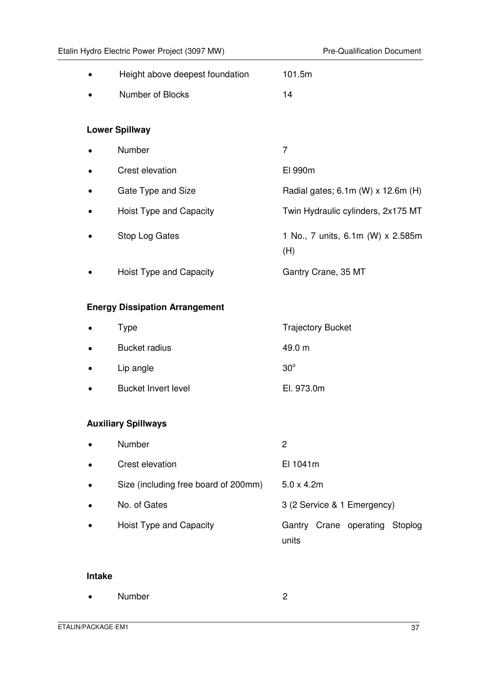| Height above deepest foundation       | 101.5m                                   |
|---------------------------------------|------------------------------------------|
| Number of Blocks                      | 14                                       |
|                                       |                                          |
| <b>Lower Spillway</b>                 |                                          |
| Number                                | 7                                        |
| Crest elevation                       | El 990m                                  |
| Gate Type and Size                    | Radial gates; 6.1m (W) x 12.6m (H)       |
| Hoist Type and Capacity               | Twin Hydraulic cylinders, 2x175 MT       |
| Stop Log Gates                        | 1 No., 7 units, 6.1m (W) x 2.585m<br>(H) |
| Hoist Type and Capacity               | Gantry Crane, 35 MT                      |
| <b>Energy Dissipation Arrangement</b> |                                          |
| <b>Type</b>                           | <b>Trajectory Bucket</b>                 |
| <b>Bucket radius</b>                  | 49.0 m                                   |
| Lip angle                             | $30^\circ$                               |
| <b>Bucket Invert level</b>            | El. 973.0m                               |
|                                       |                                          |
| <b>Auxiliary Spillways</b>            |                                          |
| Number                                | $\overline{2}$                           |
| Crest elevation                       | El 1041m                                 |
| Size (including free board of 200mm)  | $5.0 \times 4.2m$                        |
| No. of Gates                          | 3 (2 Service & 1 Emergency)              |
| Hoist Type and Capacity               | Gantry Crane operating Stoplog<br>units  |

### **Intake**

|  | <b>Number</b> |  |
|--|---------------|--|
|--|---------------|--|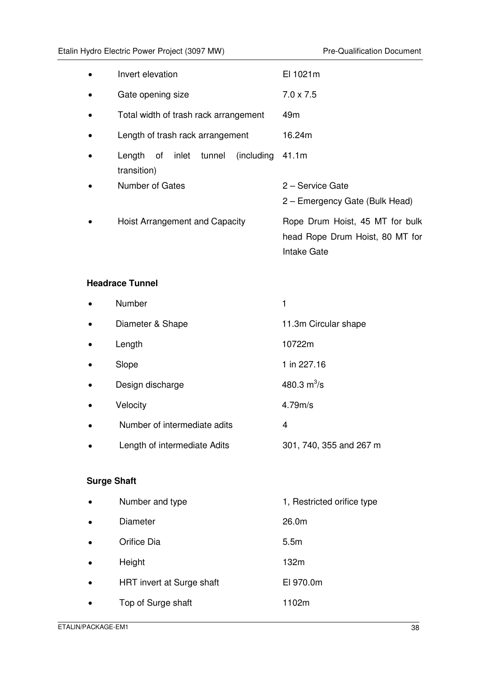|           | Invert elevation                                              | EI 1021m                                                                          |
|-----------|---------------------------------------------------------------|-----------------------------------------------------------------------------------|
| $\bullet$ | Gate opening size                                             | $7.0 \times 7.5$                                                                  |
|           | Total width of trash rack arrangement                         | 49 <sub>m</sub>                                                                   |
| $\bullet$ | Length of trash rack arrangement                              | 16.24m                                                                            |
|           | inlet<br>tunnel<br>(including)<br>Length<br>of<br>transition) | 41.1m                                                                             |
|           | Number of Gates                                               | 2 – Service Gate<br>2 – Emergency Gate (Bulk Head)                                |
|           | <b>Hoist Arrangement and Capacity</b>                         | Rope Drum Hoist, 45 MT for bulk<br>head Rope Drum Hoist, 80 MT for<br>Intake Gate |

#### **Headrace Tunnel**

|           | Number                       |                         |
|-----------|------------------------------|-------------------------|
| $\bullet$ | Diameter & Shape             | 11.3m Circular shape    |
| $\bullet$ | Length                       | 10722m                  |
|           | Slope                        | 1 in 227.16             |
|           | Design discharge             | 480.3 $m^3/s$           |
|           | Velocity                     | 4.79m/s                 |
|           | Number of intermediate adits | 4                       |
|           | Length of intermediate Adits | 301, 740, 355 and 267 m |

# **Surge Shaft**

| $\bullet$ | Number and type           | 1, Restricted orifice type |
|-----------|---------------------------|----------------------------|
| $\bullet$ | Diameter                  | 26.0m                      |
| $\bullet$ | Orifice Dia               | 5.5 <sub>m</sub>           |
| $\bullet$ | Height                    | 132m                       |
| $\bullet$ | HRT invert at Surge shaft | EI 970.0m                  |
| $\bullet$ | Top of Surge shaft        | 1102m                      |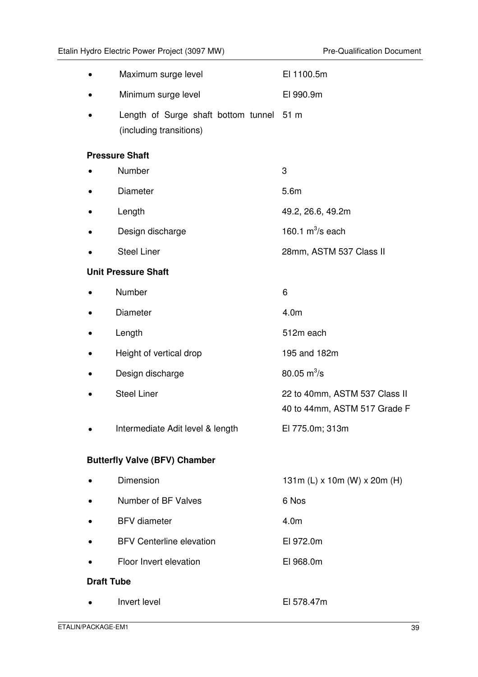|                   | Maximum surge level                                                 | El 1100.5m                                                    |
|-------------------|---------------------------------------------------------------------|---------------------------------------------------------------|
|                   | Minimum surge level                                                 | EI 990.9m                                                     |
|                   | Length of Surge shaft bottom tunnel 51 m<br>(including transitions) |                                                               |
|                   | <b>Pressure Shaft</b>                                               |                                                               |
|                   | Number                                                              | 3                                                             |
|                   | Diameter                                                            | 5.6m                                                          |
|                   | Length                                                              | 49.2, 26.6, 49.2m                                             |
|                   | Design discharge                                                    | 160.1 $m^3$ /s each                                           |
|                   | <b>Steel Liner</b>                                                  | 28mm, ASTM 537 Class II                                       |
|                   | <b>Unit Pressure Shaft</b>                                          |                                                               |
|                   | Number                                                              | 6                                                             |
|                   | Diameter                                                            | 4.0m                                                          |
|                   | Length                                                              | 512m each                                                     |
|                   | Height of vertical drop                                             | 195 and 182m                                                  |
|                   | Design discharge                                                    | 80.05 $m^3$ /s                                                |
|                   | <b>Steel Liner</b>                                                  | 22 to 40mm, ASTM 537 Class II<br>40 to 44mm, ASTM 517 Grade F |
|                   | Intermediate Adit level & length                                    | El 775.0m; 313m                                               |
|                   | <b>Butterfly Valve (BFV) Chamber</b>                                |                                                               |
|                   | <b>Dimension</b>                                                    | 131m (L) x 10m (W) x 20m (H)                                  |
|                   | Number of BF Valves                                                 | 6 Nos                                                         |
|                   | <b>BFV</b> diameter                                                 | 4.0 <sub>m</sub>                                              |
|                   | <b>BFV Centerline elevation</b>                                     | EI 972.0m                                                     |
|                   | Floor Invert elevation                                              | EI 968.0m                                                     |
| <b>Draft Tube</b> |                                                                     |                                                               |
|                   | Invert level                                                        | El 578.47m                                                    |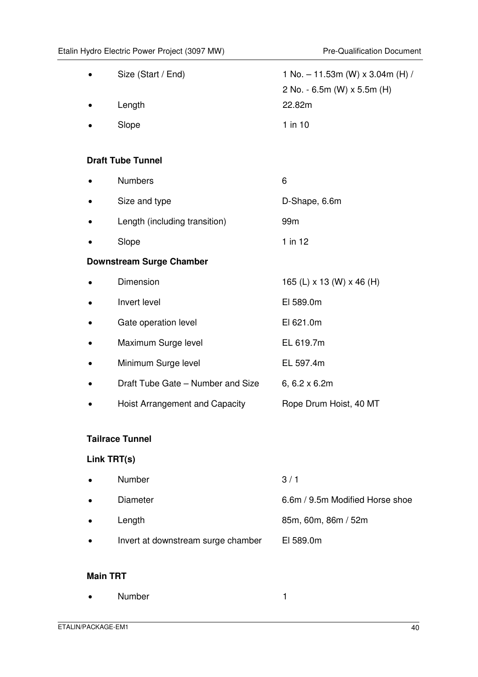| Size (Start / End)                | 1 No. - 11.53m (W) x 3.04m (H) /<br>2 No. - 6.5m (W) x 5.5m (H)<br>22.82m |
|-----------------------------------|---------------------------------------------------------------------------|
| Length                            |                                                                           |
| Slope                             | $1$ in $10$                                                               |
|                                   |                                                                           |
| <b>Draft Tube Tunnel</b>          |                                                                           |
| <b>Numbers</b>                    | 6                                                                         |
| Size and type                     | D-Shape, 6.6m                                                             |
| Length (including transition)     | 99m                                                                       |
| Slope                             | $1$ in $12$                                                               |
| <b>Downstream Surge Chamber</b>   |                                                                           |
| Dimension                         | 165 (L) x 13 (W) x 46 (H)                                                 |
| Invert level                      | EI 589.0m                                                                 |
| Gate operation level              | EI 621.0m                                                                 |
| Maximum Surge level               | EL 619.7m                                                                 |
| Minimum Surge level               | EL 597.4m                                                                 |
| Draft Tube Gate - Number and Size | 6, 6.2 x 6.2m                                                             |
| Hoist Arrangement and Capacity    | Rope Drum Hoist, 40 MT                                                    |
|                                   |                                                                           |

# **Tailrace Tunnel**

# **Link TRT(s)**

| $\bullet$ | Number                             | 3/1                             |
|-----------|------------------------------------|---------------------------------|
| $\bullet$ | Diameter                           | 6.6m / 9.5m Modified Horse shoe |
| $\bullet$ | Length                             | 85m, 60m, 86m / 52m             |
| $\bullet$ | Invert at downstream surge chamber | EI 589.0m                       |

### **Main TRT**

• Number 1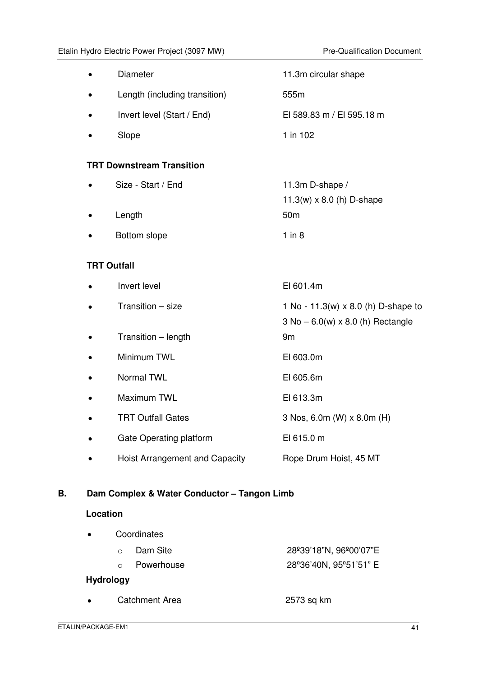|                    | Diameter                              | 11.3m circular shape                       |  |
|--------------------|---------------------------------------|--------------------------------------------|--|
|                    |                                       |                                            |  |
|                    | Length (including transition)         | 555m                                       |  |
|                    | Invert level (Start / End)            | El 589.83 m / El 595.18 m                  |  |
|                    | Slope                                 | 1 in 102                                   |  |
|                    | <b>TRT Downstream Transition</b>      |                                            |  |
|                    | Size - Start / End                    | 11.3m D-shape /                            |  |
|                    |                                       | 11.3(w) $\times$ 8.0 (h) D-shape           |  |
|                    | Length                                | 50 <sub>m</sub>                            |  |
|                    | Bottom slope                          | $1$ in $8$                                 |  |
|                    |                                       |                                            |  |
| <b>TRT Outfall</b> |                                       |                                            |  |
|                    | Invert level                          | EI 601.4m                                  |  |
|                    | Transition - size                     | 1 No - 11.3(w) $\times$ 8.0 (h) D-shape to |  |
|                    |                                       | $3$ No $-6.0(w) \times 8.0$ (h) Rectangle  |  |
|                    | Transition - length                   | 9m                                         |  |
|                    | Minimum TWL                           | EI 603.0m                                  |  |
|                    | Normal TWL                            | EI 605.6m                                  |  |
|                    | Maximum TWL                           | El 613.3m                                  |  |
|                    | <b>TRT Outfall Gates</b>              | 3 Nos, 6.0m (W) x 8.0m (H)                 |  |
|                    | Gate Operating platform               | El 615.0 m                                 |  |
|                    | <b>Hoist Arrangement and Capacity</b> | Rope Drum Hoist, 45 MT                     |  |
|                    |                                       |                                            |  |

# **B. Dam Complex & Water Conductor – Tangon Limb**

#### **Location**

| $\bullet$ | Coordinates  |                        |
|-----------|--------------|------------------------|
|           | ○ Dam Site   | 28º39'18"N, 96º00'07"E |
|           | o Powerhouse | 28°36'40N, 95°51'51" E |

# **Hydrology**

• Catchment Area 2573 sq km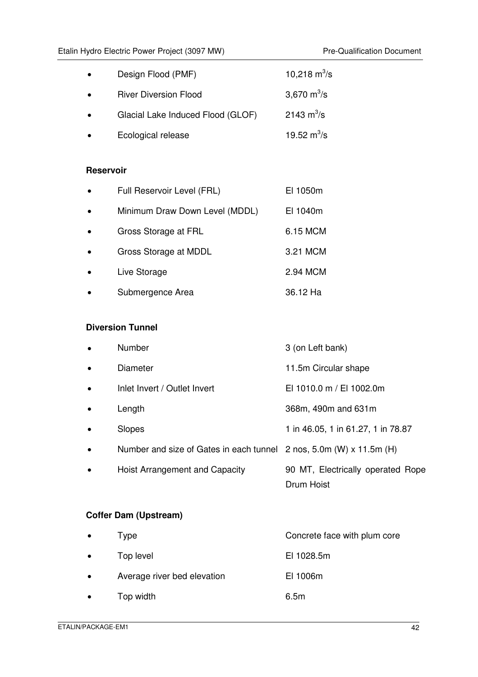| $\bullet$ | Design Flood (PMF)                | 10,218 $\text{m}^3/\text{s}$ |
|-----------|-----------------------------------|------------------------------|
| $\bullet$ | <b>River Diversion Flood</b>      | 3,670 $m^3/s$                |
| $\bullet$ | Glacial Lake Induced Flood (GLOF) | $2143 \text{ m}^3\text{/s}$  |
| $\bullet$ | Ecological release                | 19.52 $m^3$ /s               |

#### **Reservoir**

| $\bullet$ | Full Reservoir Level (FRL)     | EI 1050m |
|-----------|--------------------------------|----------|
| $\bullet$ | Minimum Draw Down Level (MDDL) | El 1040m |
| $\bullet$ | Gross Storage at FRL           | 6.15 MCM |
| $\bullet$ | Gross Storage at MDDL          | 3.21 MCM |
| $\bullet$ | Live Storage                   | 2.94 MCM |
|           | Submergence Area               | 36.12 Ha |

### **Diversion Tunnel**

|           | Number                                  | 3 (on Left bank)                                |
|-----------|-----------------------------------------|-------------------------------------------------|
|           | Diameter                                | 11.5m Circular shape                            |
| $\bullet$ | Inlet Invert / Outlet Invert            | EI 1010.0 m / EI 1002.0m                        |
|           | Length                                  | 368m, 490m and 631m                             |
|           | <b>Slopes</b>                           | 1 in 46.05, 1 in 61.27, 1 in 78.87              |
|           | Number and size of Gates in each tunnel | 2 nos, 5.0m (W) $\times$ 11.5m (H)              |
|           | Hoist Arrangement and Capacity          | 90 MT, Electrically operated Rope<br>Drum Hoist |

# **Coffer Dam (Upstream)**

| $\bullet$ | I vpe                       | Concrete face with plum core |
|-----------|-----------------------------|------------------------------|
| $\bullet$ | Top level                   | EI 1028.5m                   |
| $\bullet$ | Average river bed elevation | EI 1006m                     |
| $\bullet$ | Top width                   | 6.5m                         |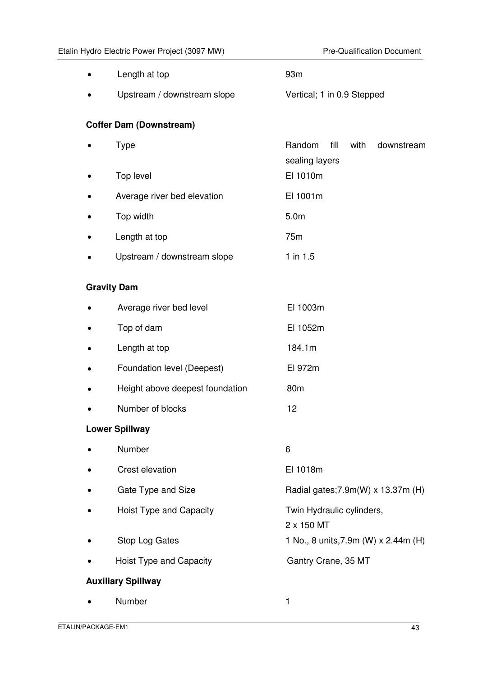|                           | Length at top                   | 93m                                                    |  |
|---------------------------|---------------------------------|--------------------------------------------------------|--|
|                           | Upstream / downstream slope     | Vertical; 1 in 0.9 Stepped                             |  |
|                           | <b>Coffer Dam (Downstream)</b>  |                                                        |  |
|                           | <b>Type</b>                     | Random<br>fill<br>with<br>downstream<br>sealing layers |  |
|                           | Top level                       | El 1010m                                               |  |
|                           | Average river bed elevation     | El 1001m                                               |  |
|                           | Top width                       | 5.0 <sub>m</sub>                                       |  |
|                           | Length at top                   | 75m                                                    |  |
|                           | Upstream / downstream slope     | $1$ in $1.5$                                           |  |
|                           | <b>Gravity Dam</b>              |                                                        |  |
|                           | Average river bed level         | El 1003m                                               |  |
|                           | Top of dam                      | El 1052m                                               |  |
|                           | Length at top                   | 184.1m                                                 |  |
|                           | Foundation level (Deepest)      | El 972m                                                |  |
|                           | Height above deepest foundation | 80m                                                    |  |
|                           | Number of blocks                | 12                                                     |  |
|                           | <b>Lower Spillway</b>           |                                                        |  |
|                           | Number                          | 6                                                      |  |
|                           | Crest elevation                 | El 1018m                                               |  |
|                           | Gate Type and Size              | Radial gates; 7.9m(W) x 13.37m (H)                     |  |
|                           | Hoist Type and Capacity         | Twin Hydraulic cylinders,<br>2 x 150 MT                |  |
|                           | Stop Log Gates                  | 1 No., 8 units, 7.9m (W) x 2.44m (H)                   |  |
|                           | Hoist Type and Capacity         | Gantry Crane, 35 MT                                    |  |
| <b>Auxiliary Spillway</b> |                                 |                                                        |  |
|                           | Number                          | 1                                                      |  |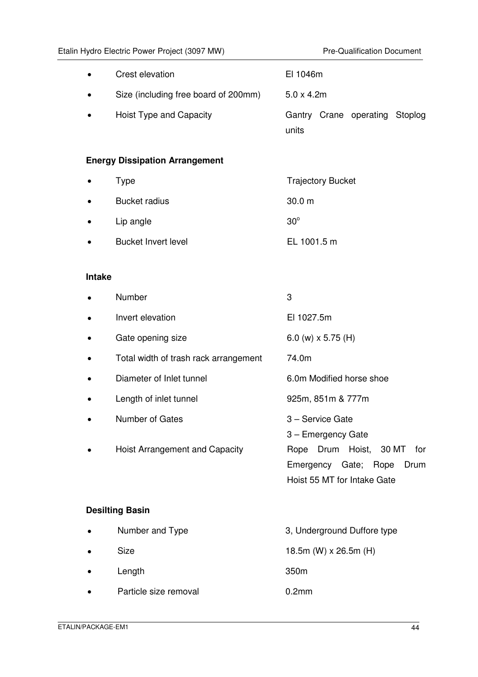|               | Etalin Hydro Electric Power Project (3097 MW) | <b>Pre-Qualification Document</b>                                                            |
|---------------|-----------------------------------------------|----------------------------------------------------------------------------------------------|
|               | Crest elevation                               | El 1046m                                                                                     |
|               | Size (including free board of 200mm)          | $5.0 \times 4.2m$                                                                            |
|               | Hoist Type and Capacity                       | Gantry Crane operating<br>Stoplog<br>units                                                   |
|               | <b>Energy Dissipation Arrangement</b>         |                                                                                              |
| ٠             | <b>Type</b>                                   | <b>Trajectory Bucket</b>                                                                     |
|               | <b>Bucket radius</b>                          | 30.0 m                                                                                       |
|               | Lip angle                                     | $30^\circ$                                                                                   |
|               | <b>Bucket Invert level</b>                    | EL 1001.5 m                                                                                  |
| <b>Intake</b> |                                               |                                                                                              |
|               | Number                                        | 3                                                                                            |
|               | Invert elevation                              | El 1027.5m                                                                                   |
|               | Gate opening size                             | 6.0 (w) $\times$ 5.75 (H)                                                                    |
|               | Total width of trash rack arrangement         | 74.0m                                                                                        |
|               | Diameter of Inlet tunnel                      | 6.0m Modified horse shoe                                                                     |
|               | Length of inlet tunnel                        | 925m, 851m & 777m                                                                            |
|               | Number of Gates                               | 3 - Service Gate<br>3 - Emergency Gate                                                       |
|               | Hoist Arrangement and Capacity                | Rope Drum Hoist, 30 MT<br>for<br>Emergency Gate; Rope<br>Drum<br>Hoist 55 MT for Intake Gate |
|               | <b>Desilting Basin</b>                        |                                                                                              |
|               | Number and Type                               | 3, Underground Duffore type                                                                  |
|               | <b>Size</b>                                   | 18.5m (W) x 26.5m (H)                                                                        |

• Particle size removal 0.2mm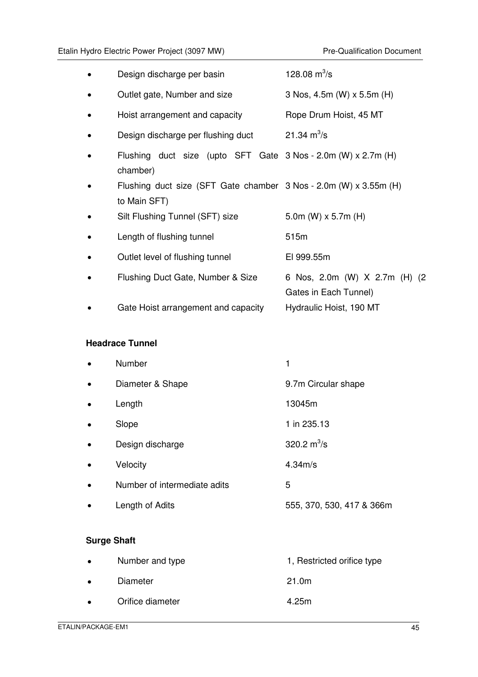|           | Design discharge per basin                                                        | 128.08 $m^3/s$                                         |
|-----------|-----------------------------------------------------------------------------------|--------------------------------------------------------|
| $\bullet$ | Outlet gate, Number and size                                                      | 3 Nos, 4.5m (W) x 5.5m (H)                             |
| $\bullet$ | Hoist arrangement and capacity                                                    | Rope Drum Hoist, 45 MT                                 |
| $\bullet$ | Design discharge per flushing duct                                                | 21.34 $m^3/s$                                          |
|           | Flushing duct size (upto SFT Gate $3$ Nos - $2.0$ m (W) x $2.7$ m (H)<br>chamber) |                                                        |
|           | Flushing duct size (SFT Gate chamber 3 Nos - 2.0m (W) x 3.55m (H)<br>to Main SFT) |                                                        |
|           | Silt Flushing Tunnel (SFT) size                                                   | 5.0m (W) $\times$ 5.7m (H)                             |
|           | Length of flushing tunnel                                                         | 515m                                                   |
|           | Outlet level of flushing tunnel                                                   | El 999.55m                                             |
|           | Flushing Duct Gate, Number & Size                                                 | 6 Nos, 2.0m (W) X 2.7m (H) (2<br>Gates in Each Tunnel) |
|           | Gate Hoist arrangement and capacity                                               | Hydraulic Hoist, 190 MT                                |

# **Headrace Tunnel**

|           | Number                       |                           |
|-----------|------------------------------|---------------------------|
| $\bullet$ | Diameter & Shape             | 9.7m Circular shape       |
| $\bullet$ | Length                       | 13045m                    |
| $\bullet$ | Slope                        | 1 in 235.13               |
|           | Design discharge             | 320.2 $m^3/s$             |
|           | Velocity                     | 4.34 <sub>m/s</sub>       |
|           | Number of intermediate adits | 5                         |
|           | Length of Adits              | 555, 370, 530, 417 & 366m |

# **Surge Shaft**

| $\bullet$ | Number and type  | 1, Restricted orifice type |
|-----------|------------------|----------------------------|
| $\bullet$ | Diameter         | 21.0m                      |
| $\bullet$ | Orifice diameter | 4.25m                      |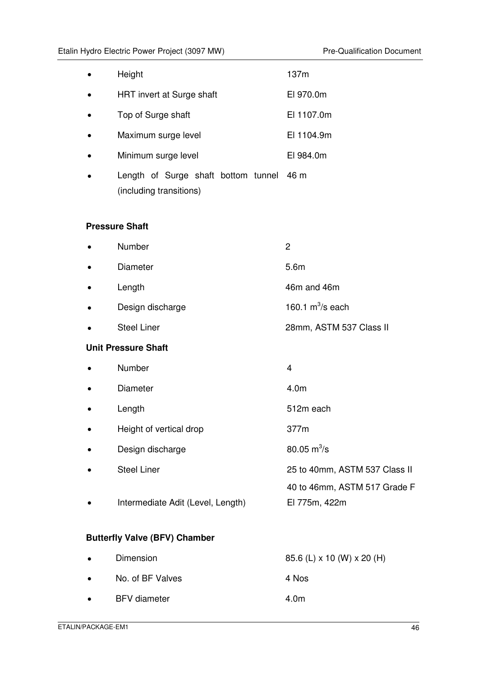| Height                                                              | 137m                |
|---------------------------------------------------------------------|---------------------|
| HRT invert at Surge shaft                                           | EI 970.0m           |
| Top of Surge shaft                                                  | EI 1107.0m          |
| Maximum surge level                                                 | EI 1104.9m          |
| Minimum surge level                                                 | EI 984.0m           |
| Length of Surge shaft bottom tunnel 46 m<br>(including transitions) |                     |
| <b>Pressure Shaft</b>                                               |                     |
| Number                                                              | $\overline{2}$      |
| <b>Diameter</b>                                                     | 5.6m                |
| Length                                                              | 46m and 46m         |
| Design discharge                                                    | 160.1 $m^3$ /s each |
|                                                                     |                     |

# • Steel Liner 28mm, ASTM 537 Class II

#### **Unit Pressure Shaft**

|           | Number                            | 4                             |
|-----------|-----------------------------------|-------------------------------|
| $\bullet$ | <b>Diameter</b>                   | 4.0m                          |
| $\bullet$ | Length                            | 512m each                     |
| $\bullet$ | Height of vertical drop           | 377m                          |
| $\bullet$ | Design discharge                  | 80.05 $\rm m^3/s$             |
| $\bullet$ | <b>Steel Liner</b>                | 25 to 40mm, ASTM 537 Class II |
|           |                                   | 40 to 46mm, ASTM 517 Grade F  |
|           | Intermediate Adit (Level, Length) | El 775m, 422m                 |
|           |                                   |                               |
|           |                                   |                               |

# **Butterfly Valve (BFV) Chamber**

| $\bullet$ | Dimension           | 85.6 (L) x 10 (W) x 20 (H) |
|-----------|---------------------|----------------------------|
| $\bullet$ | No. of BF Valves    | 4 Nos                      |
| $\bullet$ | <b>BFV</b> diameter | 4.0m                       |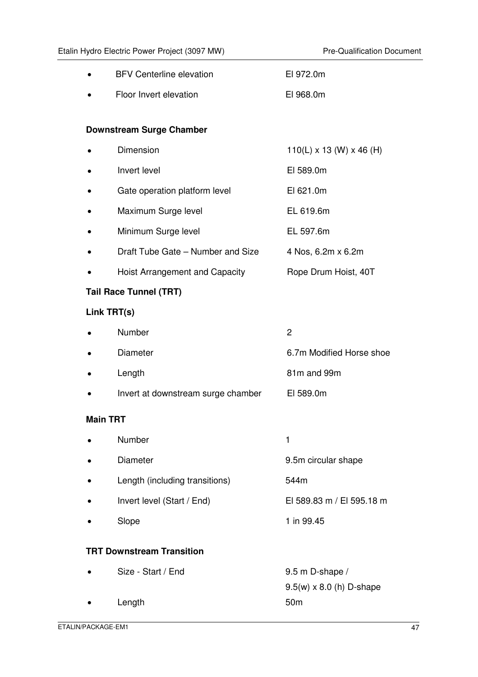|                 | <b>BFV Centerline elevation</b>    | El 972.0m                                          |
|-----------------|------------------------------------|----------------------------------------------------|
|                 | Floor Invert elevation             | El 968.0m                                          |
|                 |                                    |                                                    |
|                 | <b>Downstream Surge Chamber</b>    |                                                    |
|                 | Dimension                          | $110(L) \times 13$ (W) $\times$ 46 (H)             |
|                 | Invert level                       | EI 589.0m                                          |
|                 | Gate operation platform level      | EI 621.0m                                          |
|                 | Maximum Surge level                | EL 619.6m                                          |
|                 | Minimum Surge level                | EL 597.6m                                          |
|                 | Draft Tube Gate - Number and Size  | 4 Nos, 6.2m x 6.2m                                 |
|                 | Hoist Arrangement and Capacity     | Rope Drum Hoist, 40T                               |
|                 | <b>Tail Race Tunnel (TRT)</b>      |                                                    |
| Link TRT(s)     |                                    |                                                    |
|                 | Number                             | $\overline{c}$                                     |
|                 | Diameter                           | 6.7m Modified Horse shoe                           |
|                 | Length                             | 81m and 99m                                        |
|                 | Invert at downstream surge chamber | EI 589.0m                                          |
| <b>Main TRT</b> |                                    |                                                    |
|                 | Number                             | 1                                                  |
|                 | Diameter                           | 9.5m circular shape                                |
|                 | Length (including transitions)     | 544m                                               |
|                 | Invert level (Start / End)         | El 589.83 m / El 595.18 m                          |
|                 | Slope                              | 1 in 99.45                                         |
|                 | <b>TRT Downstream Transition</b>   |                                                    |
|                 | Size - Start / End                 | 9.5 m D-shape /<br>$9.5(w) \times 8.0$ (h) D-shape |

• Length 50m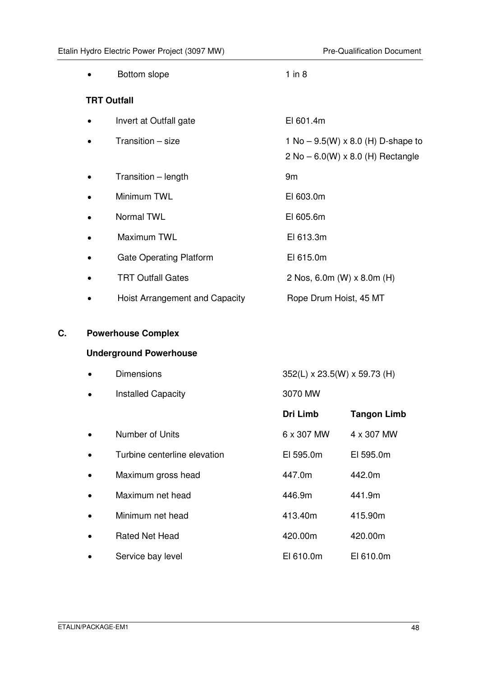| Bottom slope                   | $1$ in $8$                                                                         |
|--------------------------------|------------------------------------------------------------------------------------|
| <b>TRT Outfall</b>             |                                                                                    |
| Invert at Outfall gate         | EI 601.4m                                                                          |
| Transition - size              | 1 No – $9.5(W) \times 8.0$ (H) D-shape to<br>$2$ No $-$ 6.0(W) x 8.0 (H) Rectangle |
| Transition – length            | 9m                                                                                 |
| Minimum TWL                    | EI 603.0m                                                                          |
| <b>Normal TWL</b>              | EI 605.6m                                                                          |
| Maximum TWL                    | EI 613.3m                                                                          |
| <b>Gate Operating Platform</b> | EI 615.0m                                                                          |
| <b>TRT Outfall Gates</b>       | 2 Nos, 6.0m (W) x 8.0m (H)                                                         |
| Hoist Arrangement and Capacity | Rope Drum Hoist, 45 MT                                                             |

# **C. Powerhouse Complex**

# **Underground Powerhouse**

|           | <b>Dimensions</b>            | 352(L) x 23.5(W) x 59.73 (H) |                    |
|-----------|------------------------------|------------------------------|--------------------|
| $\bullet$ | <b>Installed Capacity</b>    | 3070 MW                      |                    |
|           |                              | Dri Limb                     | <b>Tangon Limb</b> |
|           | Number of Units              | 6 x 307 MW                   | 4 x 307 MW         |
|           | Turbine centerline elevation | EI 595.0m                    | EI 595.0m          |
| $\bullet$ | Maximum gross head           | 447.0m                       | 442.0m             |
|           | Maximum net head             | 446.9m                       | 441.9m             |
|           | Minimum net head             | 413.40m                      | 415.90m            |
|           | <b>Rated Net Head</b>        | 420.00m                      | 420.00m            |
|           | Service bay level            | EI 610.0m                    | EI 610.0m          |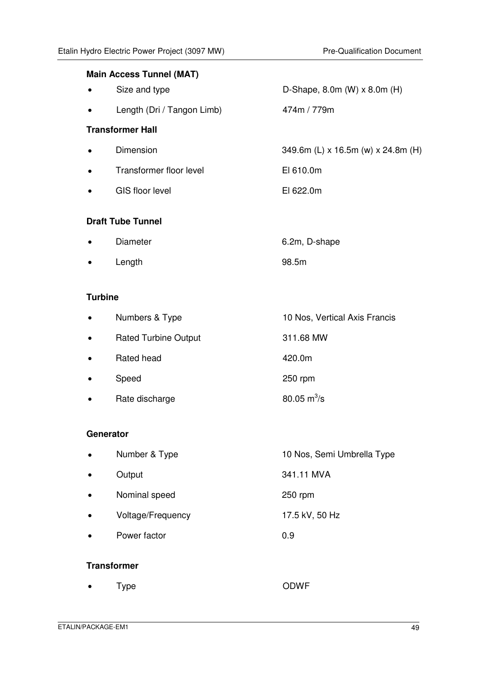| <b>Main Access Tunnel (MAT)</b> |                            |                                        |  |
|---------------------------------|----------------------------|----------------------------------------|--|
| $\bullet$                       | Size and type              | D-Shape, 8.0m $(W) \times 8.0$ m $(H)$ |  |
| $\bullet$                       | Length (Dri / Tangon Limb) | 474m / 779m                            |  |
| <b>Transformer Hall</b>         |                            |                                        |  |
| $\bullet$                       | Dimension                  | 349.6m (L) x 16.5m (w) x 24.8m (H)     |  |
| $\bullet$                       | Transformer floor level    | EI 610.0m                              |  |
| $\bullet$                       | <b>GIS floor level</b>     | EI 622.0m                              |  |
| <b>Draft Tube Tunnel</b>        |                            |                                        |  |
|                                 | Diameter                   | 6.2m, D-shape                          |  |

• Length 98.5m

#### **Turbine**

| $\bullet$ | Numbers & Type              | 10 Nos, Vertical Axis Francis |
|-----------|-----------------------------|-------------------------------|
| $\bullet$ | <b>Rated Turbine Output</b> | 311.68 MW                     |
| $\bullet$ | Rated head                  | 420.0m                        |
| $\bullet$ | Speed                       | 250 rpm                       |
| $\bullet$ | Rate discharge              | 80.05 $m^3$ /s                |
|           |                             |                               |

#### **Generator**

| $\bullet$   | Number & Type     | 10 Nos, Semi Umbrella Type |
|-------------|-------------------|----------------------------|
| $\bullet$   | Output            | 341.11 MVA                 |
| $\bullet$   | Nominal speed     | 250 rpm                    |
| $\bullet$   | Voltage/Frequency | 17.5 kV, 50 Hz             |
| $\bullet$   | Power factor      | 0.9                        |
| Transformer |                   |                            |

| $\bullet$ |      | <b>ODWF</b> |
|-----------|------|-------------|
|           | Type |             |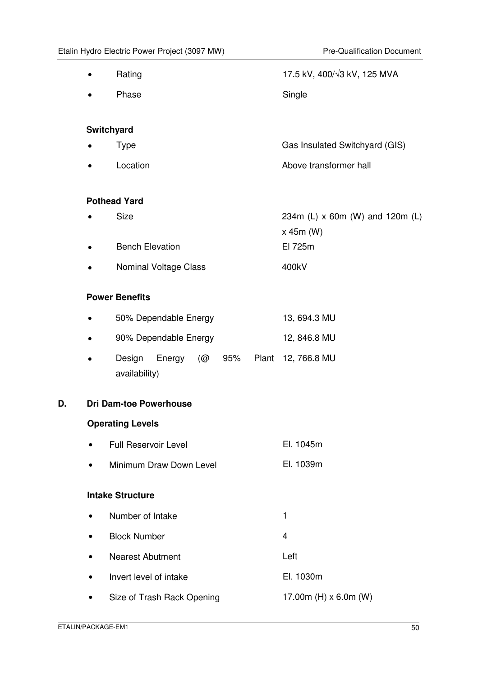|    |           | Rating                                                  | 17.5 kV, 400/ $\sqrt{3}$ kV, 125 MVA |
|----|-----------|---------------------------------------------------------|--------------------------------------|
|    |           | Phase                                                   | Single                               |
|    |           |                                                         |                                      |
|    | $\bullet$ | Switchyard<br><b>Type</b>                               | Gas Insulated Switchyard (GIS)       |
|    |           |                                                         |                                      |
|    | $\bullet$ | Location                                                | Above transformer hall               |
|    |           | <b>Pothead Yard</b>                                     |                                      |
|    |           | <b>Size</b>                                             | 234m (L) x 60m (W) and 120m (L)      |
|    |           |                                                         | $x$ 45m (W)                          |
|    | $\bullet$ | <b>Bench Elevation</b>                                  | El 725m                              |
|    |           | Nominal Voltage Class                                   | 400kV                                |
|    |           | <b>Power Benefits</b>                                   |                                      |
|    | $\bullet$ | 50% Dependable Energy                                   | 13, 694.3 MU                         |
|    |           |                                                         |                                      |
|    | $\bullet$ | 90% Dependable Energy                                   | 12, 846.8 MU                         |
|    | $\bullet$ | Design<br>Energy<br>(@<br>95%<br>Plant<br>availability) | 12, 766.8 MU                         |
| D. |           | <b>Dri Dam-toe Powerhouse</b>                           |                                      |
|    |           | <b>Operating Levels</b>                                 |                                      |
|    | $\bullet$ | Full Reservoir Level                                    | El. 1045m                            |
|    | $\bullet$ | Minimum Draw Down Level                                 | El. 1039m                            |
|    |           | <b>Intake Structure</b>                                 |                                      |
|    | $\bullet$ | Number of Intake                                        | 1                                    |
|    | $\bullet$ | <b>Block Number</b>                                     | 4                                    |
|    |           | <b>Nearest Abutment</b>                                 | Left                                 |
|    |           | Invert level of intake                                  | El. 1030m                            |
|    |           | Size of Trash Rack Opening                              | 17.00m (H) $\times$ 6.0m (W)         |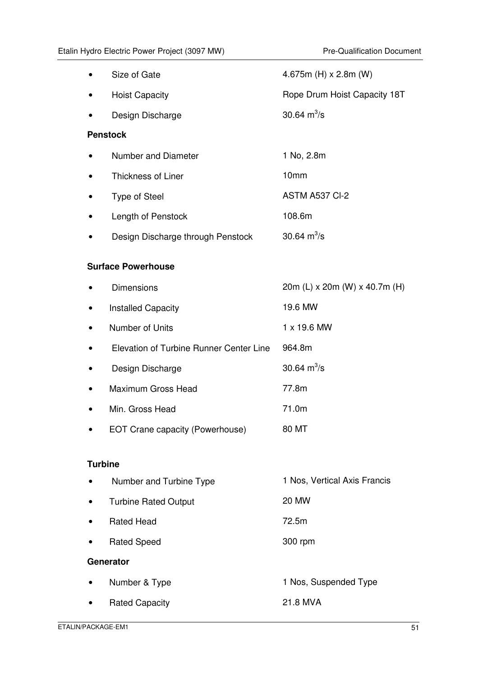| Size of Gate                            | 4.675m (H) $\times$ 2.8m (W)  |
|-----------------------------------------|-------------------------------|
| <b>Hoist Capacity</b>                   | Rope Drum Hoist Capacity 18T  |
| Design Discharge                        | 30.64 $m^3/s$                 |
| <b>Penstock</b>                         |                               |
| <b>Number and Diameter</b>              | 1 No, 2.8m                    |
| <b>Thickness of Liner</b>               | 10mm                          |
| <b>Type of Steel</b>                    | ASTM A537 CI-2                |
| Length of Penstock                      | 108.6m                        |
| Design Discharge through Penstock       | 30.64 $m^3/s$                 |
| <b>Surface Powerhouse</b>               |                               |
|                                         |                               |
| <b>Dimensions</b>                       | 20m (L) x 20m (W) x 40.7m (H) |
| <b>Installed Capacity</b>               | 19.6 MW                       |
| Number of Units                         | 1 x 19.6 MW                   |
| Elevation of Turbine Runner Center Line | 964.8m                        |
| Design Discharge                        | 30.64 $m^3/s$                 |
| Maximum Gross Head                      | 77.8m                         |
| Min. Gross Head                         | 71.0m                         |
| EOT Crane capacity (Powerhouse)         | 80 MT                         |
|                                         |                               |
| <b>Turbine</b>                          |                               |
| Number and Turbine Type                 | 1 Nos, Vertical Axis Francis  |
| <b>Turbine Rated Output</b>             | <b>20 MW</b>                  |
| <b>Rated Head</b>                       | 72.5m                         |
| <b>Rated Speed</b>                      | 300 rpm                       |
| Generator                               |                               |
| Number & Type                           | 1 Nos, Suspended Type         |
| <b>Rated Capacity</b>                   | 21.8 MVA                      |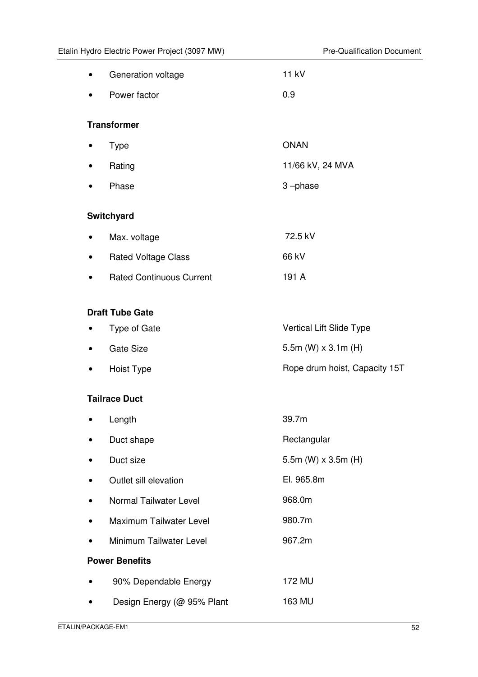|           | Generation voltage              | 11 kV                         |
|-----------|---------------------------------|-------------------------------|
|           | Power factor                    | 0.9                           |
|           | <b>Transformer</b>              |                               |
|           | <b>Type</b>                     | <b>ONAN</b>                   |
| $\bullet$ | Rating                          | 11/66 kV, 24 MVA              |
|           | Phase                           | 3-phase                       |
|           | Switchyard                      |                               |
|           | Max. voltage                    | 72.5 kV                       |
|           | <b>Rated Voltage Class</b>      | 66 kV                         |
|           | <b>Rated Continuous Current</b> | 191 A                         |
|           |                                 |                               |
|           | <b>Draft Tube Gate</b>          |                               |
|           | Type of Gate                    | Vertical Lift Slide Type      |
|           | <b>Gate Size</b>                | 5.5m (W) $\times$ 3.1m (H)    |
|           | Hoist Type                      | Rope drum hoist, Capacity 15T |
|           | <b>Tailrace Duct</b>            |                               |
|           | Length                          | 39.7m                         |
|           | Duct shape                      | Rectangular                   |
|           | Duct size                       | 5.5m (W) $\times$ 3.5m (H)    |
|           | Outlet sill elevation           | El. 965.8m                    |
|           | Normal Tailwater Level          | 968.0m                        |
|           | Maximum Tailwater Level         | 980.7m                        |
|           | Minimum Tailwater Level         | 967.2m                        |
|           | <b>Power Benefits</b>           |                               |
|           | 90% Dependable Energy           | 172 MU                        |
|           | Design Energy (@ 95% Plant      | 163 MU                        |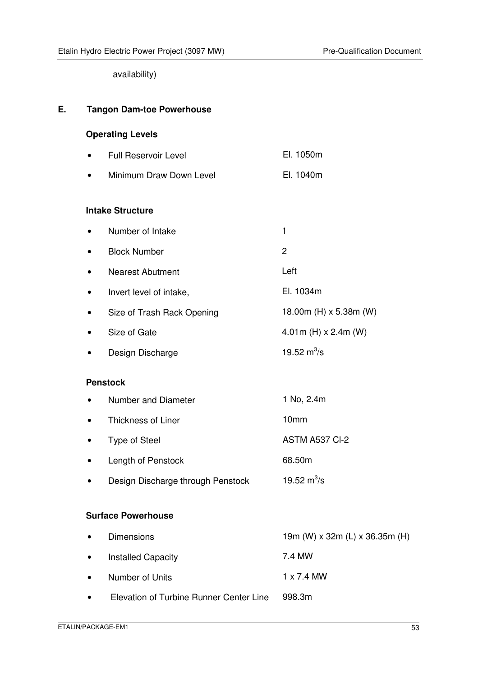availability)

#### **E. Tangon Dam-toe Powerhouse**

#### **Operating Levels**

- Full Reservoir Level **El. 1050m**
- Minimum Draw Down Level **El. 1040m**

#### **Intake Structure**

- Number of Intake 1 • Block Number 2
- Nearest Abutment Left
- Invert level of intake, El. 1034m
- Size of Trash Rack Opening 18.00m (H) x 5.38m (W)
- Size of Gate  $4.01m$  (H)  $\times$  2.4m (W)
- Design Discharge 19.52  $m^3/s$

#### **Penstock**

| Number and Diameter | 1 No, 2.4m            |
|---------------------|-----------------------|
| Thickness of Liner  | 10 <sub>mm</sub>      |
| Type of Steel       | <b>ASTM A537 CI-2</b> |
| Length of Penstock  | 68.50m                |

• Design Discharge through Penstock 19.52  $m^3/s$ 

#### **Surface Powerhouse**

| $\bullet$ | <b>Dimensions</b>                       | 19m (W) x 32m (L) x 36.35m (H) |
|-----------|-----------------------------------------|--------------------------------|
| $\bullet$ | <b>Installed Capacity</b>               | 7.4 MW                         |
| $\bullet$ | Number of Units                         | 1 x 7.4 MW                     |
| $\bullet$ | Elevation of Turbine Runner Center Line | 998.3m                         |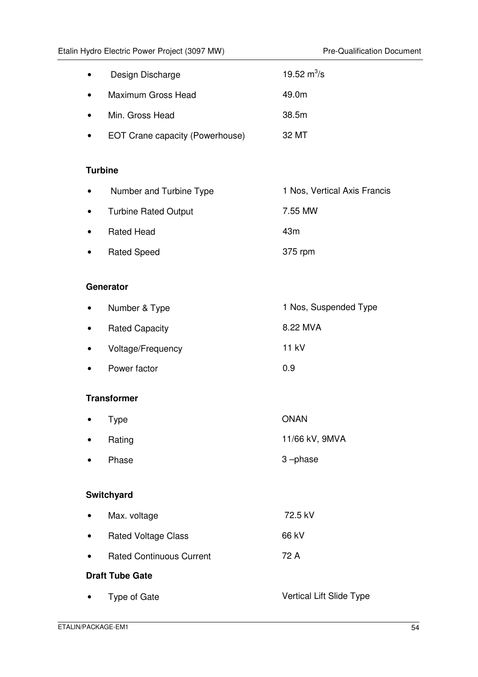| $\bullet$ | Design Discharge                | 19.52 $\rm m^3/s$ |
|-----------|---------------------------------|-------------------|
| $\bullet$ | Maximum Gross Head              | 49.0m             |
| $\bullet$ | Min. Gross Head                 | 38.5m             |
|           | EOT Crane capacity (Powerhouse) | 32 MT             |

#### **Turbine**

| $\bullet$ | Number and Turbine Type     | 1 Nos, Vertical Axis Francis |
|-----------|-----------------------------|------------------------------|
| $\bullet$ | <b>Turbine Rated Output</b> | 7.55 MW                      |
| $\bullet$ | <b>Rated Head</b>           | 43m                          |
| $\bullet$ | <b>Rated Speed</b>          | 375 rpm                      |

### **Generator**

| $\bullet$ | Number & Type         | 1 Nos, Suspended Type |
|-----------|-----------------------|-----------------------|
| $\bullet$ | <b>Rated Capacity</b> | 8.22 MVA              |
| $\bullet$ | Voltage/Frequency     | 11 kV                 |
| $\bullet$ | Power factor          | 0.9                   |

### **Transformer**

| $\bullet$ | Type   | <b>ONAN</b>    |
|-----------|--------|----------------|
| $\bullet$ | Rating | 11/66 kV, 9MVA |
| $\bullet$ | Phase  | 3-phase        |

# **Switchyard**

| $\bullet$ | Max. voltage                    | 72.5 kV                  |
|-----------|---------------------------------|--------------------------|
| $\bullet$ | <b>Rated Voltage Class</b>      | 66 kV                    |
| $\bullet$ | <b>Rated Continuous Current</b> | 72 A                     |
|           | <b>Draft Tube Gate</b>          |                          |
| $\bullet$ | Type of Gate                    | Vertical Lift Slide Type |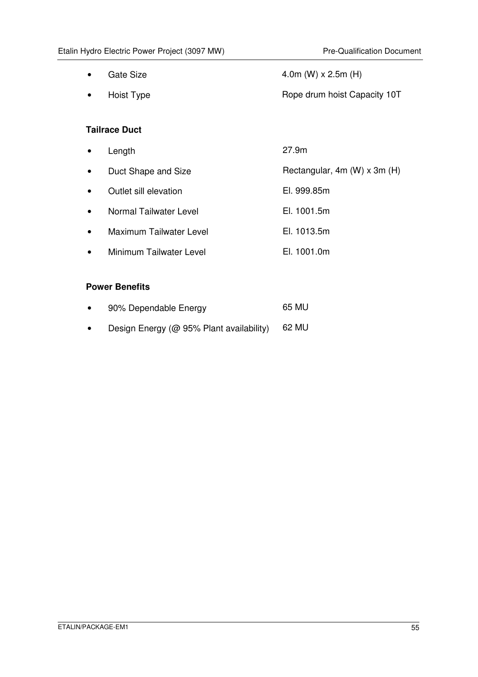• Gate Size  $4.0m$  (W) x 2.5m (H) • Hoist Type **Rope drum hoist Capacity 10T** 

# **Tailrace Duct**

• Length 27.9m • Duct Shape and Size Rectangular, 4m (W) x 3m (H) • Outlet sill elevation El. 999.85m • Normal Tailwater Level **El. 1001.5m** • Maximum Tailwater Level **El. 1013.5m** • Minimum Tailwater Level **El. 1001.0m** 

# **Power Benefits**

| $\bullet$ | 90% Dependable Energy                    | 65 MU |
|-----------|------------------------------------------|-------|
| $\bullet$ | Design Energy (@ 95% Plant availability) | 62 MU |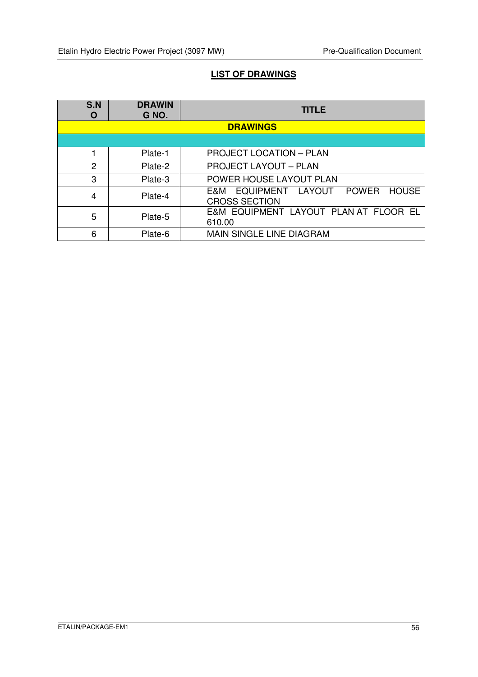# **LIST OF DRAWINGS**

| S.N<br>O       | <b>DRAWIN</b><br>G NO. | <b>TITLE</b>                                                                    |  |
|----------------|------------------------|---------------------------------------------------------------------------------|--|
|                |                        | <b>DRAWINGS</b>                                                                 |  |
|                |                        |                                                                                 |  |
|                | Plate-1                | <b>PROJECT LOCATION - PLAN</b>                                                  |  |
| $\overline{2}$ | Plate-2                | <b>PROJECT LAYOUT - PLAN</b>                                                    |  |
| 3              | Plate-3                | POWER HOUSE LAYOUT PLAN                                                         |  |
| 4              | Plate-4                | EQUIPMENT LAYOUT<br><b>POWER</b><br><b>HOUSE</b><br>E&M<br><b>CROSS SECTION</b> |  |
| 5              | Plate-5                | E&M EQUIPMENT LAYOUT PLAN AT FLOOR EL<br>610.00                                 |  |
| 6              | Plate-6                | <b>MAIN SINGLE LINE DIAGRAM</b>                                                 |  |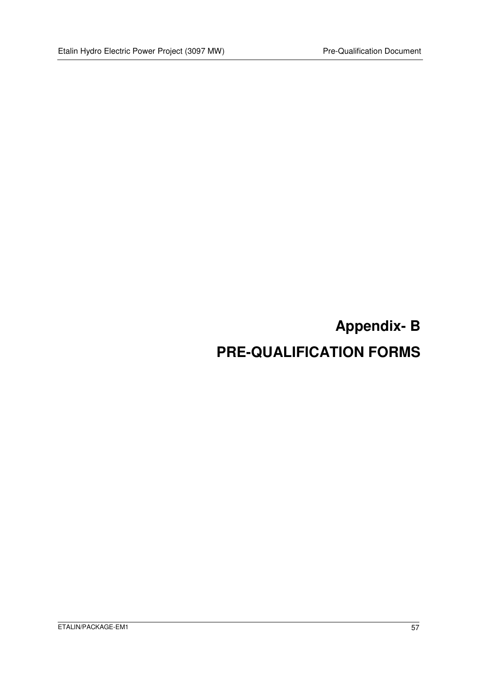# **Appendix- B PRE-QUALIFICATION FORMS**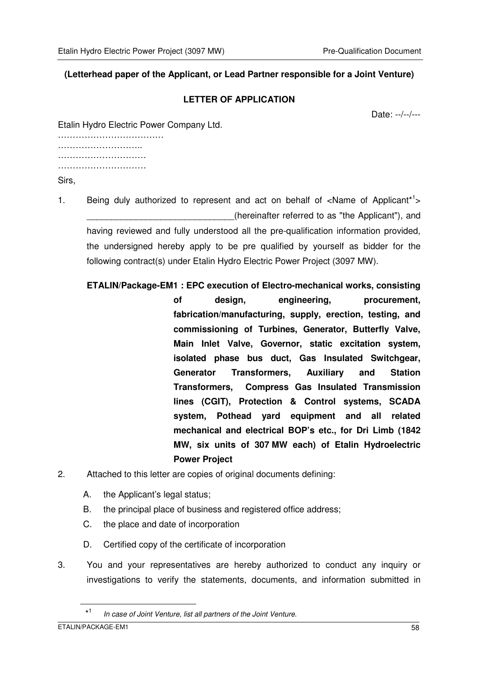#### **(Letterhead paper of the Applicant, or Lead Partner responsible for a Joint Venture)**

#### **LETTER OF APPLICATION**

Date: --/--/---

Etalin Hydro Electric Power Company Ltd.

…………………………………………… …………………………… ………………………… ……………………………………

Sirs,

- 1. Being duly authorized to represent and act on behalf of <Name of Applicant<sup>\*1</sup>> (hereinafter referred to as "the Applicant"), and having reviewed and fully understood all the pre-qualification information provided, the undersigned hereby apply to be pre qualified by yourself as bidder for the following contract(s) under Etalin Hydro Electric Power Project (3097 MW).
	- **ETALIN/Package-EM1 : EPC execution of Electro-mechanical works, consisting of design, engineering, procurement, fabrication/manufacturing, supply, erection, testing, and commissioning of Turbines, Generator, Butterfly Valve, Main Inlet Valve, Governor, static excitation system, isolated phase bus duct, Gas Insulated Switchgear, Generator Transformers, Auxiliary and Station Transformers, Compress Gas Insulated Transmission lines (CGIT), Protection & Control systems, SCADA system, Pothead yard equipment and all related mechanical and electrical BOP's etc., for Dri Limb (1842 MW, six units of 307 MW each) of Etalin Hydroelectric Power Project**
- 2. Attached to this letter are copies of original documents defining:
	- A. the Applicant's legal status;
	- B. the principal place of business and registered office address;
	- C. the place and date of incorporation
	- D. Certified copy of the certificate of incorporation
- 3. You and your representatives are hereby authorized to conduct any inquiry or investigations to verify the statements, documents, and information submitted in

 $\overline{a}$ 

 <sup>\*</sup><sup>1</sup> In case of Joint Venture, list all partners of the Joint Venture.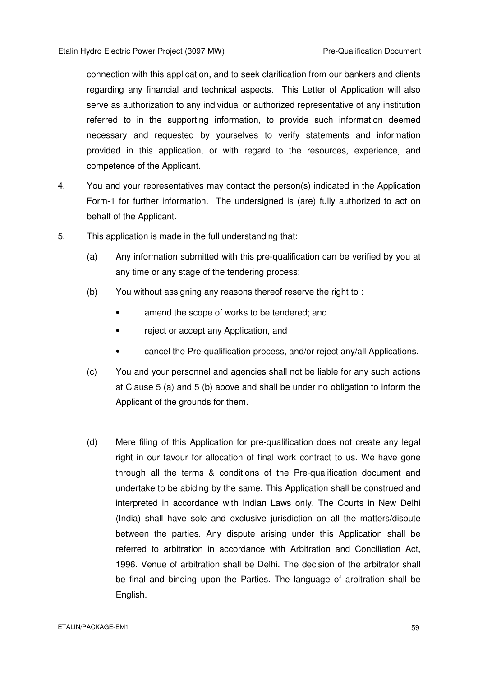connection with this application, and to seek clarification from our bankers and clients regarding any financial and technical aspects. This Letter of Application will also serve as authorization to any individual or authorized representative of any institution referred to in the supporting information, to provide such information deemed necessary and requested by yourselves to verify statements and information provided in this application, or with regard to the resources, experience, and competence of the Applicant.

- 4. You and your representatives may contact the person(s) indicated in the Application Form-1 for further information. The undersigned is (are) fully authorized to act on behalf of the Applicant.
- 5. This application is made in the full understanding that:
	- (a) Any information submitted with this pre-qualification can be verified by you at any time or any stage of the tendering process;
	- (b) You without assigning any reasons thereof reserve the right to :
		- amend the scope of works to be tendered; and
		- reject or accept any Application, and
		- cancel the Pre-qualification process, and/or reject any/all Applications.
	- (c) You and your personnel and agencies shall not be liable for any such actions at Clause 5 (a) and 5 (b) above and shall be under no obligation to inform the Applicant of the grounds for them.
	- (d) Mere filing of this Application for pre-qualification does not create any legal right in our favour for allocation of final work contract to us. We have gone through all the terms & conditions of the Pre-qualification document and undertake to be abiding by the same. This Application shall be construed and interpreted in accordance with Indian Laws only. The Courts in New Delhi (India) shall have sole and exclusive jurisdiction on all the matters/dispute between the parties. Any dispute arising under this Application shall be referred to arbitration in accordance with Arbitration and Conciliation Act, 1996. Venue of arbitration shall be Delhi. The decision of the arbitrator shall be final and binding upon the Parties. The language of arbitration shall be English.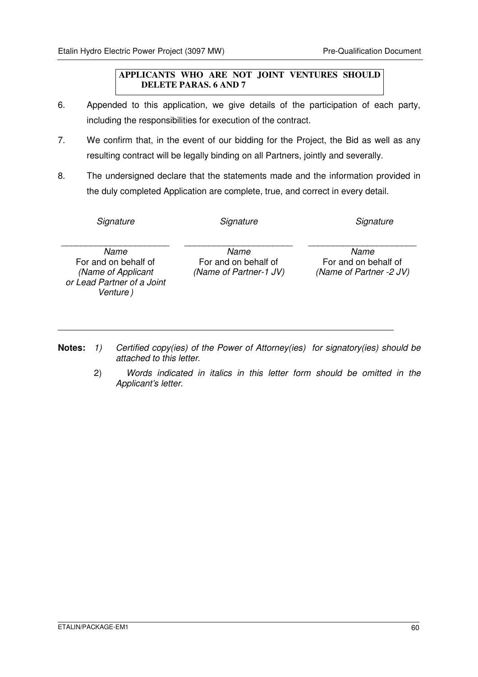#### **APPLICANTS WHO ARE NOT JOINT VENTURES SHOULD DELETE PARAS. 6 AND 7**

- 6. Appended to this application, we give details of the participation of each party, including the responsibilities for execution of the contract.
- 7. We confirm that, in the event of our bidding for the Project, the Bid as well as any resulting contract will be legally binding on all Partners, jointly and severally.
- 8. The undersigned declare that the statements made and the information provided in the duly completed Application are complete, true, and correct in every detail.

| Signature                                                                                    | Signature                                              | Signature                                               |
|----------------------------------------------------------------------------------------------|--------------------------------------------------------|---------------------------------------------------------|
| Name<br>For and on behalf of<br>(Name of Applicant<br>or Lead Partner of a Joint<br>Venture) | Name<br>For and on behalf of<br>(Name of Partner-1 JV) | Name<br>For and on behalf of<br>(Name of Partner -2 JV) |

- Notes: 1) Certified copy(ies) of the Power of Attorney(ies) for signatory(ies) should be attached to this letter.
	- 2) Words indicated in italics in this letter form should be omitted in the Applicant's letter.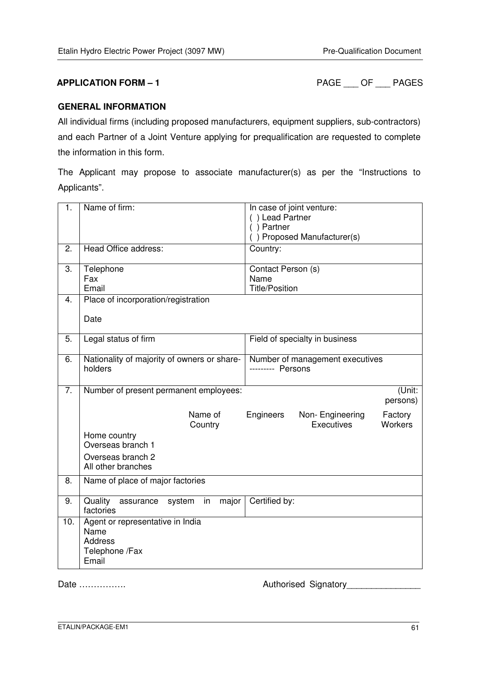**APPLICATION FORM – 1** PAGE \_\_\_ OF \_\_\_ PAGES

#### **GENERAL INFORMATION**

All individual firms (including proposed manufacturers, equipment suppliers, sub-contractors) and each Partner of a Joint Venture applying for prequalification are requested to complete the information in this form.

The Applicant may propose to associate manufacturer(s) as per the "Instructions to Applicants".

| 1.  | Name of firm:                                                                         | In case of joint venture:<br>() Lead Partner<br>$( )$ Partner<br>() Proposed Manufacturer(s) |
|-----|---------------------------------------------------------------------------------------|----------------------------------------------------------------------------------------------|
| 2.  | Head Office address:                                                                  | Country:                                                                                     |
| 3.  | Telephone<br>Fax<br>Email                                                             | Contact Person (s)<br>Name<br><b>Title/Position</b>                                          |
| 4.  | Place of incorporation/registration<br>Date                                           |                                                                                              |
| 5.  | Legal status of firm                                                                  | Field of specialty in business                                                               |
| 6.  | Nationality of majority of owners or share-<br>holders                                | Number of management executives<br>--------- Persons                                         |
| 7.  | Number of present permanent employees:                                                | (Unit:<br>persons)                                                                           |
|     | Name of<br>Country                                                                    | Engineers<br>Non-Engineering<br>Factory<br>Executives<br><b>Workers</b>                      |
|     | Home country<br>Overseas branch 1                                                     |                                                                                              |
|     | Overseas branch 2<br>All other branches                                               |                                                                                              |
| 8.  | Name of place of major factories                                                      |                                                                                              |
| 9.  | Quality<br>assurance<br>major<br>system<br>in<br>factories                            | Certified by:                                                                                |
| 10. | Agent or representative in India<br>Name<br><b>Address</b><br>Telephone /Fax<br>Email |                                                                                              |

Date ……………. Authorised Signatory\_\_\_\_\_\_\_\_\_\_\_\_\_\_\_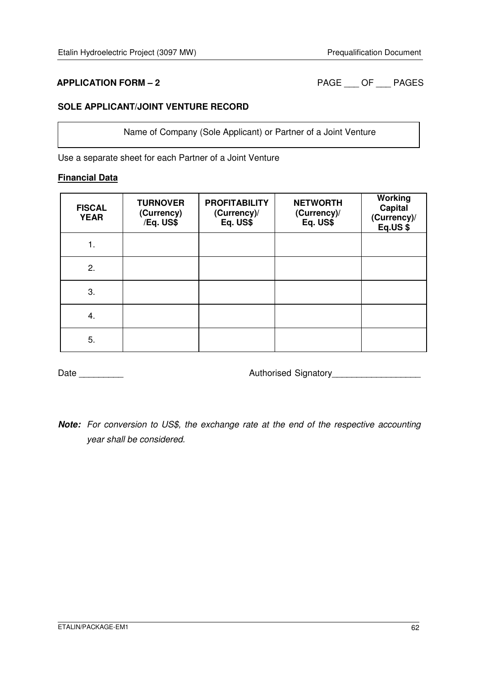**APPLICATION FORM – 2** PAGE \_\_\_ OF \_\_\_ PAGES

#### **SOLE APPLICANT/JOINT VENTURE RECORD**

Name of Company (Sole Applicant) or Partner of a Joint Venture

Use a separate sheet for each Partner of a Joint Venture

#### **Financial Data**

| <b>FISCAL</b><br><b>YEAR</b> | <b>TURNOVER</b><br>(Currency)<br>/Eq. US\$ | <b>PROFITABILITY</b><br>(Currency)/<br>Eq. US\$ | <b>NETWORTH</b><br>(Currency)/<br>Eq. US\$ | Working<br><b>Capital</b><br>(Currency)/<br>Eq.US\$ |
|------------------------------|--------------------------------------------|-------------------------------------------------|--------------------------------------------|-----------------------------------------------------|
| 1.                           |                                            |                                                 |                                            |                                                     |
| 2.                           |                                            |                                                 |                                            |                                                     |
| 3.                           |                                            |                                                 |                                            |                                                     |
| 4.                           |                                            |                                                 |                                            |                                                     |
| 5.                           |                                            |                                                 |                                            |                                                     |

Date \_\_\_\_\_\_\_\_\_ Authorised Signatory\_\_\_\_\_\_\_\_\_\_\_\_\_\_\_\_\_\_

**Note:** For conversion to US\$, the exchange rate at the end of the respective accounting year shall be considered.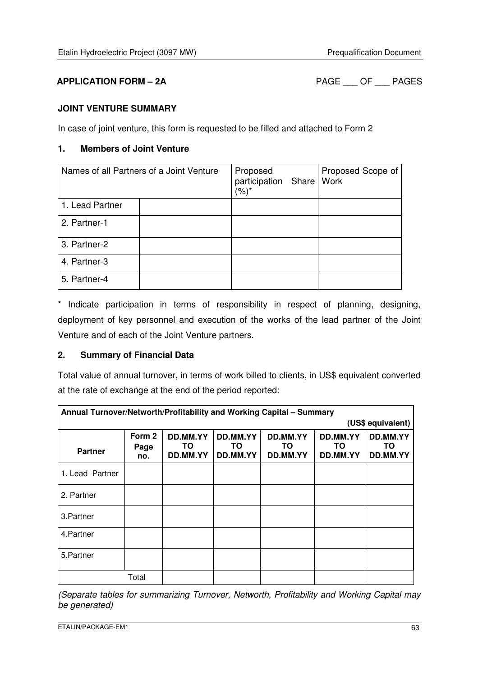# **APPLICATION FORM – 2A** PAGE \_\_\_ OF \_\_\_ PAGES

#### **JOINT VENTURE SUMMARY**

In case of joint venture, this form is requested to be filled and attached to Form 2

#### **1. Members of Joint Venture**

| Names of all Partners of a Joint Venture | Proposed<br>participation Share<br>(%)* | Proposed Scope of<br>Work |  |
|------------------------------------------|-----------------------------------------|---------------------------|--|
| 1. Lead Partner                          |                                         |                           |  |
| 2. Partner-1                             |                                         |                           |  |
| 3. Partner-2                             |                                         |                           |  |
| 4. Partner-3                             |                                         |                           |  |
| 5. Partner-4                             |                                         |                           |  |

\* Indicate participation in terms of responsibility in respect of planning, designing, deployment of key personnel and execution of the works of the lead partner of the Joint Venture and of each of the Joint Venture partners.

### **2. Summary of Financial Data**

Total value of annual turnover, in terms of work billed to clients, in US\$ equivalent converted at the rate of exchange at the end of the period reported:

| Annual Turnover/Networth/Profitability and Working Capital - Summary |                       |                             |                             |                            |                            |                             |
|----------------------------------------------------------------------|-----------------------|-----------------------------|-----------------------------|----------------------------|----------------------------|-----------------------------|
| (US\$ equivalent)                                                    |                       |                             |                             |                            |                            |                             |
| <b>Partner</b>                                                       | Form 2<br>Page<br>no. | DD.MM.YY<br>TO.<br>DD.MM.YY | DD.MM.YY<br>TO.<br>DD.MM.YY | DD.MM.YY<br>ΤO<br>DD.MM.YY | DD.MM.YY<br>TO<br>DD.MM.YY | DD.MM.YY<br>TO.<br>DD.MM.YY |
| 1. Lead Partner                                                      |                       |                             |                             |                            |                            |                             |
| 2. Partner                                                           |                       |                             |                             |                            |                            |                             |
| 3. Partner                                                           |                       |                             |                             |                            |                            |                             |
| 4. Partner                                                           |                       |                             |                             |                            |                            |                             |
| 5. Partner                                                           |                       |                             |                             |                            |                            |                             |
|                                                                      | Total                 |                             |                             |                            |                            |                             |

(Separate tables for summarizing Turnover, Networth, Profitability and Working Capital may be generated)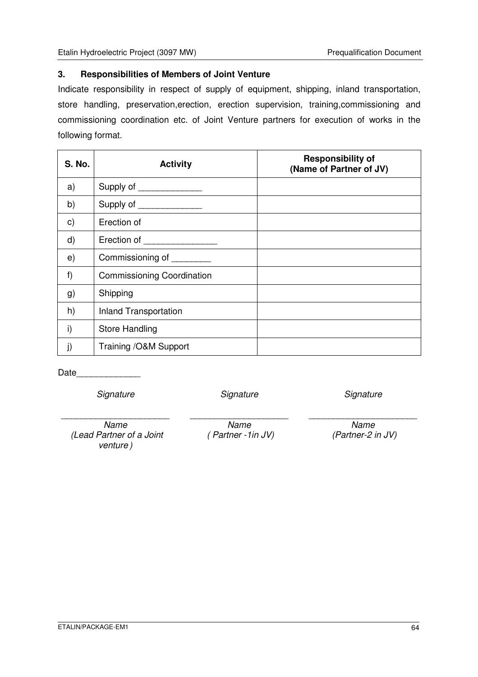#### **3. Responsibilities of Members of Joint Venture**

Indicate responsibility in respect of supply of equipment, shipping, inland transportation, store handling, preservation,erection, erection supervision, training,commissioning and commissioning coordination etc. of Joint Venture partners for execution of works in the following format.

| <b>S. No.</b> | <b>Activity</b>                   | <b>Responsibility of</b><br>(Name of Partner of JV) |
|---------------|-----------------------------------|-----------------------------------------------------|
| a)            | Supply of _______________         |                                                     |
| b)            | Supply of ________________        |                                                     |
| $\mathsf{c})$ | Erection of                       |                                                     |
| $\mathsf{d}$  | Erection of                       |                                                     |
| e)            | Commissioning of _________        |                                                     |
| f)            | <b>Commissioning Coordination</b> |                                                     |
| g)            | Shipping                          |                                                     |
| h)            | <b>Inland Transportation</b>      |                                                     |
| i)            | <b>Store Handling</b>             |                                                     |
| j)            | Training /O&M Support             |                                                     |

Date\_\_\_\_\_\_\_\_\_\_\_\_\_

**Signature** 

**Signature** 

**Signature** 

\_\_\_\_\_\_\_\_\_\_\_\_\_\_\_\_\_\_\_\_\_\_

\_\_\_\_\_\_\_\_\_\_\_\_\_\_\_\_\_\_\_\_\_\_ Name (Lead Partner of a Joint venture )

Name ( Partner -1in JV)

\_\_\_\_\_\_\_\_\_\_\_\_\_\_\_\_\_\_\_\_

Name (Partner-2 in JV)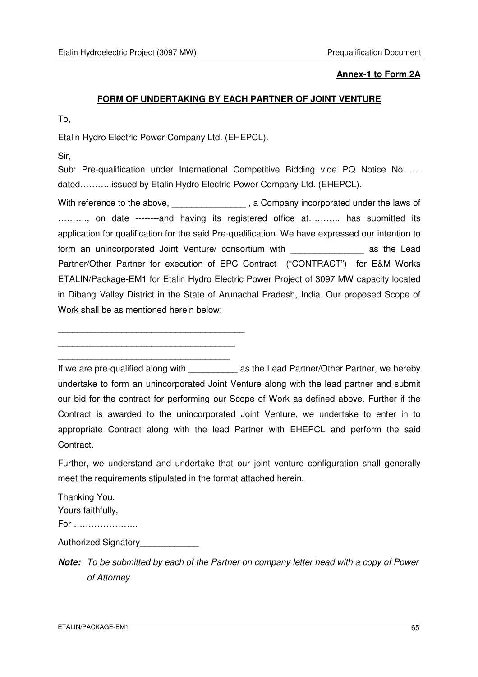#### **Annex-1 to Form 2A**

#### **FORM OF UNDERTAKING BY EACH PARTNER OF JOINT VENTURE**

To,

Etalin Hydro Electric Power Company Ltd. (EHEPCL).

Sir,

Sub: Pre-qualification under International Competitive Bidding vide PQ Notice No...... dated………..issued by Etalin Hydro Electric Power Company Ltd. (EHEPCL).

With reference to the above, \_\_\_\_\_\_\_\_\_\_\_\_\_\_\_\_, a Company incorporated under the laws of .........., on date --------and having its registered office at........... has submitted its application for qualification for the said Pre-qualification. We have expressed our intention to form an unincorporated Joint Venture/ consortium with **Example 2018** as the Lead Partner/Other Partner for execution of EPC Contract ("CONTRACT") for E&M Works ETALIN/Package-EM1 for Etalin Hydro Electric Power Project of 3097 MW capacity located in Dibang Valley District in the State of Arunachal Pradesh, India. Our proposed Scope of Work shall be as mentioned herein below:

\_\_\_\_\_\_\_\_\_\_\_\_\_\_\_\_\_\_\_\_\_\_\_\_\_\_\_\_\_\_\_\_\_\_\_\_\_\_ \_\_\_\_\_\_\_\_\_\_\_\_\_\_\_\_\_\_\_\_\_\_\_\_\_\_\_\_\_\_\_\_\_\_\_\_

\_\_\_\_\_\_\_\_\_\_\_\_\_\_\_\_\_\_\_\_\_\_\_\_\_\_\_\_\_\_\_\_\_\_\_

If we are pre-qualified along with and as the Lead Partner/Other Partner, we hereby undertake to form an unincorporated Joint Venture along with the lead partner and submit our bid for the contract for performing our Scope of Work as defined above. Further if the Contract is awarded to the unincorporated Joint Venture, we undertake to enter in to appropriate Contract along with the lead Partner with EHEPCL and perform the said Contract.

Further, we understand and undertake that our joint venture configuration shall generally meet the requirements stipulated in the format attached herein.

Thanking You, Yours faithfully, For ………………….

Authorized Signatory\_\_\_\_\_\_\_\_\_\_\_\_\_

**Note:** To be submitted by each of the Partner on company letter head with a copy of Power of Attorney.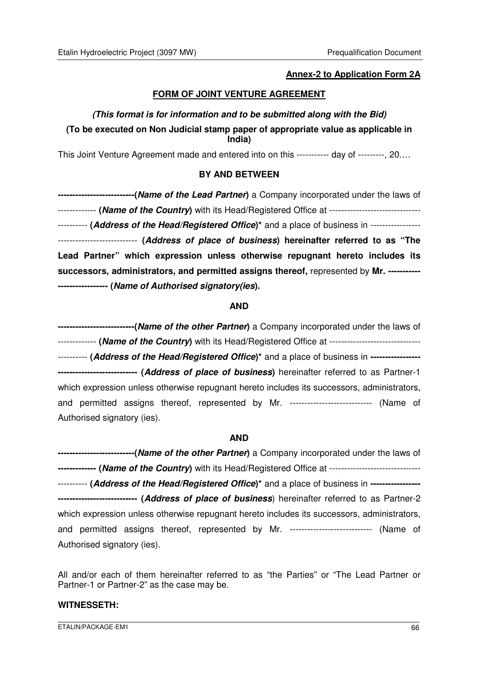#### **Annex-2 to Application Form 2A**

#### **FORM OF JOINT VENTURE AGREEMENT**

### **(This format is for information and to be submitted along with the Bid) (To be executed on Non Judicial stamp paper of appropriate value as applicable in India)**

This Joint Venture Agreement made and entered into on this ----------- day of ---------, 20….

#### **BY AND BETWEEN**

| ---------------------------(Name of the Lead Partner) a Company incorporated under the laws of       |
|------------------------------------------------------------------------------------------------------|
| ------------- (Name of the Country) with its Head/Registered Office at ----------------------------- |
| ---------- (Address of the Head/Registered Office)* and a place of business in -----------------     |
| --------------------------- (Address of place of business) hereinafter referred to as "The           |
| Lead Partner" which expression unless otherwise repugnant hereto includes its                        |
| successors, administrators, and permitted assigns thereof, represented by Mr. ----------             |
| ----------------- (Name of Authorised signatory(ies).                                                |

#### **AND**

| -----------------------------(Name of the other Partner) a Company incorporated under the laws of             |  |  |  |  |
|---------------------------------------------------------------------------------------------------------------|--|--|--|--|
| ------------- (Name of the Country) with its Head/Registered Office at -----------------------------          |  |  |  |  |
| ---------- (Address of the Head/Registered Office) <sup>*</sup> and a place of business in ------------------ |  |  |  |  |
| ---------------------------- (Address of place of business) hereinafter referred to as Partner-1              |  |  |  |  |
| which expression unless otherwise repugnant hereto includes its successors, administrators,                   |  |  |  |  |
| and permitted assigns thereof, represented by Mr. --------------------------- (Name of                        |  |  |  |  |
| Authorised signatory (ies).                                                                                   |  |  |  |  |

#### **AND**

**--------------------------(Name of the other Partner)** a Company incorporated under the laws of **------------- (Name of the Country)** with its Head/Registered Office at ------------------------------- ---------- **(Address of the Head/Registered Office)\*** and a place of business in **----------------- --------------------------- (Address of place of business**) hereinafter referred to as Partner-2 which expression unless otherwise repugnant hereto includes its successors, administrators, and permitted assigns thereof, represented by Mr. ----------------------------- (Name of Authorised signatory (ies).

All and/or each of them hereinafter referred to as "the Parties" or "The Lead Partner or Partner-1 or Partner-2" as the case may be.

#### **WITNESSETH:**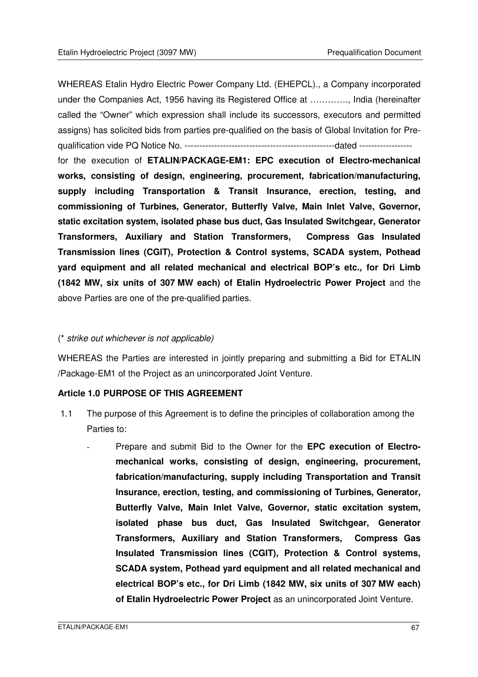WHEREAS Etalin Hydro Electric Power Company Ltd. (EHEPCL)., a Company incorporated under the Companies Act, 1956 having its Registered Office at …………., India (hereinafter called the "Owner" which expression shall include its successors, executors and permitted assigns) has solicited bids from parties pre-qualified on the basis of Global Invitation for Prequalification vide PQ Notice No. ---------------------------------------------------dated ------------------

for the execution of **ETALIN/PACKAGE-EM1: EPC execution of Electro-mechanical works, consisting of design, engineering, procurement, fabrication/manufacturing, supply including Transportation & Transit Insurance, erection, testing, and commissioning of Turbines, Generator, Butterfly Valve, Main Inlet Valve, Governor, static excitation system, isolated phase bus duct, Gas Insulated Switchgear, Generator Transformers, Auxiliary and Station Transformers, Compress Gas Insulated Transmission lines (CGIT), Protection & Control systems, SCADA system, Pothead yard equipment and all related mechanical and electrical BOP's etc., for Dri Limb (1842 MW, six units of 307 MW each) of Etalin Hydroelectric Power Project** and the above Parties are one of the pre-qualified parties.

#### (\* strike out whichever is not applicable)

WHEREAS the Parties are interested in jointly preparing and submitting a Bid for ETALIN /Package-EM1 of the Project as an unincorporated Joint Venture.

#### **Article 1.0 PURPOSE OF THIS AGREEMENT**

- 1.1 The purpose of this Agreement is to define the principles of collaboration among the Parties to:
	- Prepare and submit Bid to the Owner for the **EPC execution of Electromechanical works, consisting of design, engineering, procurement, fabrication/manufacturing, supply including Transportation and Transit Insurance, erection, testing, and commissioning of Turbines, Generator, Butterfly Valve, Main Inlet Valve, Governor, static excitation system, isolated phase bus duct, Gas Insulated Switchgear, Generator Transformers, Auxiliary and Station Transformers, Compress Gas Insulated Transmission lines (CGIT), Protection & Control systems, SCADA system, Pothead yard equipment and all related mechanical and electrical BOP's etc., for Dri Limb (1842 MW, six units of 307 MW each) of Etalin Hydroelectric Power Project** as an unincorporated Joint Venture.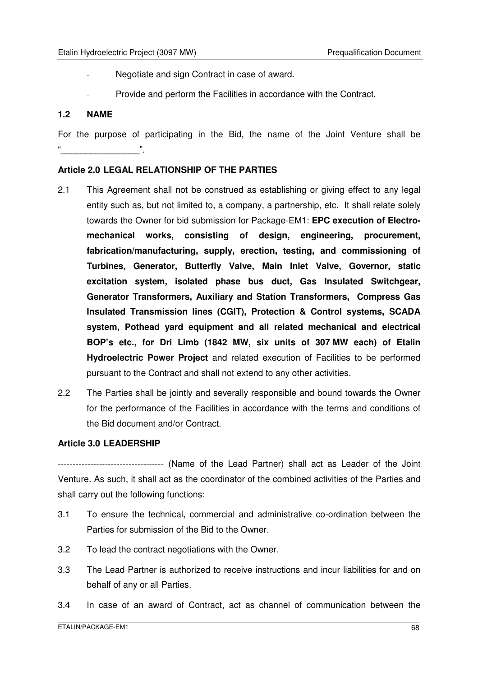- Negotiate and sign Contract in case of award.
- Provide and perform the Facilities in accordance with the Contract.

#### **1.2 NAME**

For the purpose of participating in the Bid, the name of the Joint Venture shall be  $\cdots$  .  $\cdots$  .  $\cdots$  .  $\cdots$  .  $\cdots$ 

#### **Article 2.0 LEGAL RELATIONSHIP OF THE PARTIES**

- 2.1 This Agreement shall not be construed as establishing or giving effect to any legal entity such as, but not limited to, a company, a partnership, etc. It shall relate solely towards the Owner for bid submission for Package-EM1: **EPC execution of Electromechanical works, consisting of design, engineering, procurement, fabrication/manufacturing, supply, erection, testing, and commissioning of Turbines, Generator, Butterfly Valve, Main Inlet Valve, Governor, static excitation system, isolated phase bus duct, Gas Insulated Switchgear, Generator Transformers, Auxiliary and Station Transformers, Compress Gas Insulated Transmission lines (CGIT), Protection & Control systems, SCADA system, Pothead yard equipment and all related mechanical and electrical BOP's etc., for Dri Limb (1842 MW, six units of 307 MW each) of Etalin Hydroelectric Power Project** and related execution of Facilities to be performed pursuant to the Contract and shall not extend to any other activities.
- 2.2 The Parties shall be jointly and severally responsible and bound towards the Owner for the performance of the Facilities in accordance with the terms and conditions of the Bid document and/or Contract.

#### **Article 3.0 LEADERSHIP**

------------------------------------ (Name of the Lead Partner) shall act as Leader of the Joint Venture. As such, it shall act as the coordinator of the combined activities of the Parties and shall carry out the following functions:

- 3.1 To ensure the technical, commercial and administrative co-ordination between the Parties for submission of the Bid to the Owner.
- 3.2 To lead the contract negotiations with the Owner.
- 3.3 The Lead Partner is authorized to receive instructions and incur liabilities for and on behalf of any or all Parties.
- 3.4 In case of an award of Contract, act as channel of communication between the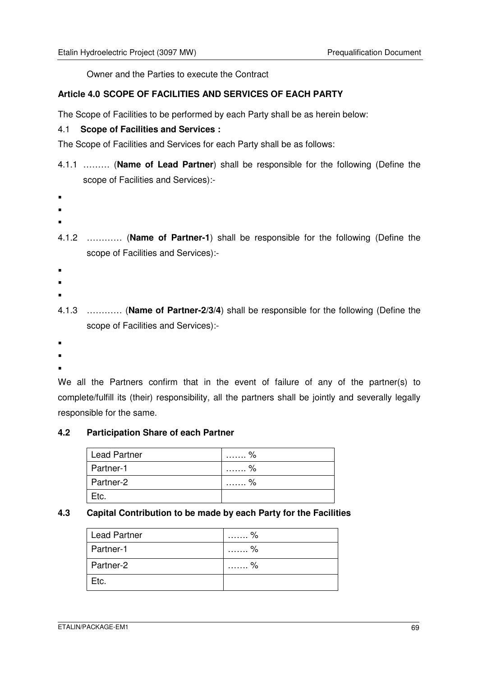Owner and the Parties to execute the Contract

#### **Article 4.0 SCOPE OF FACILITIES AND SERVICES OF EACH PARTY**

The Scope of Facilities to be performed by each Party shall be as herein below:

#### 4.1 **Scope of Facilities and Services :**

The Scope of Facilities and Services for each Party shall be as follows:

- 4.1.1 ……… (**Name of Lead Partner**) shall be responsible for the following (Define the scope of Facilities and Services):-
- 
- $\blacksquare$
- .
- 4.1.2 ………… (**Name of Partner-1**) shall be responsible for the following (Define the scope of Facilities and Services):-
- $\blacksquare$
- .
- 
- .
- 4.1.3 ………… (**Name of Partner-2/3/4**) shall be responsible for the following (Define the scope of Facilities and Services):-
- .
- .
- .

We all the Partners confirm that in the event of failure of any of the partner(s) to complete/fulfill its (their) responsibility, all the partners shall be jointly and severally legally responsible for the same.

### **4.2 Participation Share of each Partner**

| <b>Lead Partner</b> | . %       |
|---------------------|-----------|
| Partner-1           | . %       |
| Partner-2           | $\%$<br>. |
| Etc.                |           |

#### **4.3 Capital Contribution to be made by each Party for the Facilities**

| <b>Lead Partner</b> | %<br>.    |
|---------------------|-----------|
| Partner-1           | . %<br>.  |
| Partner-2           | $\%$<br>. |
| Etc.                |           |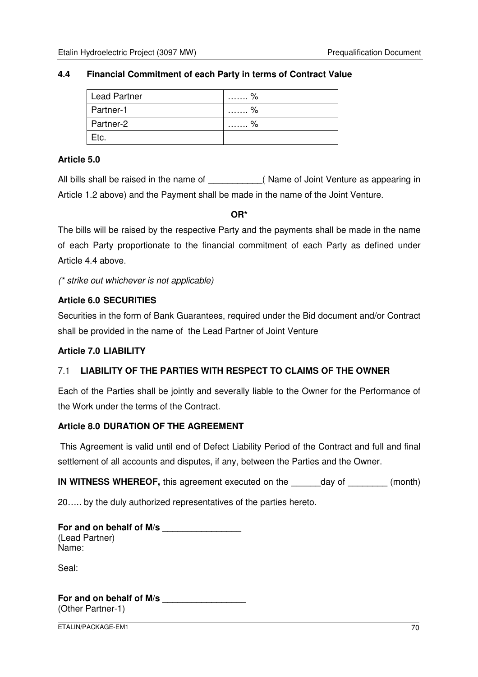#### **4.4 Financial Commitment of each Party in terms of Contract Value**

| <b>Lead Partner</b> | . %<br>.  |
|---------------------|-----------|
| Partner-1           | . %       |
| Partner-2           | $\%$<br>. |
| Etc.                |           |

#### **Article 5.0**

All bills shall be raised in the name of **Example 20** (Name of Joint Venture as appearing in Article 1.2 above) and the Payment shall be made in the name of the Joint Venture.

**OR\*** 

The bills will be raised by the respective Party and the payments shall be made in the name of each Party proportionate to the financial commitment of each Party as defined under Article 4.4 above.

(\* strike out whichever is not applicable)

### **Article 6.0 SECURITIES**

Securities in the form of Bank Guarantees, required under the Bid document and/or Contract shall be provided in the name of the Lead Partner of Joint Venture

#### **Article 7.0 LIABILITY**

### 7.1 **LIABILITY OF THE PARTIES WITH RESPECT TO CLAIMS OF THE OWNER**

Each of the Parties shall be jointly and severally liable to the Owner for the Performance of the Work under the terms of the Contract.

#### **Article 8.0 DURATION OF THE AGREEMENT**

This Agreement is valid until end of Defect Liability Period of the Contract and full and final settlement of all accounts and disputes, if any, between the Parties and the Owner.

**IN WITNESS WHEREOF,** this agreement executed on the day of  $(month)$ 

20….. by the duly authorized representatives of the parties hereto.

| For and on behalf of M/s |  |
|--------------------------|--|
| (Lead Partner)           |  |
| Name:                    |  |

Seal:

**For and on behalf of M/s \_\_\_\_\_\_\_\_\_\_\_\_\_\_\_\_\_**  (Other Partner-1)

ETALIN/PACKAGE-EM1 70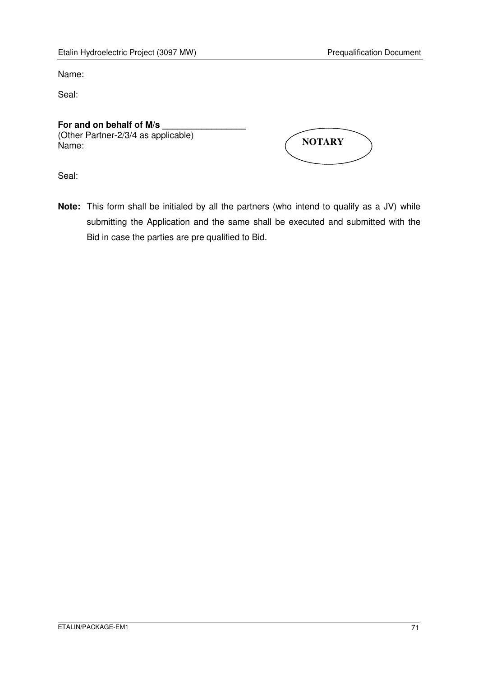Name:

Seal:

### For and on behalf of M/s

(Other Partner-2/3/4 as applicable) Name:

| <b>NOTARY</b> |  |
|---------------|--|
|               |  |

Seal:

**Note:** This form shall be initialed by all the partners (who intend to qualify as a JV) while submitting the Application and the same shall be executed and submitted with the Bid in case the parties are pre qualified to Bid.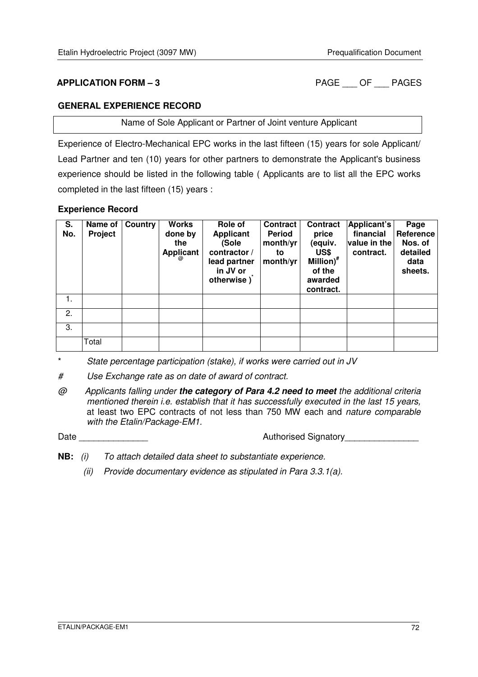**APPLICATION FORM – 3** PAGE OF PAGES

#### **GENERAL EXPERIENCE RECORD**

Name of Sole Applicant or Partner of Joint venture Applicant

Experience of Electro-Mechanical EPC works in the last fifteen (15) years for sole Applicant/ Lead Partner and ten (10) years for other partners to demonstrate the Applicant's business experience should be listed in the following table ( Applicants are to list all the EPC works completed in the last fifteen (15) years :

#### **Experience Record**

| S.  | Name of | Country | <b>Works</b>     | Role of                                                         | <b>Contract</b>            | <b>Contract</b>                                               | Applicant's               | Page                                   |
|-----|---------|---------|------------------|-----------------------------------------------------------------|----------------------------|---------------------------------------------------------------|---------------------------|----------------------------------------|
| No. | Project |         | done by          | <b>Applicant</b>                                                | Period                     | price                                                         | financial                 | Reference                              |
|     |         |         | the<br>Applicant | (Sole<br>contractor /<br>lead partner<br>in JV or<br>otherwise) | month/yr<br>to<br>month/yr | (equiv.<br>US\$<br>Million) <sup>#</sup><br>of the<br>awarded | value in the<br>contract. | Nos. of<br>detailed<br>data<br>sheets. |
|     |         |         |                  |                                                                 |                            | contract.                                                     |                           |                                        |
| 1.  |         |         |                  |                                                                 |                            |                                                               |                           |                                        |
| 2.  |         |         |                  |                                                                 |                            |                                                               |                           |                                        |
| 3.  |         |         |                  |                                                                 |                            |                                                               |                           |                                        |
|     | Total   |         |                  |                                                                 |                            |                                                               |                           |                                        |

\* State percentage participation (stake), if works were carried out in JV

# Use Exchange rate as on date of award of contract.

@ Applicants falling under **the category of Para 4.2 need to meet** the additional criteria mentioned therein i.e. establish that it has successfully executed in the last 15 years, at least two EPC contracts of not less than 750 MW each and nature comparable with the Etalin/Package-EM1.

Date \_\_\_\_\_\_\_\_\_\_\_\_\_\_ Authorised Signatory\_\_\_\_\_\_\_\_\_\_\_\_\_\_\_

- **NB:** (i) To attach detailed data sheet to substantiate experience.
	- (ii) Provide documentary evidence as stipulated in Para 3.3.1(a).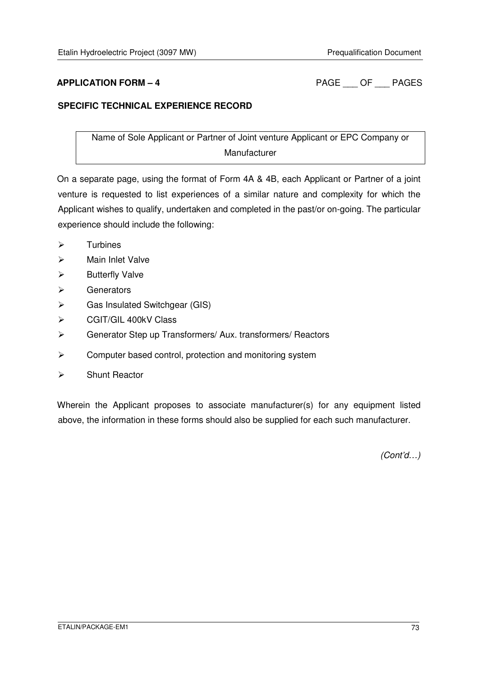**APPLICATION FORM – 4** PAGE OF PAGES

### **SPECIFIC TECHNICAL EXPERIENCE RECORD**

Name of Sole Applicant or Partner of Joint venture Applicant or EPC Company or Manufacturer

On a separate page, using the format of Form 4A & 4B, each Applicant or Partner of a joint venture is requested to list experiences of a similar nature and complexity for which the Applicant wishes to qualify, undertaken and completed in the past/or on-going. The particular experience should include the following:

- $\triangleright$ Turbines
- $\blacktriangleright$ Main Inlet Valve
- $\blacktriangleright$ Butterfly Valve
- $\blacktriangleright$ **Generators**
- $\blacktriangleright$ Gas Insulated Switchgear (GIS)
- $\blacktriangleright$ CGIT/GIL 400kV Class
- $\blacktriangleright$ Generator Step up Transformers/ Aux. transformers/ Reactors
- $\blacktriangleright$ Computer based control, protection and monitoring system
- $\blacktriangleright$ Shunt Reactor

Wherein the Applicant proposes to associate manufacturer(s) for any equipment listed above, the information in these forms should also be supplied for each such manufacturer.

(Cont'd…)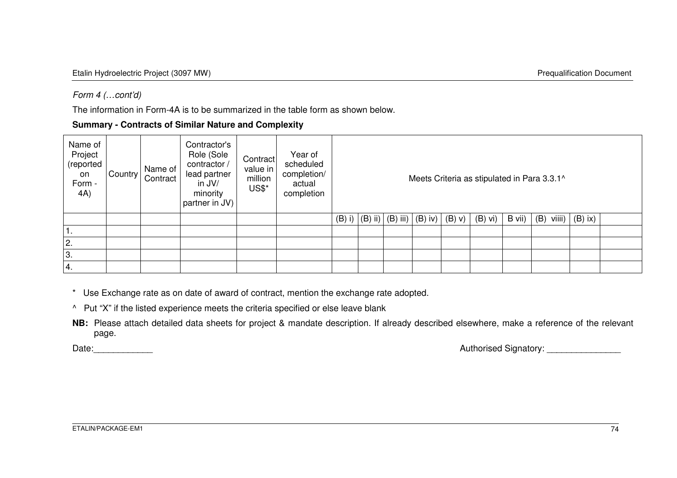### Form 4 (…cont'd)

The information in Form-4A is to be summarized in the table form as shown below.

**Summary - Contracts of Similar Nature and Complexity** 

| Name of<br>Project<br>(reported<br>on<br>Form -<br>4A) | Country | Name of<br>Contract | Contractor's<br>Role (Sole<br>contractor /<br>lead partner<br>in JV/<br>minority<br>partner in JV) | Contract<br>value in p<br>million<br>US\$* | Year of<br>scheduled<br>completion/<br>actual<br>completion |  |                                              |             |           |        | Meets Criteria as stipulated in Para 3.3.1^ |           |  |
|--------------------------------------------------------|---------|---------------------|----------------------------------------------------------------------------------------------------|--------------------------------------------|-------------------------------------------------------------|--|----------------------------------------------|-------------|-----------|--------|---------------------------------------------|-----------|--|
|                                                        |         |                     |                                                                                                    |                                            |                                                             |  | (B) i) $ (B)$ ii) $ (B)$ iii) $ (B)$ iv) $ $ | $(B)$ $V$ ) | $(B)$ vi) | B vii) | viiii)<br>(B)                               | $(B)$ ix) |  |
|                                                        |         |                     |                                                                                                    |                                            |                                                             |  |                                              |             |           |        |                                             |           |  |
| 2.                                                     |         |                     |                                                                                                    |                                            |                                                             |  |                                              |             |           |        |                                             |           |  |
| 3.                                                     |         |                     |                                                                                                    |                                            |                                                             |  |                                              |             |           |        |                                             |           |  |
| 4.                                                     |         |                     |                                                                                                    |                                            |                                                             |  |                                              |             |           |        |                                             |           |  |

\* Use Exchange rate as on date of award of contract, mention the exchange rate adopted.

^ Put "X" if the listed experience meets the criteria specified or else leave blank

**NB:** Please attach detailed data sheets for project & mandate description. If already described elsewhere, make a reference of the relevant page.

Date:\_\_\_\_\_\_\_\_\_\_\_\_ Authorised Signatory: \_\_\_\_\_\_\_\_\_\_\_\_\_\_\_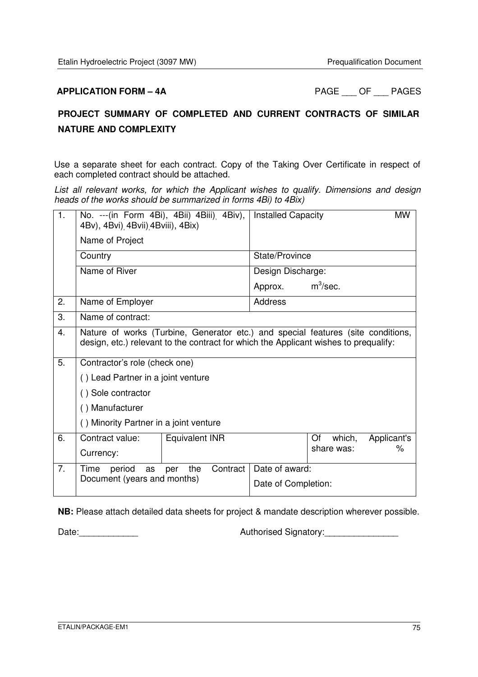**APPLICATION FORM – 4A** PAGE OF PAGES

# **PROJECT SUMMARY OF COMPLETED AND CURRENT CONTRACTS OF SIMILAR NATURE AND COMPLEXITY**

Use a separate sheet for each contract. Copy of the Taking Over Certificate in respect of each completed contract should be attached.

List all relevant works, for which the Applicant wishes to qualify. Dimensions and design heads of the works should be summarized in forms 4Bi) to 4Bix)

| 1. | 4Bv), 4Bvi) 4Bvii) 4Bviii), 4Bix)      | No. --- (in Form 4Bi), 4Bii) 4Biii) 4Biv),                                                                                                                               | <b>Installed Capacity</b> |              | <b>MW</b>   |  |  |  |  |
|----|----------------------------------------|--------------------------------------------------------------------------------------------------------------------------------------------------------------------------|---------------------------|--------------|-------------|--|--|--|--|
|    | Name of Project                        |                                                                                                                                                                          |                           |              |             |  |  |  |  |
|    | Country                                |                                                                                                                                                                          | State/Province            |              |             |  |  |  |  |
|    | Name of River                          |                                                                                                                                                                          | Design Discharge:         |              |             |  |  |  |  |
|    |                                        |                                                                                                                                                                          | Approx.                   | $m^3$ /sec.  |             |  |  |  |  |
| 2. | Name of Employer                       |                                                                                                                                                                          | <b>Address</b>            |              |             |  |  |  |  |
| 3. | Name of contract:                      |                                                                                                                                                                          |                           |              |             |  |  |  |  |
| 4. |                                        | Nature of works (Turbine, Generator etc.) and special features (site conditions,<br>design, etc.) relevant to the contract for which the Applicant wishes to prequalify: |                           |              |             |  |  |  |  |
| 5. | Contractor's role (check one)          |                                                                                                                                                                          |                           |              |             |  |  |  |  |
|    | () Lead Partner in a joint venture     |                                                                                                                                                                          |                           |              |             |  |  |  |  |
|    | () Sole contractor                     |                                                                                                                                                                          |                           |              |             |  |  |  |  |
|    | () Manufacturer                        |                                                                                                                                                                          |                           |              |             |  |  |  |  |
|    | () Minority Partner in a joint venture |                                                                                                                                                                          |                           |              |             |  |  |  |  |
| 6. | Contract value:                        | <b>Equivalent INR</b>                                                                                                                                                    |                           | Of<br>which, | Applicant's |  |  |  |  |
|    | Currency:                              |                                                                                                                                                                          |                           | share was:   | %           |  |  |  |  |
| 7. | Time<br>period<br>as                   | the<br>Contract<br>per                                                                                                                                                   | Date of award:            |              |             |  |  |  |  |
|    | Document (years and months)            |                                                                                                                                                                          | Date of Completion:       |              |             |  |  |  |  |

**NB:** Please attach detailed data sheets for project & mandate description wherever possible.

Date:\_\_\_\_\_\_\_\_\_\_\_\_ Authorised Signatory:\_\_\_\_\_\_\_\_\_\_\_\_\_\_\_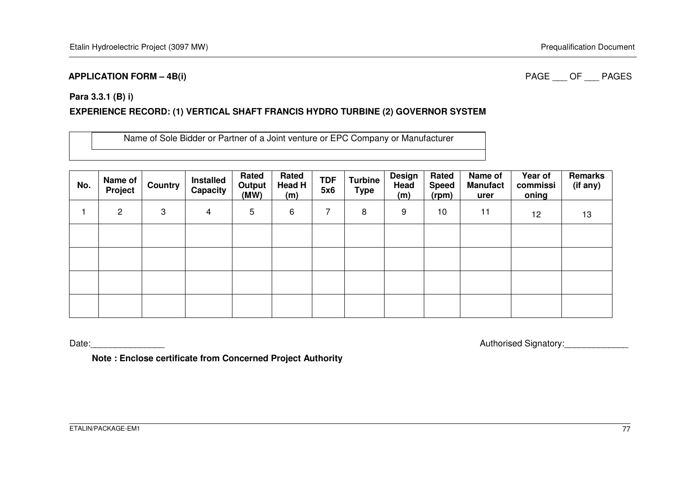#### **APPLICATION FORM – 4B(i)**

#### PAGE OF PAGES

#### **Para 3.3.1 (B) i)**

### **EXPERIENCE RECORD: (1) VERTICAL SHAFT FRANCIS HYDRO TURBINE (2) GOVERNOR SYSTEM**

Name of Sole Bidder or Partner of a Joint venture or EPC Company or Manufacturer

| No. | Name of<br>Project | <b>Country</b> | <b>Installed</b><br>Capacity | Rated<br>Output<br>(MW) | Rated<br>Head H<br>(m) | <b>TDF</b><br>5x6 | <b>Turbine</b><br><b>Type</b> | <b>Design</b><br>Head<br>(m) | Rated<br><b>Speed</b><br>(rpm) | Name of<br><b>Manufact</b><br>urer | Year of<br>commissi<br>oning | Remarks<br>(if any) |
|-----|--------------------|----------------|------------------------------|-------------------------|------------------------|-------------------|-------------------------------|------------------------------|--------------------------------|------------------------------------|------------------------------|---------------------|
|     | 2                  | 3              | $\overline{4}$               | 5                       | 6                      | ⇁                 | 8                             | 9                            | 10                             | 11                                 | 12                           | 13                  |
|     |                    |                |                              |                         |                        |                   |                               |                              |                                |                                    |                              |                     |
|     |                    |                |                              |                         |                        |                   |                               |                              |                                |                                    |                              |                     |
|     |                    |                |                              |                         |                        |                   |                               |                              |                                |                                    |                              |                     |
|     |                    |                |                              |                         |                        |                   |                               |                              |                                |                                    |                              |                     |

Date: Authorised Signatory: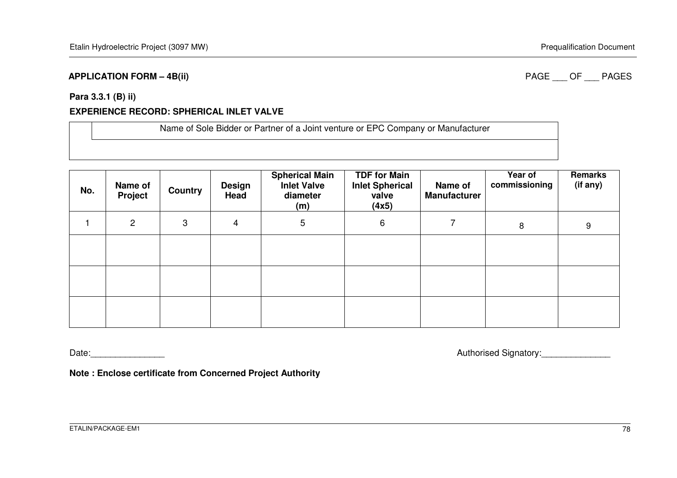#### **APPLICATION FORM – 4B(ii)**

### PAGE OF PAGES

#### **Para 3.3.1 (B) ii)**

#### **EXPERIENCE RECORD: SPHERICAL INLET VALVE**

| Name of Sole Bidder or Partner of a Joint venture or EPC Company or Manufacturer |
|----------------------------------------------------------------------------------|
|                                                                                  |
|                                                                                  |

| No. | Name of<br>Project | <b>Country</b> | <b>Design</b><br>Head | <b>Spherical Main</b><br><b>Inlet Valve</b><br>diameter<br>(m) | <b>TDF for Main</b><br><b>Inlet Spherical</b><br>valve<br>(4x5) | Name of<br><b>Manufacturer</b> | Year of<br>commissioning | Remarks<br>(if any) |
|-----|--------------------|----------------|-----------------------|----------------------------------------------------------------|-----------------------------------------------------------------|--------------------------------|--------------------------|---------------------|
|     | $\overline{2}$     | 3              | 4                     | 5                                                              | 6                                                               |                                | 8                        | 9                   |
|     |                    |                |                       |                                                                |                                                                 |                                |                          |                     |
|     |                    |                |                       |                                                                |                                                                 |                                |                          |                     |
|     |                    |                |                       |                                                                |                                                                 |                                |                          |                     |

Date:\_\_\_\_\_\_\_\_\_\_\_\_\_\_\_ Authorised Signatory:\_\_\_\_\_\_\_\_\_\_\_\_\_\_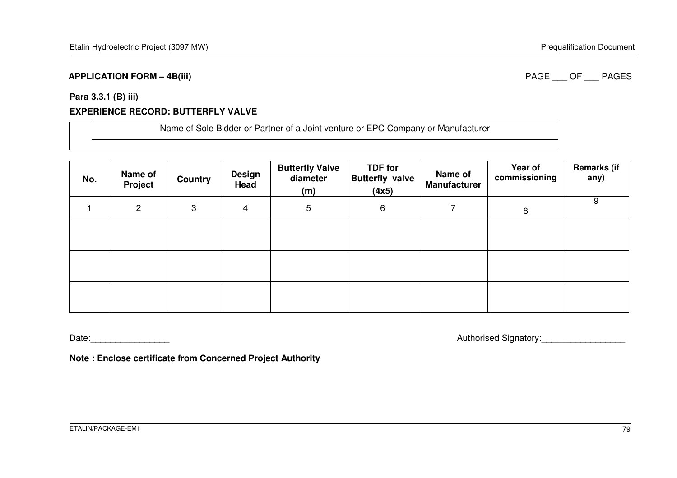#### **APPLICATION FORM – 4B(iii)**

#### PAGE OF PAGES

#### **Para 3.3.1 (B) iii)**

#### **EXPERIENCE RECORD: BUTTERFLY VALVE**

| Name of Sole Bidder or Partner of a Joint venture or EPC Company or Manufacturer |
|----------------------------------------------------------------------------------|
|                                                                                  |

| No. | Name of<br><b>Project</b> | Country | <b>Design</b><br>Head | <b>Butterfly Valve</b><br>diameter<br>(m) | <b>TDF for</b><br><b>Butterfly valve</b><br>(4x5) | Name of<br><b>Manufacturer</b> | Year of<br>commissioning | <b>Remarks (if</b><br>any) |
|-----|---------------------------|---------|-----------------------|-------------------------------------------|---------------------------------------------------|--------------------------------|--------------------------|----------------------------|
|     | $\overline{2}$            | 3       | 4                     | 5                                         | 6                                                 |                                | 8                        | 9                          |
|     |                           |         |                       |                                           |                                                   |                                |                          |                            |
|     |                           |         |                       |                                           |                                                   |                                |                          |                            |
|     |                           |         |                       |                                           |                                                   |                                |                          |                            |

Date:\_\_\_\_\_\_\_\_\_\_\_\_\_\_\_\_ Authorised Signatory:\_\_\_\_\_\_\_\_\_\_\_\_\_\_\_\_\_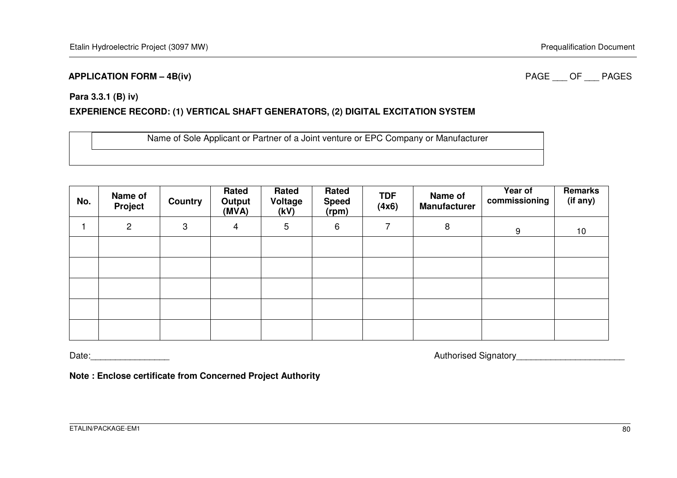#### **APPLICATION FORM – 4B(iv)**

#### PAGE OF PAGES

#### **Para 3.3.1 (B) iv)**

### **EXPERIENCE RECORD: (1) VERTICAL SHAFT GENERATORS, (2) DIGITAL EXCITATION SYSTEM**

Name of Sole Applicant or Partner of a Joint venture or EPC Company or Manufacturer

| No. | Name of<br><b>Project</b> | <b>Country</b> | Rated<br>Output<br>(MVA) | Rated<br>Voltage<br>(kV) | Rated<br><b>Speed</b><br>(rpm) | <b>TDF</b><br>(4x6) | Name of<br><b>Manufacturer</b> | Year of<br>commissioning | Remarks<br>(if any) |
|-----|---------------------------|----------------|--------------------------|--------------------------|--------------------------------|---------------------|--------------------------------|--------------------------|---------------------|
|     | $\overline{2}$            | 3              | 4                        | 5                        | 6                              | 7                   | 8                              | 9                        | 10                  |
|     |                           |                |                          |                          |                                |                     |                                |                          |                     |
|     |                           |                |                          |                          |                                |                     |                                |                          |                     |
|     |                           |                |                          |                          |                                |                     |                                |                          |                     |
|     |                           |                |                          |                          |                                |                     |                                |                          |                     |
|     |                           |                |                          |                          |                                |                     |                                |                          |                     |

Date: example and the contract of the contract of the contract of the contract of the contract of the contract of the contract of the contract of the contract of the contract of the contract of the contract of the contract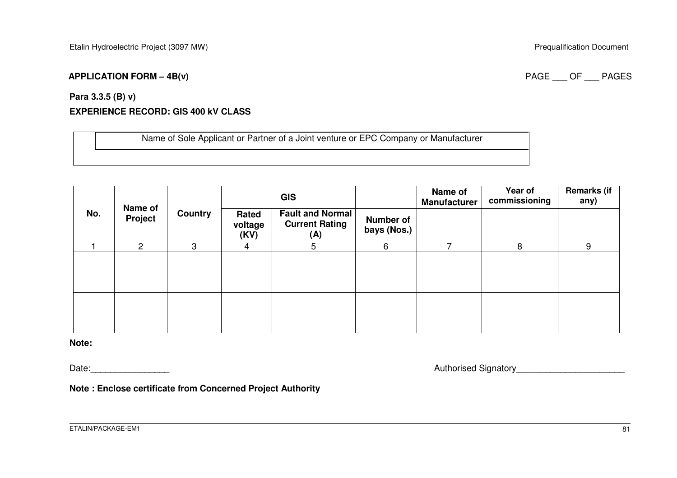#### **APPLICATION FORM – 4B(v)**

PAGE OF PAGES

#### **Para 3.3.5 (B) v)**

### **EXPERIENCE RECORD: GIS 400 kV CLASS**

Name of Sole Applicant or Partner of a Joint venture or EPC Company or Manufacturer

| Name of |         |                |                          | <b>GIS</b>                                              |                          | Name of<br><b>Manufacturer</b> | Year of<br>commissioning | <b>Remarks (if</b><br>any) |
|---------|---------|----------------|--------------------------|---------------------------------------------------------|--------------------------|--------------------------------|--------------------------|----------------------------|
| No.     | Project | <b>Country</b> | Rated<br>voltage<br>(KV) | <b>Fault and Normal</b><br><b>Current Rating</b><br>(A) | Number of<br>bays (Nos.) |                                |                          |                            |
|         | 2       | 3              | 4                        | 5                                                       | 6                        |                                | 8                        | 9                          |
|         |         |                |                          |                                                         |                          |                                |                          |                            |
|         |         |                |                          |                                                         |                          |                                |                          |                            |

**Note:** 

Date: example and the contract of the contract of the contract of the contract of the contract of the contract of the contract of the contract of the contract of the contract of the contract of the contract of the contract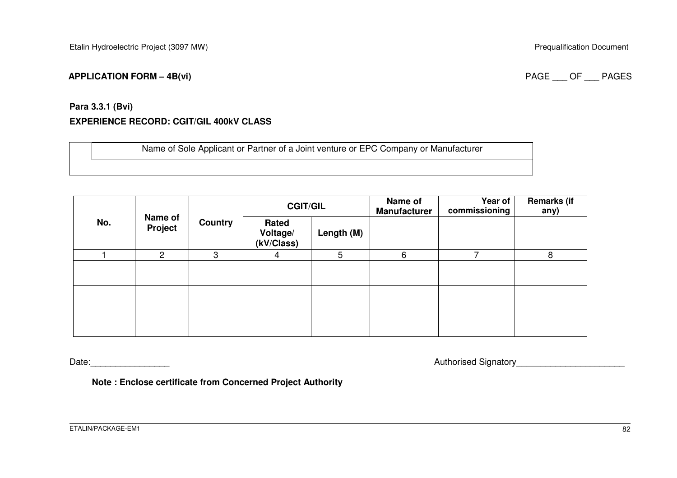#### **APPLICATION FORM – 4B(vi)**

#### PAGE OF PAGES

# **Para 3.3.1 (Bvi) EXPERIENCE RECORD: CGIT/GIL 400kV CLASS**

Name of Sole Applicant or Partner of a Joint venture or EPC Company or Manufacturer

| No. | Name of<br>Project | Country | <b>CGIT/GIL</b>                 |                 | Name of<br><b>Manufacturer</b> | Year of<br>commissioning | <b>Remarks (if</b><br>any) |
|-----|--------------------|---------|---------------------------------|-----------------|--------------------------------|--------------------------|----------------------------|
|     |                    |         | Rated<br>Voltage/<br>(kV/Class) | Length (M)      |                                |                          |                            |
|     | $\overline{2}$     | 3       | 4                               | $5\overline{)}$ | 6                              | -                        | 8                          |
|     |                    |         |                                 |                 |                                |                          |                            |
|     |                    |         |                                 |                 |                                |                          |                            |
|     |                    |         |                                 |                 |                                |                          |                            |

Date:\_\_\_\_\_\_\_\_\_\_\_\_\_\_\_\_ Authorised Signatory\_\_\_\_\_\_\_\_\_\_\_\_\_\_\_\_\_\_\_\_\_\_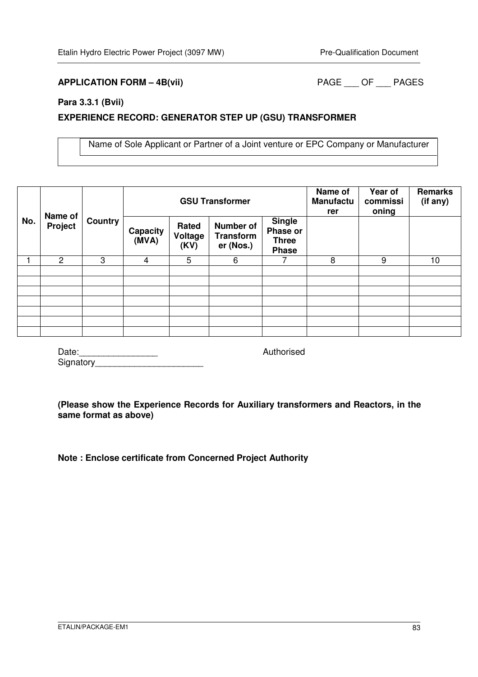### **APPLICATION FORM – 4B(vii)** PAGE \_\_\_ OF \_\_\_ PAGES

#### **Para 3.3.1 (Bvii)**

#### **EXPERIENCE RECORD: GENERATOR STEP UP (GSU) TRANSFORMER**

Name of Sole Applicant or Partner of a Joint venture or EPC Company or Manufacturer

|     | Name of        |                | <b>GSU Transformer</b> |                          |                                                   | Name of<br><b>Manufactu</b><br>rer                        | Year of<br>commissi<br>oning | <b>Remarks</b><br>(if any) |                 |
|-----|----------------|----------------|------------------------|--------------------------|---------------------------------------------------|-----------------------------------------------------------|------------------------------|----------------------------|-----------------|
| No. | Project        | <b>Country</b> | Capacity<br>(MVA)      | Rated<br>Voltage<br>(KV) | <b>Number of</b><br><b>Transform</b><br>er (Nos.) | <b>Single</b><br>Phase or<br><b>Three</b><br><b>Phase</b> |                              |                            |                 |
|     | $\overline{c}$ | 3              | 4                      | 5                        | 6                                                 |                                                           | 8                            | 9                          | 10 <sup>1</sup> |
|     |                |                |                        |                          |                                                   |                                                           |                              |                            |                 |
|     |                |                |                        |                          |                                                   |                                                           |                              |                            |                 |
|     |                |                |                        |                          |                                                   |                                                           |                              |                            |                 |
|     |                |                |                        |                          |                                                   |                                                           |                              |                            |                 |
|     |                |                |                        |                          |                                                   |                                                           |                              |                            |                 |
|     |                |                |                        |                          |                                                   |                                                           |                              |                            |                 |
|     |                |                |                        |                          |                                                   |                                                           |                              |                            |                 |

| Date:     |  |
|-----------|--|
| Signatory |  |

# **(Please show the Experience Records for Auxiliary transformers and Reactors, in the**

Authorised

**same format as above)**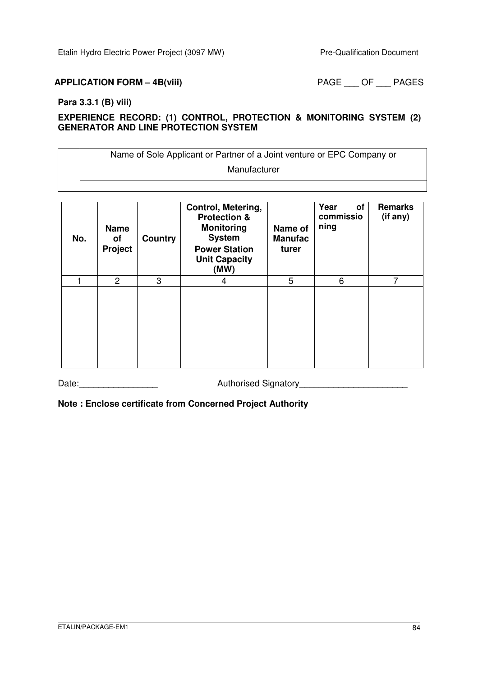### **APPLICATION FORM – 4B(viii)** PAGE \_\_\_ OF \_\_\_ PAGES

#### **Para 3.3.1 (B) viii)**

### **EXPERIENCE RECORD: (1) CONTROL, PROTECTION & MONITORING SYSTEM (2) GENERATOR AND LINE PROTECTION SYSTEM**

Name of Sole Applicant or Partner of a Joint venture or EPC Company or Manufacturer

| No. | <b>Name</b><br>of<br>Project | <b>Country</b> | Control, Metering,<br><b>Protection &amp;</b><br><b>Monitoring</b><br><b>System</b><br><b>Power Station</b><br><b>Unit Capacity</b><br>(MW) | Name of<br><b>Manufac</b><br>turer | Year<br>οf<br>commissio<br>ning | <b>Remarks</b><br>(if any) |
|-----|------------------------------|----------------|---------------------------------------------------------------------------------------------------------------------------------------------|------------------------------------|---------------------------------|----------------------------|
|     | $\overline{2}$               | 3              | 4                                                                                                                                           | 5                                  | 6                               | 7                          |
|     |                              |                |                                                                                                                                             |                                    |                                 |                            |
|     |                              |                |                                                                                                                                             |                                    |                                 |                            |

Date: example and the Authorised Signatory and the Contract of Authorised Signatory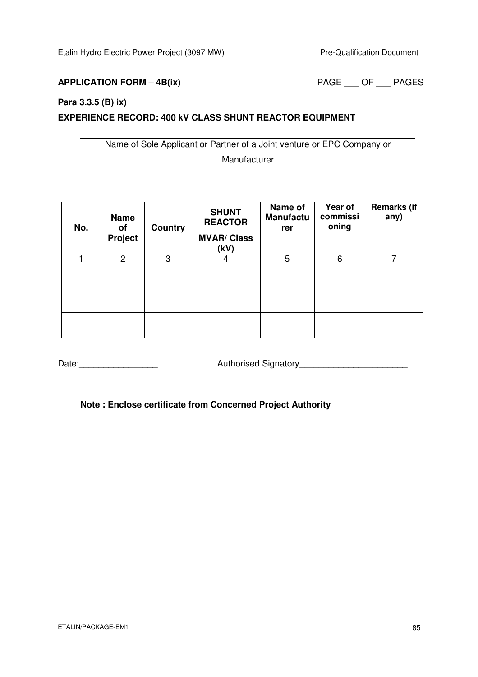### **APPLICATION FORM – 4B(ix)** PAGE \_\_\_ OF \_\_\_ PAGES

### **Para 3.3.5 (B) ix)**

#### **EXPERIENCE RECORD: 400 kV CLASS SHUNT REACTOR EQUIPMENT**

Name of Sole Applicant or Partner of a Joint venture or EPC Company or Manufacturer

| No. | <b>Name</b><br>οf | <b>Country</b> | <b>SHUNT</b><br><b>REACTOR</b> | Name of<br><b>Manufactu</b><br>rer | Year of<br>commissi<br>oning | <b>Remarks (if</b><br>any) |
|-----|-------------------|----------------|--------------------------------|------------------------------------|------------------------------|----------------------------|
|     | Project           |                | <b>MVAR/ Class</b><br>(kV)     |                                    |                              |                            |
|     | $\overline{2}$    | 3              | 4                              | 5                                  | 6                            | ⇁                          |
|     |                   |                |                                |                                    |                              |                            |
|     |                   |                |                                |                                    |                              |                            |
|     |                   |                |                                |                                    |                              |                            |

Date:\_\_\_\_\_\_\_\_\_\_\_\_\_\_\_\_ Authorised Signatory\_\_\_\_\_\_\_\_\_\_\_\_\_\_\_\_\_\_\_\_\_\_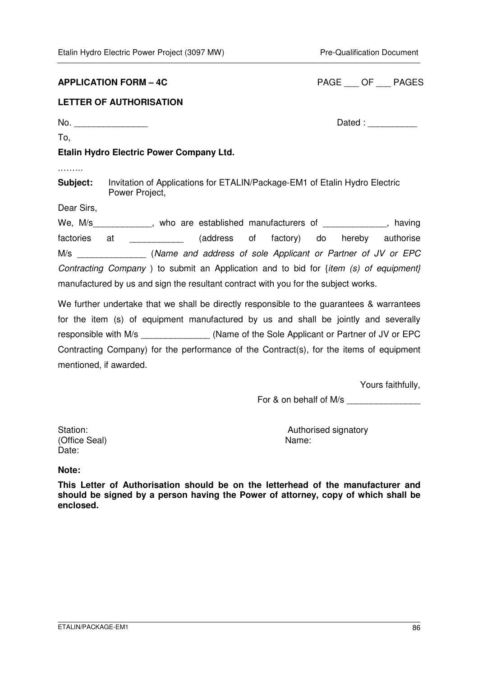#### **APPLICATION FORM – 4C**

| <b>PAGE</b> | OF | <b>PAGES</b> |
|-------------|----|--------------|
|             |    |              |

### **LETTER OF AUTHORISATION**

To,

No. \_\_\_\_\_\_\_\_\_\_\_\_\_\_\_ Dated : \_\_\_\_\_\_\_\_\_\_

### **Etalin Hydro Electric Power Company Ltd.**

.……..

**Subject:** Invitation of Applications for ETALIN/Package-EM1 of Etalin Hydro Electric Power Project,

Dear Sirs,

We, M/s\_\_\_\_\_\_\_\_\_\_\_\_\_, who are established manufacturers of \_\_\_\_\_\_\_\_\_\_\_\_\_, having factories at \_\_\_\_\_\_\_\_\_\_\_ (address of factory) do hereby authorise M/s \_\_\_\_\_\_\_\_\_\_\_\_\_\_ (Name and address of sole Applicant or Partner of JV or EPC Contracting Company ) to submit an Application and to bid for {item (s) of equipment} manufactured by us and sign the resultant contract with you for the subject works.

We further undertake that we shall be directly responsible to the quarantees & warrantees for the item (s) of equipment manufactured by us and shall be jointly and severally responsible with M/s (Name of the Sole Applicant or Partner of JV or EPC Contracting Company) for the performance of the Contract(s), for the items of equipment mentioned, if awarded.

Yours faithfully,

For & on behalf of M/s

(Office Seal) Name: Date:

Station: Station: Station: Station: Station: Station: Station: Station: Station: Station: Station: Station: Station: Station: Station: Station: Station: Station: Station: Station: Station: Station: Station: Station: Statio

#### **Note:**

**This Letter of Authorisation should be on the letterhead of the manufacturer and should be signed by a person having the Power of attorney, copy of which shall be enclosed.**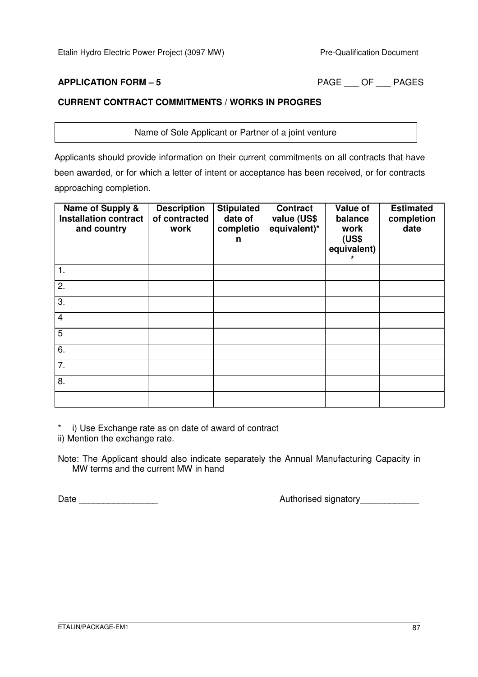**APPLICATION FORM – 5** PAGE \_\_\_ OF \_\_\_ PAGES

### **CURRENT CONTRACT COMMITMENTS / WORKS IN PROGRES**

Name of Sole Applicant or Partner of a joint venture

Applicants should provide information on their current commitments on all contracts that have been awarded, or for which a letter of intent or acceptance has been received, or for contracts approaching completion.

| Name of Supply &<br><b>Installation contract</b><br>and country | <b>Description</b><br>of contracted<br>work | <b>Stipulated</b><br>date of<br>completio<br>n | <b>Contract</b><br>value (US\$<br>equivalent)* | Value of<br>balance<br>work<br>(US\$<br>equivalent) | <b>Estimated</b><br>completion<br>date |
|-----------------------------------------------------------------|---------------------------------------------|------------------------------------------------|------------------------------------------------|-----------------------------------------------------|----------------------------------------|
| 1.                                                              |                                             |                                                |                                                |                                                     |                                        |
| 2.                                                              |                                             |                                                |                                                |                                                     |                                        |
| 3.                                                              |                                             |                                                |                                                |                                                     |                                        |
| $\overline{4}$                                                  |                                             |                                                |                                                |                                                     |                                        |
| 5                                                               |                                             |                                                |                                                |                                                     |                                        |
| 6.                                                              |                                             |                                                |                                                |                                                     |                                        |
| 7.                                                              |                                             |                                                |                                                |                                                     |                                        |
| 8.                                                              |                                             |                                                |                                                |                                                     |                                        |
|                                                                 |                                             |                                                |                                                |                                                     |                                        |

\* i) Use Exchange rate as on date of award of contract

ii) Mention the exchange rate.

Note: The Applicant should also indicate separately the Annual Manufacturing Capacity in MW terms and the current MW in hand

Date \_\_\_\_\_\_\_\_\_\_\_\_\_\_\_\_ Authorised signatory\_\_\_\_\_\_\_\_\_\_\_\_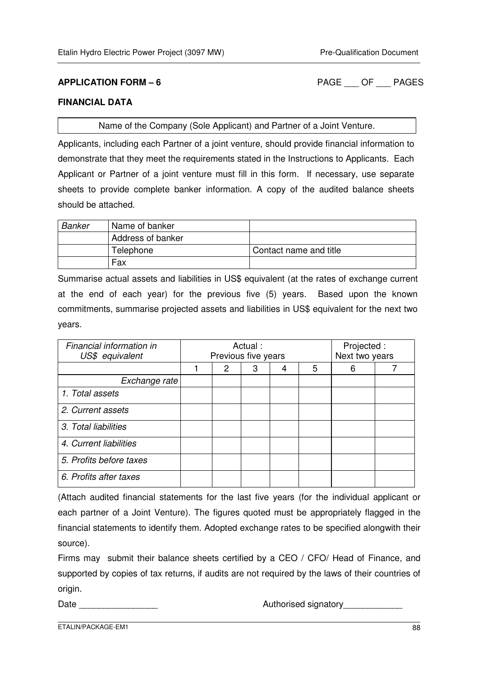**APPLICATION FORM – 6** PAGE \_\_\_ OF \_\_\_ PAGES

#### **FINANCIAL DATA**

Name of the Company (Sole Applicant) and Partner of a Joint Venture.

Applicants, including each Partner of a joint venture, should provide financial information to demonstrate that they meet the requirements stated in the Instructions to Applicants. Each Applicant or Partner of a joint venture must fill in this form. If necessary, use separate sheets to provide complete banker information. A copy of the audited balance sheets should be attached.

| <b>Banker</b> | Name of banker    |                        |
|---------------|-------------------|------------------------|
|               | Address of banker |                        |
|               | Telephone         | Contact name and title |
|               | Fax               |                        |

Summarise actual assets and liabilities in US\$ equivalent (at the rates of exchange current at the end of each year) for the previous five (5) years. Based upon the known commitments, summarise projected assets and liabilities in US\$ equivalent for the next two years.

| Financial information in<br>US\$ equivalent | Actual:<br>Previous five years |   |   |   | Projected :<br>Next two years |   |  |
|---------------------------------------------|--------------------------------|---|---|---|-------------------------------|---|--|
|                                             |                                | 2 | 3 | 4 | 5                             | 6 |  |
| Exchange rate                               |                                |   |   |   |                               |   |  |
| 1. Total assets                             |                                |   |   |   |                               |   |  |
| 2. Current assets                           |                                |   |   |   |                               |   |  |
| 3. Total liabilities                        |                                |   |   |   |                               |   |  |
| 4. Current liabilities                      |                                |   |   |   |                               |   |  |
| 5. Profits before taxes                     |                                |   |   |   |                               |   |  |
| 6. Profits after taxes                      |                                |   |   |   |                               |   |  |

(Attach audited financial statements for the last five years (for the individual applicant or each partner of a Joint Venture). The figures quoted must be appropriately flagged in the financial statements to identify them. Adopted exchange rates to be specified alongwith their source).

Firms may submit their balance sheets certified by a CEO / CFO/ Head of Finance, and supported by copies of tax returns, if audits are not required by the laws of their countries of origin.

Date \_\_\_\_\_\_\_\_\_\_\_\_\_\_\_\_ Authorised signatory\_\_\_\_\_\_\_\_\_\_\_\_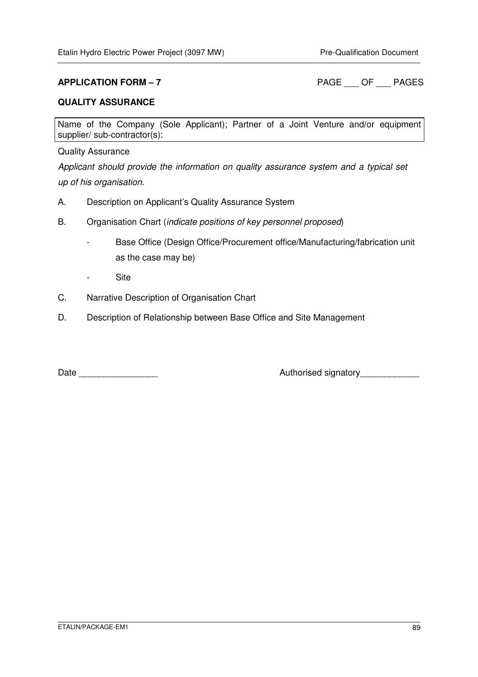**APPLICATION FORM – 7** PAGE OF PAGES

#### **QUALITY ASSURANCE**

Name of the Company (Sole Applicant); Partner of a Joint Venture and/or equipment supplier/ sub-contractor(s):

#### Quality Assurance

Applicant should provide the information on quality assurance system and a typical set up of his organisation.

- A. Description on Applicant's Quality Assurance System
- B. Organisation Chart (indicate positions of key personnel proposed)
	- Base Office (Design Office/Procurement office/Manufacturing/fabrication unit as the case may be)
	- Site
- C. Narrative Description of Organisation Chart
- D. Description of Relationship between Base Office and Site Management

Date \_\_\_\_\_\_\_\_\_\_\_\_\_\_\_\_ Authorised signatory\_\_\_\_\_\_\_\_\_\_\_\_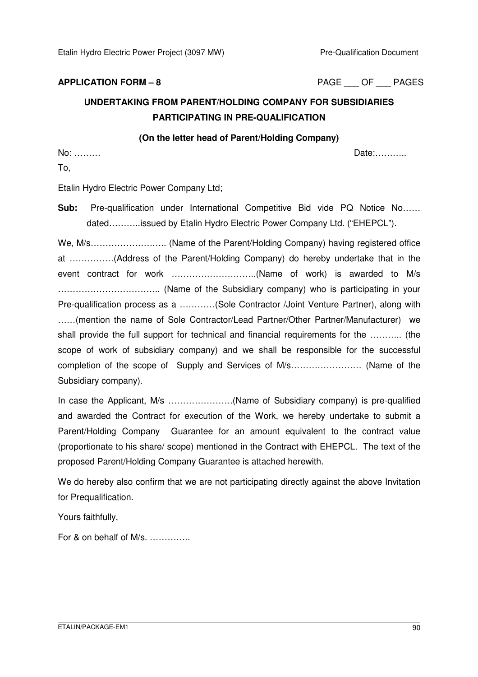**APPLICATION FORM – 8** PAGE \_\_\_ OF \_\_\_ PAGES

# **UNDERTAKING FROM PARENT/HOLDING COMPANY FOR SUBSIDIARIES PARTICIPATING IN PRE-QUALIFICATION**

#### **(On the letter head of Parent/Holding Company)**

No: ……… Date:………..

To,

Etalin Hydro Electric Power Company Ltd;

**Sub:** Pre-qualification under International Competitive Bid vide PQ Notice No…… dated………..issued by Etalin Hydro Electric Power Company Ltd. ("EHEPCL").

We, M/s…………………….. (Name of the Parent/Holding Company) having registered office at ……………(Address of the Parent/Holding Company) do hereby undertake that in the event contract for work ………………………..(Name of work) is awarded to M/s …………………………….. (Name of the Subsidiary company) who is participating in your Pre-qualification process as a …………(Sole Contractor /Joint Venture Partner), along with ……(mention the name of Sole Contractor/Lead Partner/Other Partner/Manufacturer) we shall provide the full support for technical and financial requirements for the ……….. (the scope of work of subsidiary company) and we shall be responsible for the successful completion of the scope of Supply and Services of M/s…………………… (Name of the Subsidiary company).

In case the Applicant, M/s ………………….(Name of Subsidiary company) is pre-qualified and awarded the Contract for execution of the Work, we hereby undertake to submit a Parent/Holding Company Guarantee for an amount equivalent to the contract value (proportionate to his share/ scope) mentioned in the Contract with EHEPCL. The text of the proposed Parent/Holding Company Guarantee is attached herewith.

We do hereby also confirm that we are not participating directly against the above Invitation for Prequalification.

Yours faithfully,

For & on behalf of M/s. …………..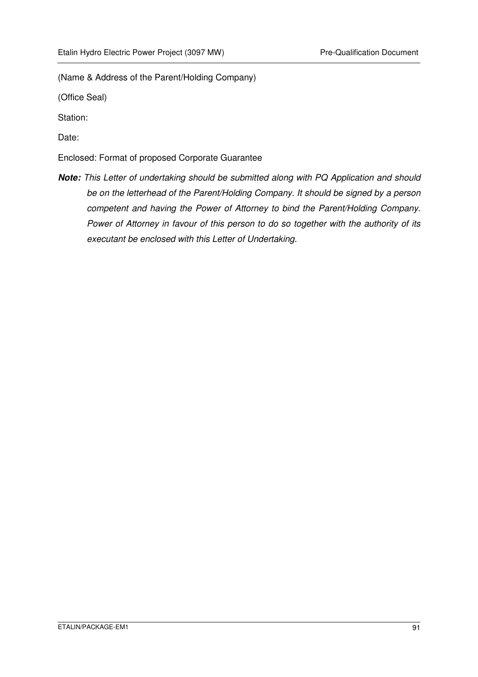(Name & Address of the Parent/Holding Company)

(Office Seal)

Station:

Date:

Enclosed: Format of proposed Corporate Guarantee

**Note:** This Letter of undertaking should be submitted along with PQ Application and should be on the letterhead of the Parent/Holding Company. It should be signed by a person competent and having the Power of Attorney to bind the Parent/Holding Company. Power of Attorney in favour of this person to do so together with the authority of its executant be enclosed with this Letter of Undertaking.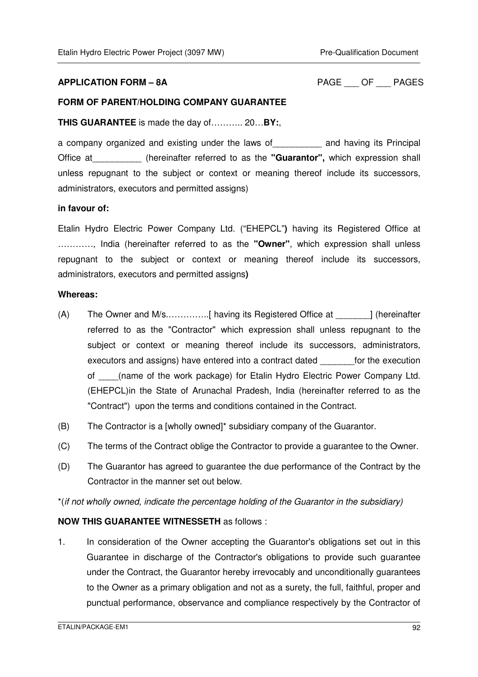#### **APPLICATION FORM – 8A** PAGE \_\_\_ OF \_\_\_ PAGES

#### **FORM OF PARENT/HOLDING COMPANY GUARANTEE**

**THIS GUARANTEE** is made the day of……….. 20…**BY:**,

a company organized and existing under the laws of\_\_\_\_\_\_\_\_\_\_ and having its Principal Office at\_\_\_\_\_\_\_\_\_\_ (hereinafter referred to as the **"Guarantor",** which expression shall unless repugnant to the subject or context or meaning thereof include its successors, administrators, executors and permitted assigns)

#### **in favour of:**

Etalin Hydro Electric Power Company Ltd. ("EHEPCL"**)** having its Registered Office at …………, India (hereinafter referred to as the **"Owner"**, which expression shall unless repugnant to the subject or context or meaning thereof include its successors, administrators, executors and permitted assigns**)** 

#### **Whereas:**

- (A) The Owner and M/s.…………..[ having its Registered Office at \_\_\_\_\_\_\_] (hereinafter referred to as the "Contractor" which expression shall unless repugnant to the subject or context or meaning thereof include its successors, administrators, executors and assigns) have entered into a contract dated \_\_\_\_\_\_\_for the execution of \_\_\_\_(name of the work package) for Etalin Hydro Electric Power Company Ltd. (EHEPCL)in the State of Arunachal Pradesh, India (hereinafter referred to as the "Contract") upon the terms and conditions contained in the Contract.
- (B) The Contractor is a [wholly owned]\* subsidiary company of the Guarantor.
- (C) The terms of the Contract oblige the Contractor to provide a guarantee to the Owner.
- (D) The Guarantor has agreed to guarantee the due performance of the Contract by the Contractor in the manner set out below.

\*(if not wholly owned, indicate the percentage holding of the Guarantor in the subsidiary)

#### **NOW THIS GUARANTEE WITNESSETH** as follows :

1. In consideration of the Owner accepting the Guarantor's obligations set out in this Guarantee in discharge of the Contractor's obligations to provide such guarantee under the Contract, the Guarantor hereby irrevocably and unconditionally guarantees to the Owner as a primary obligation and not as a surety, the full, faithful, proper and punctual performance, observance and compliance respectively by the Contractor of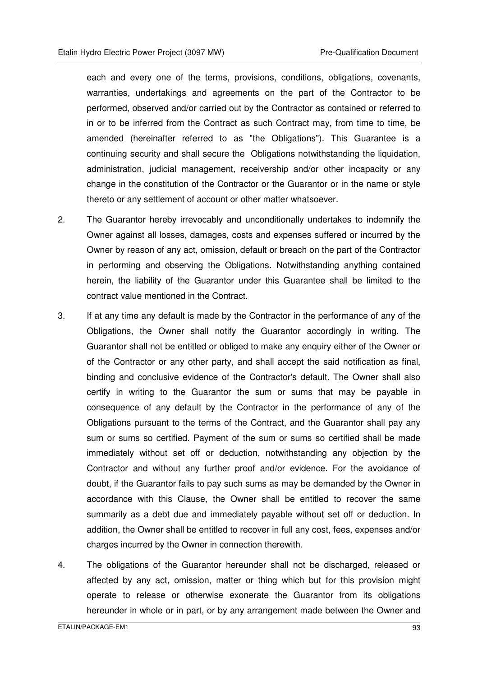each and every one of the terms, provisions, conditions, obligations, covenants, warranties, undertakings and agreements on the part of the Contractor to be performed, observed and/or carried out by the Contractor as contained or referred to in or to be inferred from the Contract as such Contract may, from time to time, be amended (hereinafter referred to as "the Obligations"). This Guarantee is a continuing security and shall secure the Obligations notwithstanding the liquidation, administration, judicial management, receivership and/or other incapacity or any change in the constitution of the Contractor or the Guarantor or in the name or style thereto or any settlement of account or other matter whatsoever.

- 2. The Guarantor hereby irrevocably and unconditionally undertakes to indemnify the Owner against all losses, damages, costs and expenses suffered or incurred by the Owner by reason of any act, omission, default or breach on the part of the Contractor in performing and observing the Obligations. Notwithstanding anything contained herein, the liability of the Guarantor under this Guarantee shall be limited to the contract value mentioned in the Contract.
- 3. If at any time any default is made by the Contractor in the performance of any of the Obligations, the Owner shall notify the Guarantor accordingly in writing. The Guarantor shall not be entitled or obliged to make any enquiry either of the Owner or of the Contractor or any other party, and shall accept the said notification as final, binding and conclusive evidence of the Contractor's default. The Owner shall also certify in writing to the Guarantor the sum or sums that may be payable in consequence of any default by the Contractor in the performance of any of the Obligations pursuant to the terms of the Contract, and the Guarantor shall pay any sum or sums so certified. Payment of the sum or sums so certified shall be made immediately without set off or deduction, notwithstanding any objection by the Contractor and without any further proof and/or evidence. For the avoidance of doubt, if the Guarantor fails to pay such sums as may be demanded by the Owner in accordance with this Clause, the Owner shall be entitled to recover the same summarily as a debt due and immediately payable without set off or deduction. In addition, the Owner shall be entitled to recover in full any cost, fees, expenses and/or charges incurred by the Owner in connection therewith.
- 4. The obligations of the Guarantor hereunder shall not be discharged, released or affected by any act, omission, matter or thing which but for this provision might operate to release or otherwise exonerate the Guarantor from its obligations hereunder in whole or in part, or by any arrangement made between the Owner and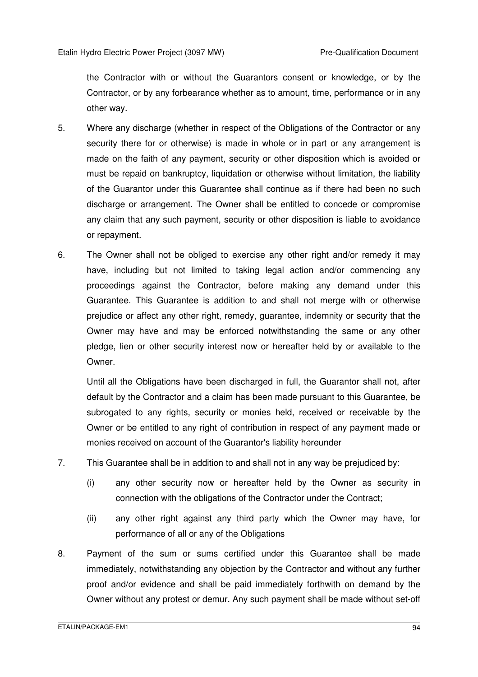the Contractor with or without the Guarantors consent or knowledge, or by the Contractor, or by any forbearance whether as to amount, time, performance or in any other way.

- 5. Where any discharge (whether in respect of the Obligations of the Contractor or any security there for or otherwise) is made in whole or in part or any arrangement is made on the faith of any payment, security or other disposition which is avoided or must be repaid on bankruptcy, liquidation or otherwise without limitation, the liability of the Guarantor under this Guarantee shall continue as if there had been no such discharge or arrangement. The Owner shall be entitled to concede or compromise any claim that any such payment, security or other disposition is liable to avoidance or repayment.
- 6. The Owner shall not be obliged to exercise any other right and/or remedy it may have, including but not limited to taking legal action and/or commencing any proceedings against the Contractor, before making any demand under this Guarantee. This Guarantee is addition to and shall not merge with or otherwise prejudice or affect any other right, remedy, guarantee, indemnity or security that the Owner may have and may be enforced notwithstanding the same or any other pledge, lien or other security interest now or hereafter held by or available to the Owner.

Until all the Obligations have been discharged in full, the Guarantor shall not, after default by the Contractor and a claim has been made pursuant to this Guarantee, be subrogated to any rights, security or monies held, received or receivable by the Owner or be entitled to any right of contribution in respect of any payment made or monies received on account of the Guarantor's liability hereunder

- 7. This Guarantee shall be in addition to and shall not in any way be prejudiced by:
	- (i) any other security now or hereafter held by the Owner as security in connection with the obligations of the Contractor under the Contract:
	- (ii) any other right against any third party which the Owner may have, for performance of all or any of the Obligations
- 8. Payment of the sum or sums certified under this Guarantee shall be made immediately, notwithstanding any objection by the Contractor and without any further proof and/or evidence and shall be paid immediately forthwith on demand by the Owner without any protest or demur. Any such payment shall be made without set-off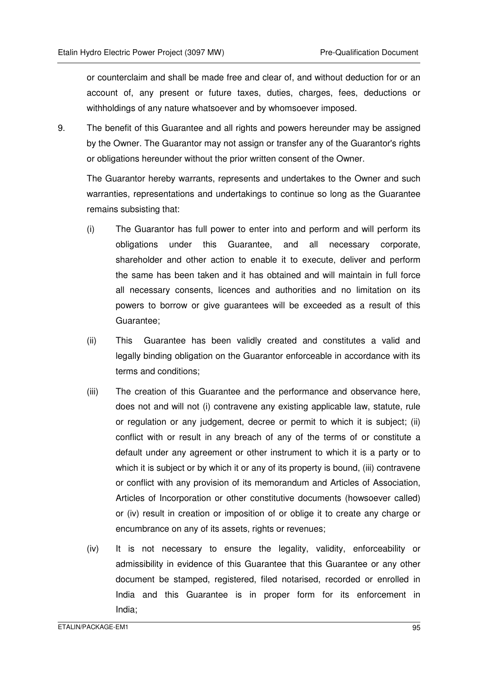or counterclaim and shall be made free and clear of, and without deduction for or an account of, any present or future taxes, duties, charges, fees, deductions or withholdings of any nature whatsoever and by whomsoever imposed.

9. The benefit of this Guarantee and all rights and powers hereunder may be assigned by the Owner. The Guarantor may not assign or transfer any of the Guarantor's rights or obligations hereunder without the prior written consent of the Owner.

The Guarantor hereby warrants, represents and undertakes to the Owner and such warranties, representations and undertakings to continue so long as the Guarantee remains subsisting that:

- (i) The Guarantor has full power to enter into and perform and will perform its obligations under this Guarantee, and all necessary corporate, shareholder and other action to enable it to execute, deliver and perform the same has been taken and it has obtained and will maintain in full force all necessary consents, licences and authorities and no limitation on its powers to borrow or give guarantees will be exceeded as a result of this Guarantee;
- (ii) This Guarantee has been validly created and constitutes a valid and legally binding obligation on the Guarantor enforceable in accordance with its terms and conditions;
- (iii) The creation of this Guarantee and the performance and observance here, does not and will not (i) contravene any existing applicable law, statute, rule or regulation or any judgement, decree or permit to which it is subject; (ii) conflict with or result in any breach of any of the terms of or constitute a default under any agreement or other instrument to which it is a party or to which it is subject or by which it or any of its property is bound, (iii) contravene or conflict with any provision of its memorandum and Articles of Association, Articles of Incorporation or other constitutive documents (howsoever called) or (iv) result in creation or imposition of or oblige it to create any charge or encumbrance on any of its assets, rights or revenues;
- (iv) It is not necessary to ensure the legality, validity, enforceability or admissibility in evidence of this Guarantee that this Guarantee or any other document be stamped, registered, filed notarised, recorded or enrolled in India and this Guarantee is in proper form for its enforcement in India;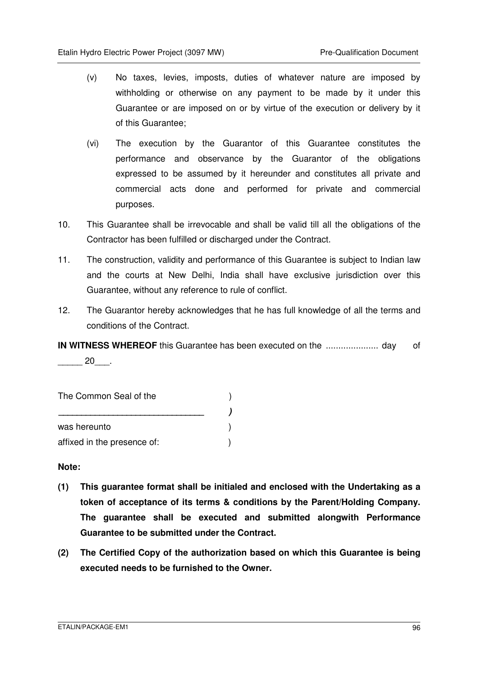- (v) No taxes, levies, imposts, duties of whatever nature are imposed by withholding or otherwise on any payment to be made by it under this Guarantee or are imposed on or by virtue of the execution or delivery by it of this Guarantee;
- (vi) The execution by the Guarantor of this Guarantee constitutes the performance and observance by the Guarantor of the obligations expressed to be assumed by it hereunder and constitutes all private and commercial acts done and performed for private and commercial purposes.
- 10. This Guarantee shall be irrevocable and shall be valid till all the obligations of the Contractor has been fulfilled or discharged under the Contract.
- 11. The construction, validity and performance of this Guarantee is subject to Indian law and the courts at New Delhi, India shall have exclusive jurisdiction over this Guarantee, without any reference to rule of conflict.
- 12. The Guarantor hereby acknowledges that he has full knowledge of all the terms and conditions of the Contract.

**IN WITNESS WHEREOF** this Guarantee has been executed on the ..................... day of  $20$ .

The Common Seal of the  $( )$  **\_\_\_\_\_\_\_\_\_\_\_\_\_\_\_\_\_\_\_\_\_\_\_\_\_\_\_\_\_\_\_\_ )**  was hereunto (a) affixed in the presence of:  $\qquad \qquad$ )

**Note:** 

- **(1) This guarantee format shall be initialed and enclosed with the Undertaking as a token of acceptance of its terms & conditions by the Parent/Holding Company. The guarantee shall be executed and submitted alongwith Performance Guarantee to be submitted under the Contract.**
- **(2) The Certified Copy of the authorization based on which this Guarantee is being executed needs to be furnished to the Owner.**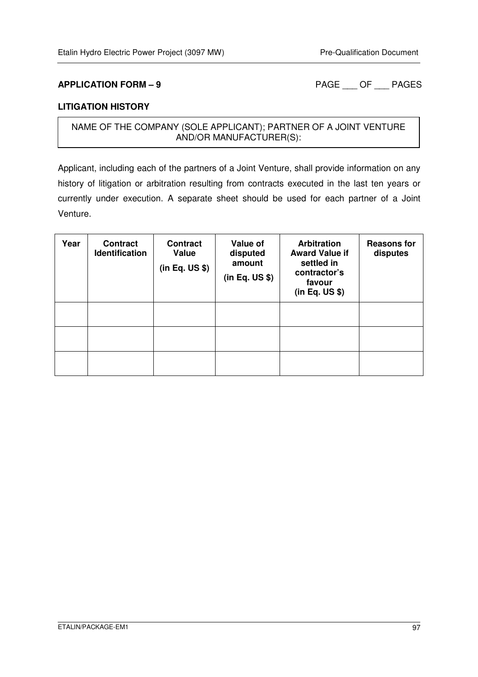**APPLICATION FORM – 9** PAGE OF PAGES

#### **LITIGATION HISTORY**

### NAME OF THE COMPANY (SOLE APPLICANT); PARTNER OF A JOINT VENTURE AND/OR MANUFACTURER(S):

Applicant, including each of the partners of a Joint Venture, shall provide information on any history of litigation or arbitration resulting from contracts executed in the last ten years or currently under execution. A separate sheet should be used for each partner of a Joint Venture.

| Year | <b>Contract</b><br><b>Identification</b> | <b>Contract</b><br>Value<br>(in Eq. US \$) | Value of<br>disputed<br>amount<br>(in Eq. US \$) | <b>Arbitration</b><br><b>Award Value if</b><br>settled in<br>contractor's<br>favour<br>(in Eq. US \$) | <b>Reasons for</b><br>disputes |
|------|------------------------------------------|--------------------------------------------|--------------------------------------------------|-------------------------------------------------------------------------------------------------------|--------------------------------|
|      |                                          |                                            |                                                  |                                                                                                       |                                |
|      |                                          |                                            |                                                  |                                                                                                       |                                |
|      |                                          |                                            |                                                  |                                                                                                       |                                |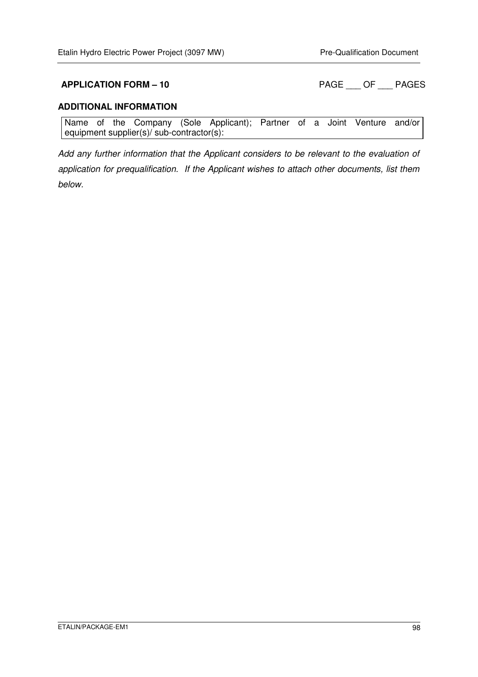**APPLICATION FORM – 10 PAGE \_\_\_ OF \_\_\_ PAGES** 

#### **ADDITIONAL INFORMATION**

Name of the Company (Sole Applicant); Partner of a Joint Venture and/or equipment supplier(s)/ sub-contractor(s):

Add any further information that the Applicant considers to be relevant to the evaluation of application for prequalification. If the Applicant wishes to attach other documents, list them below.